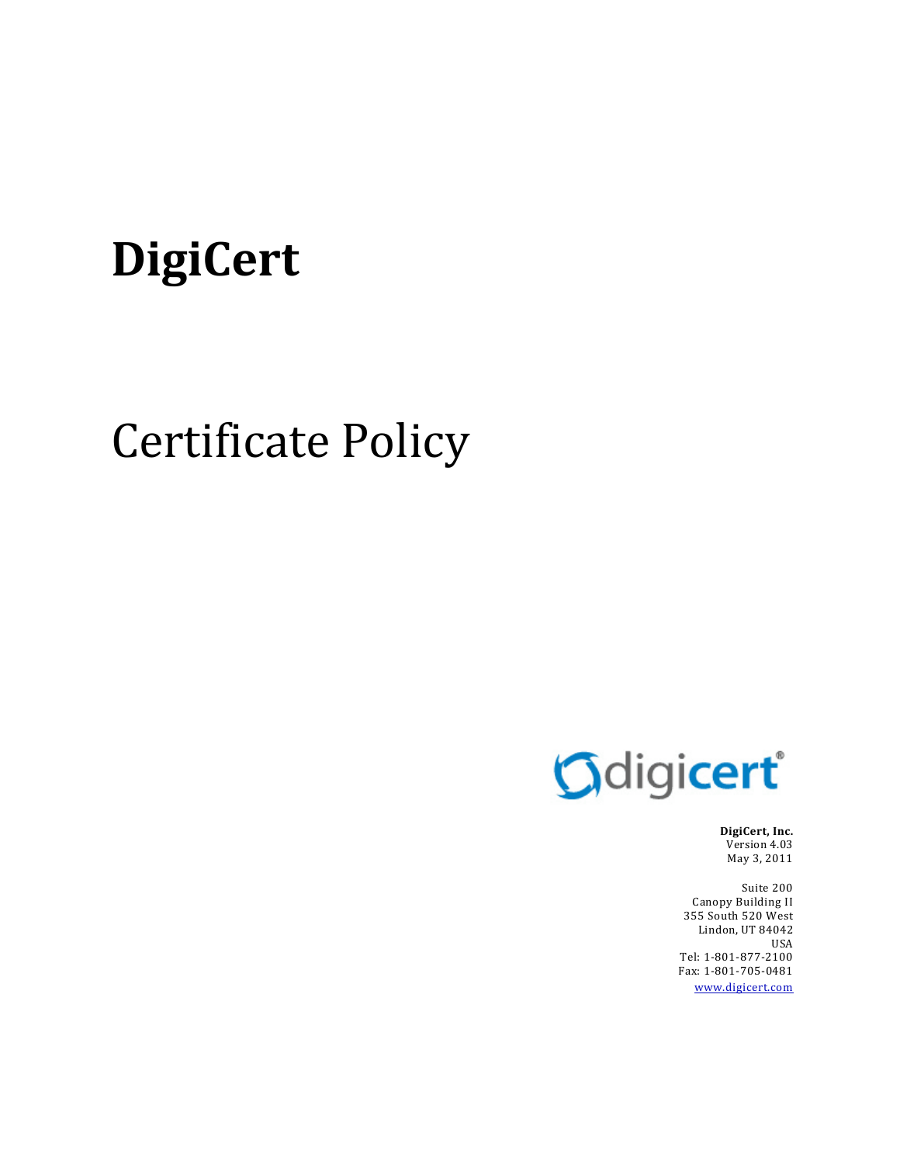# **DigiCert**

# Certificate Policy



**DigiCert, Inc.** Version 4.03 May 3, 2011

Suite 200 Canopy Building II 355 South 520 West Lindon, UT 84042 USA Tel: 1‐801‐877‐2100 Fax: 1‐801‐705‐0481 www.digicert.com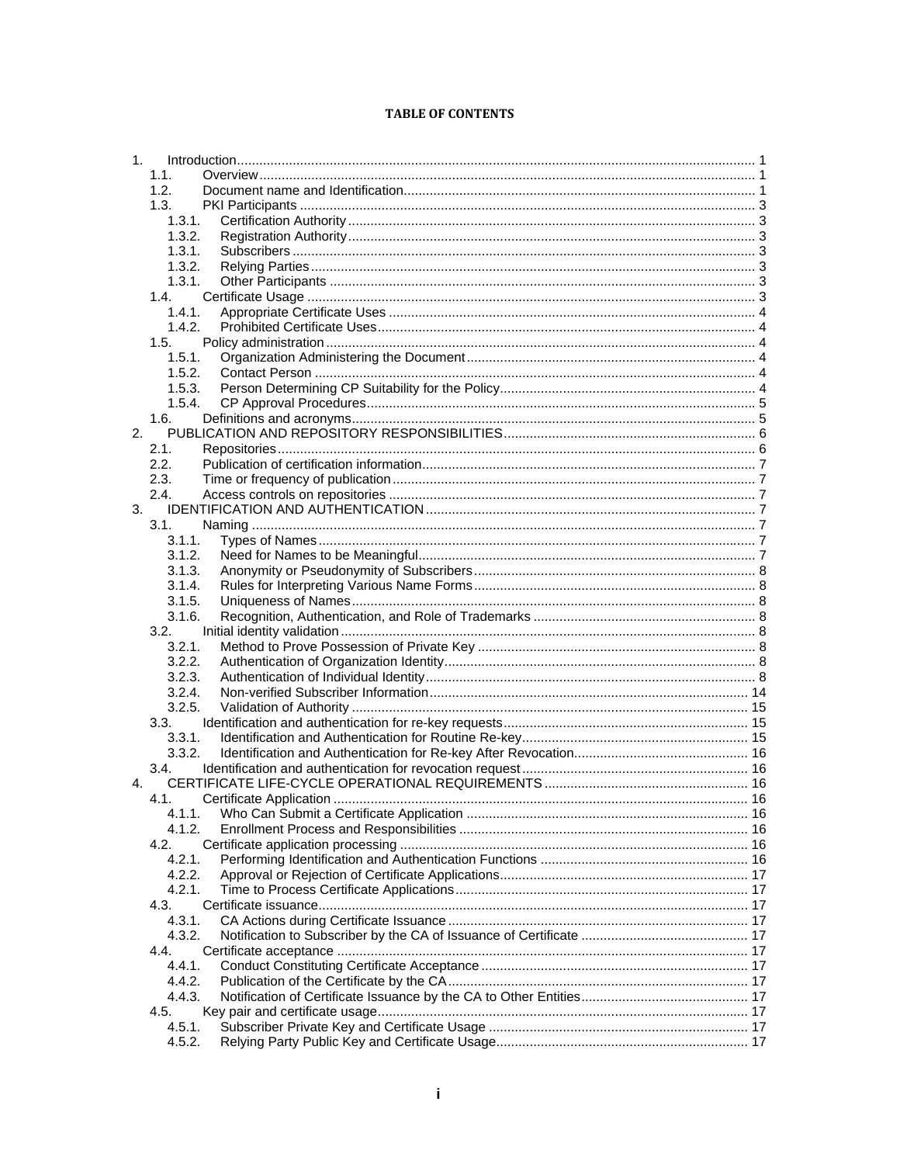#### **TABLE OF CONTENTS**

| 1.             |                  |  |
|----------------|------------------|--|
|                | 1.1.             |  |
|                | 1.2.             |  |
|                | 1.3.             |  |
|                | 1.3.1.           |  |
|                | 1.3.2.           |  |
|                | 1.3.1.           |  |
|                | 1.3.2.           |  |
|                | 1.3.1.           |  |
|                | 1.4.             |  |
|                | 1.4.1.           |  |
|                | 1.4.2.           |  |
|                | 1.5.             |  |
|                | 1.5.1.           |  |
|                | 1.5.2.           |  |
|                | 1.5.3.           |  |
|                | 1.5.4.           |  |
|                | 1.6.             |  |
| 2.             |                  |  |
|                | 2.1.             |  |
|                | 2.2.             |  |
|                | 2.3.             |  |
|                | 2.4.             |  |
| 3.             |                  |  |
|                | 3.1.             |  |
|                | 3.1.1.           |  |
|                | 3.1.2.           |  |
|                | 3.1.3.           |  |
|                | 3.1.4.           |  |
|                | 3.1.5.           |  |
|                | 3.1.6.           |  |
|                | 3.2.             |  |
|                | 3.2.1.           |  |
|                | 3.2.2.           |  |
|                | 3.2.3.           |  |
|                | 3.2.4.           |  |
|                | 3.2.5.           |  |
|                | 3.3.             |  |
|                | 3.3.1.<br>3.3.2. |  |
|                | 3.4.             |  |
| 4 <sub>1</sub> |                  |  |
|                | 4.1.             |  |
|                | 4.1.1.           |  |
|                | 4.1.2.           |  |
|                | 4.2.             |  |
|                | 4.2.1.           |  |
|                | 4.2.2.           |  |
|                | 4.2.1.           |  |
|                | 4.3.             |  |
|                | 4.3.1.           |  |
|                | 4.3.2.           |  |
|                | 4.4.             |  |
|                | 4.4.1.           |  |
|                | 4.4.2.           |  |
|                | 4.4.3.           |  |
|                | 4.5.             |  |
|                | 4.5.1.           |  |
|                | 4.5.2.           |  |
|                |                  |  |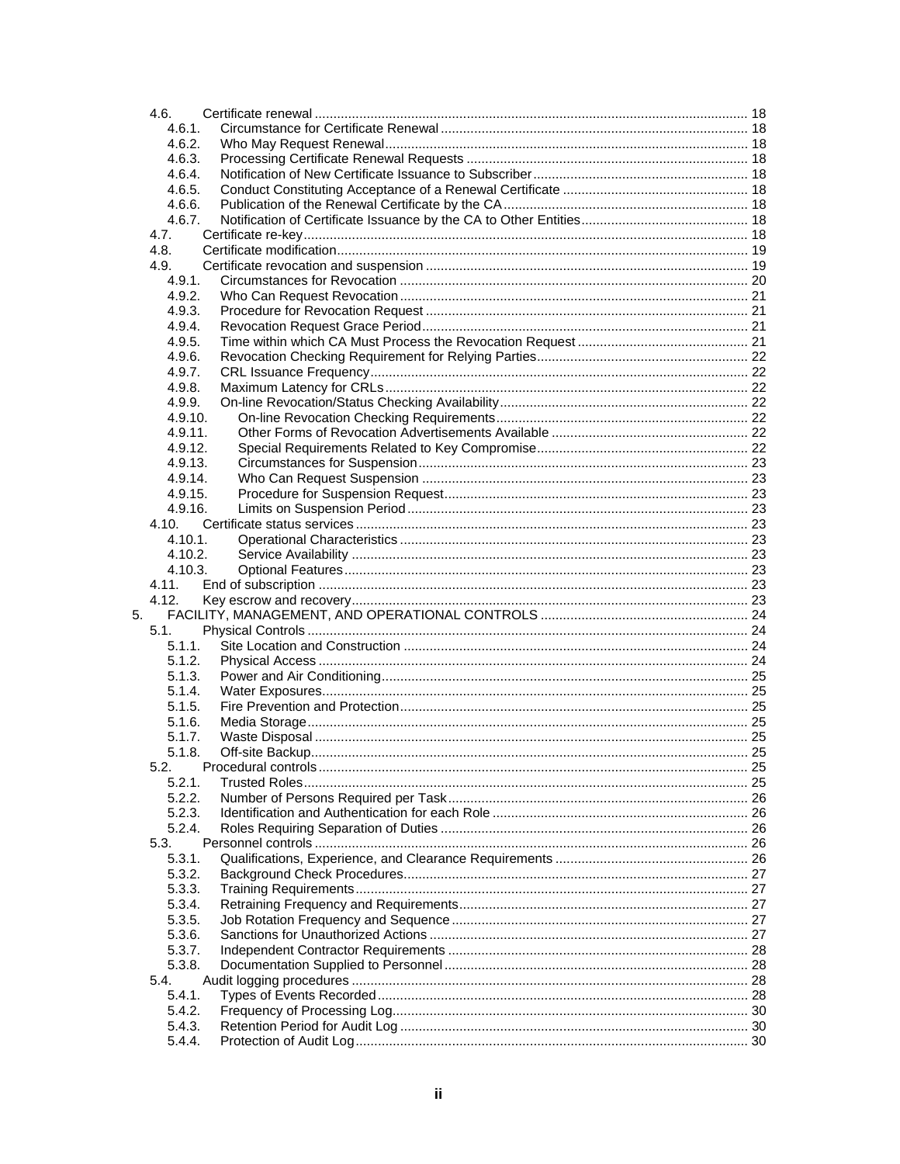|    | 4.6.             |  |
|----|------------------|--|
|    | 4.6.1.           |  |
|    | 4.6.2.           |  |
|    | 4.6.3.           |  |
|    | 4.6.4.           |  |
|    | 4.6.5.           |  |
|    | 4.6.6.           |  |
|    | 4.6.7.           |  |
|    | 4.7.             |  |
|    | 4.8.             |  |
|    | 4.9.             |  |
|    | 4.9.1.           |  |
|    | 4.9.2.           |  |
|    | 4.9.3.           |  |
|    | 4.9.4.<br>4.9.5. |  |
|    | 4.9.6.           |  |
|    | 4.9.7.           |  |
|    | 4.9.8.           |  |
|    | 4.9.9.           |  |
|    | 4.9.10.          |  |
|    | 4.9.11.          |  |
|    | 4.9.12.          |  |
|    | 4.9.13.          |  |
|    | 4.9.14.          |  |
|    | 4.9.15.          |  |
|    | 4.9.16.          |  |
|    | 4.10.            |  |
|    | 4.10.1.          |  |
|    | 4.10.2.          |  |
|    | 4.10.3.          |  |
|    | 4.11.            |  |
|    | 4.12.            |  |
| 5. |                  |  |
|    | 5.1.             |  |
|    | 5.1.1.           |  |
|    | 5.1.2.           |  |
|    | 5.1.3.           |  |
|    | 5.1.4.           |  |
|    | 5.1.5.           |  |
|    | 5.1.6.           |  |
|    | 5.1.7.           |  |
|    | 5.1.8.           |  |
|    | 5.2.             |  |
|    | 5.2.1.           |  |
|    | 5.2.2.           |  |
|    | 5.2.3.           |  |
|    | 5.2.4.           |  |
|    | 5.3.             |  |
|    | 5.3.1.           |  |
|    | 5.3.2.           |  |
|    | 5.3.3.           |  |
|    | 5.3.4.           |  |
|    | 5.3.5.           |  |
|    | 5.3.6.           |  |
|    | 5.3.7.           |  |
|    | 5.3.8.           |  |
|    | 5.4.<br>5.4.1.   |  |
|    | 5.4.2.           |  |
|    | 5.4.3.           |  |
|    | 5.4.4.           |  |
|    |                  |  |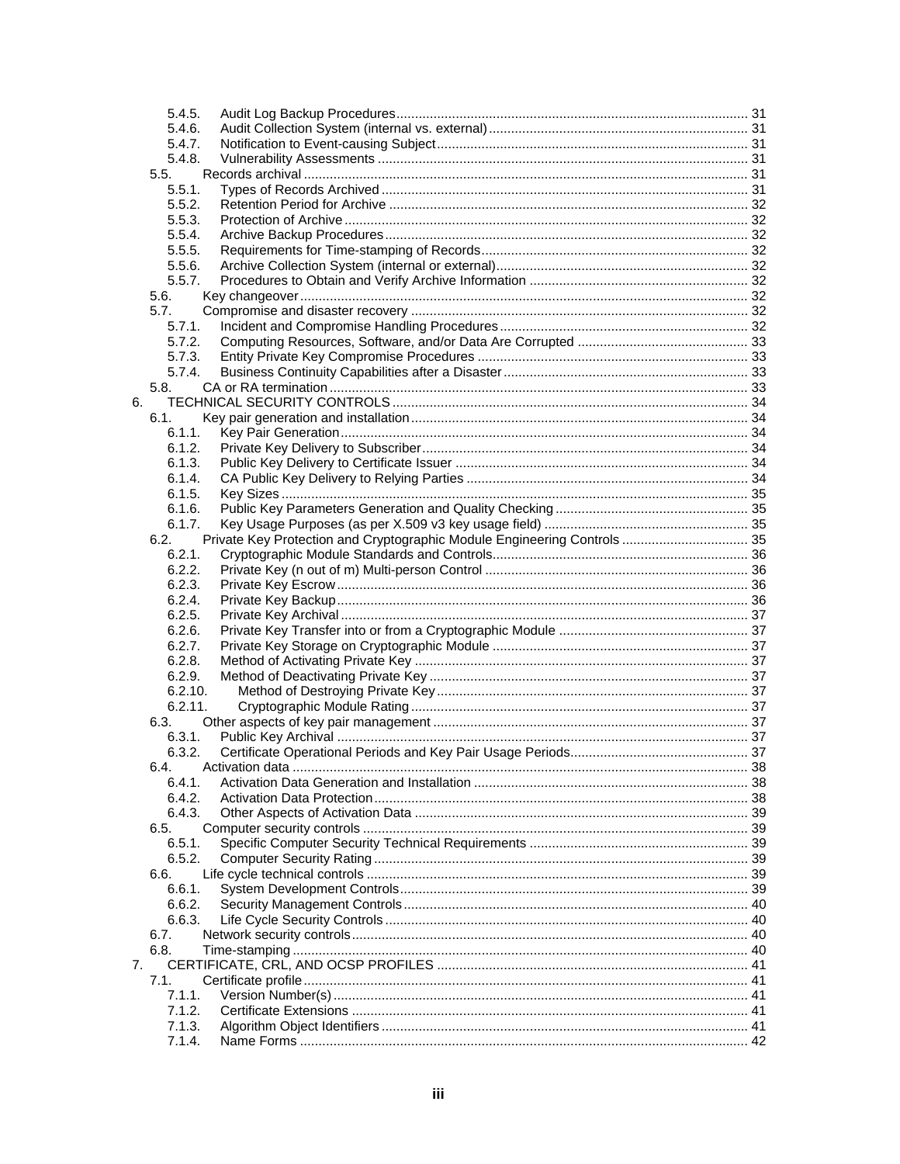|    | 5.4.5.           |                                                                          |  |
|----|------------------|--------------------------------------------------------------------------|--|
|    | 5.4.6.           |                                                                          |  |
|    | 5.4.7.           |                                                                          |  |
|    | 5.4.8.           |                                                                          |  |
|    | 5.5.             |                                                                          |  |
|    | 5.5.1.           |                                                                          |  |
|    | 5.5.2.           |                                                                          |  |
|    | 5.5.3.           |                                                                          |  |
|    | 5.5.4.           |                                                                          |  |
|    | 5.5.5.           |                                                                          |  |
|    | 5.5.6.<br>5.5.7. |                                                                          |  |
|    | 5.6.             |                                                                          |  |
|    | 5.7.             |                                                                          |  |
|    | 5.7.1.           |                                                                          |  |
|    | 5.7.2.           |                                                                          |  |
|    | 5.7.3.           |                                                                          |  |
|    | 5.7.4.           |                                                                          |  |
|    | 5.8.             |                                                                          |  |
| 6. |                  |                                                                          |  |
|    | 6.1.             |                                                                          |  |
|    | 6.1.1.           |                                                                          |  |
|    | 6.1.2.           |                                                                          |  |
|    | 6.1.3.           |                                                                          |  |
|    | 6.1.4.           |                                                                          |  |
|    | 6.1.5.           |                                                                          |  |
|    | 6.1.6.           |                                                                          |  |
|    | 6.1.7.           |                                                                          |  |
|    | 6.2.             | Private Key Protection and Cryptographic Module Engineering Controls  35 |  |
|    | 6.2.1.           |                                                                          |  |
|    | 6.2.2.           |                                                                          |  |
|    | 6.2.3.           |                                                                          |  |
|    | 6.2.4.           |                                                                          |  |
|    | 6.2.5.           |                                                                          |  |
|    | 6.2.6.           |                                                                          |  |
|    | 6.2.7.           |                                                                          |  |
|    | 6.2.8.           |                                                                          |  |
|    | 6.2.9.           |                                                                          |  |
|    | 6.2.10.          |                                                                          |  |
|    | 6.2.11.          |                                                                          |  |
|    | 6.3.             |                                                                          |  |
|    | 6.3.1.           |                                                                          |  |
|    | 6.3.2.           |                                                                          |  |
|    | 6.4.             |                                                                          |  |
|    | 6.4.1.           |                                                                          |  |
|    | 6.4.2.           |                                                                          |  |
|    | 6.4.3.           |                                                                          |  |
|    | 6.5.             |                                                                          |  |
|    | 6.5.1.           |                                                                          |  |
|    | 6.5.2.           |                                                                          |  |
|    | 6.6.             |                                                                          |  |
|    | 6.6.1.           |                                                                          |  |
|    | 6.6.2.           |                                                                          |  |
|    | 6.6.3.           |                                                                          |  |
|    | 6.7.             |                                                                          |  |
|    | 6.8.             |                                                                          |  |
| 7. |                  |                                                                          |  |
|    | 7.1.             |                                                                          |  |
|    | 7.1.1.           |                                                                          |  |
|    | 7.1.2.           |                                                                          |  |
|    | 7.1.3.           |                                                                          |  |
|    | 7.1.4.           |                                                                          |  |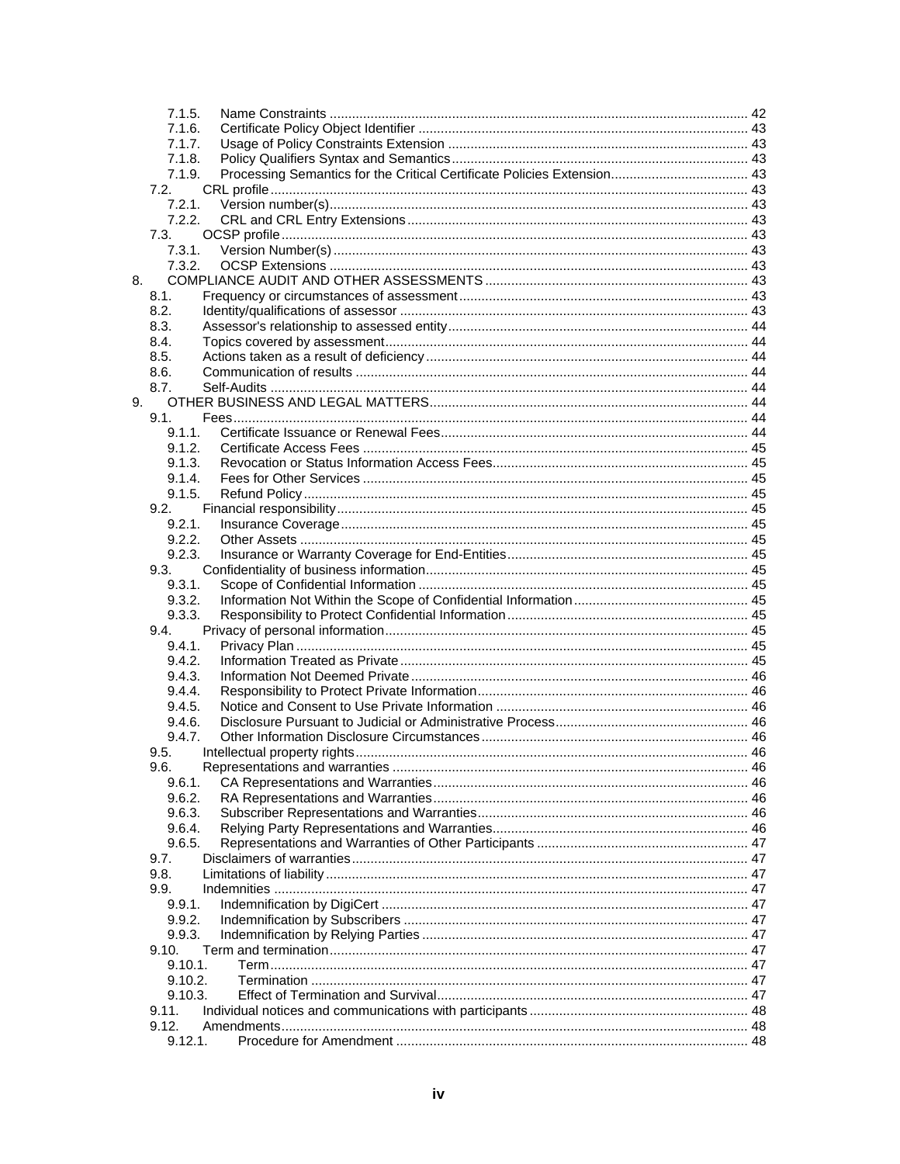|    | 7.1.5.           |  |
|----|------------------|--|
|    | 7.1.6.           |  |
|    | 7.1.7.           |  |
|    | 7.1.8.           |  |
|    | 7.1.9.           |  |
|    | 7.2.             |  |
|    | 7.2.1.           |  |
|    | 7.2.2.           |  |
|    | 7.3.             |  |
|    | 7.3.1.           |  |
|    | 7.3.2.           |  |
| 8. |                  |  |
|    | 8.1.             |  |
|    | 8.2.             |  |
|    | 8.3.             |  |
|    | 8.4.             |  |
|    | 8.5.             |  |
|    | 8.6.             |  |
|    | 8.7.             |  |
| 9. |                  |  |
|    | 9.1.             |  |
|    | 9.1.1.           |  |
|    | 9.1.2.           |  |
|    | 9.1.3.           |  |
|    | 9.1.4.           |  |
|    | 9.1.5.           |  |
|    | 9.2.             |  |
|    | 9.2.1.           |  |
|    | 9.2.2.           |  |
|    | 9.2.3.<br>9.3.   |  |
|    | 9.3.1.           |  |
|    |                  |  |
|    | 9.3.2.<br>9.3.3. |  |
|    | 9.4.             |  |
|    | 9.4.1.           |  |
|    | 9.4.2.           |  |
|    | 9.4.3.           |  |
|    | 9.4.4.           |  |
|    | 9.4.5.           |  |
|    | 9.4.6.           |  |
|    | 9.4.7.           |  |
|    | 9.5.             |  |
|    | 9.6.             |  |
|    | 9.6.1.           |  |
|    | 9.6.2.           |  |
|    | 9.6.3.           |  |
|    | 9.6.4.           |  |
|    | 9.6.5.           |  |
|    | 9.7.             |  |
|    | 9.8.             |  |
|    | 9.9.             |  |
|    | 9.9.1.           |  |
|    | 9.9.2.           |  |
|    | 9.9.3.           |  |
|    | 9.10.            |  |
|    | $9.10.1$ .       |  |
|    | 9.10.2.          |  |
|    | 9.10.3.          |  |
|    | 9.11.            |  |
|    | 9.12.            |  |
|    | 9.12.1.          |  |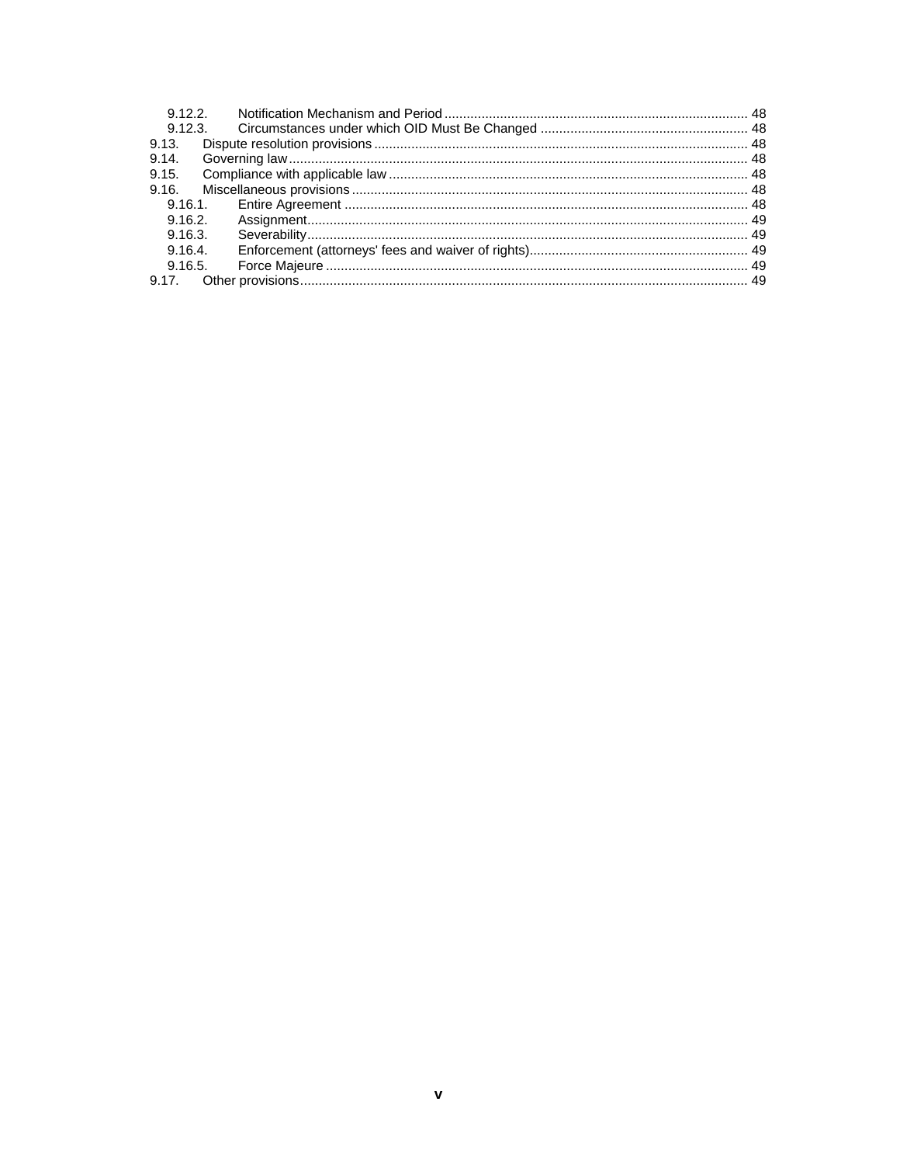|         | 9.12.2 |  |
|---------|--------|--|
|         |        |  |
| 9.13.   |        |  |
| 9.14.   |        |  |
| 9.15.   |        |  |
|         |        |  |
|         |        |  |
|         |        |  |
| 9.16.3. |        |  |
| 9.16.4. |        |  |
|         |        |  |
|         |        |  |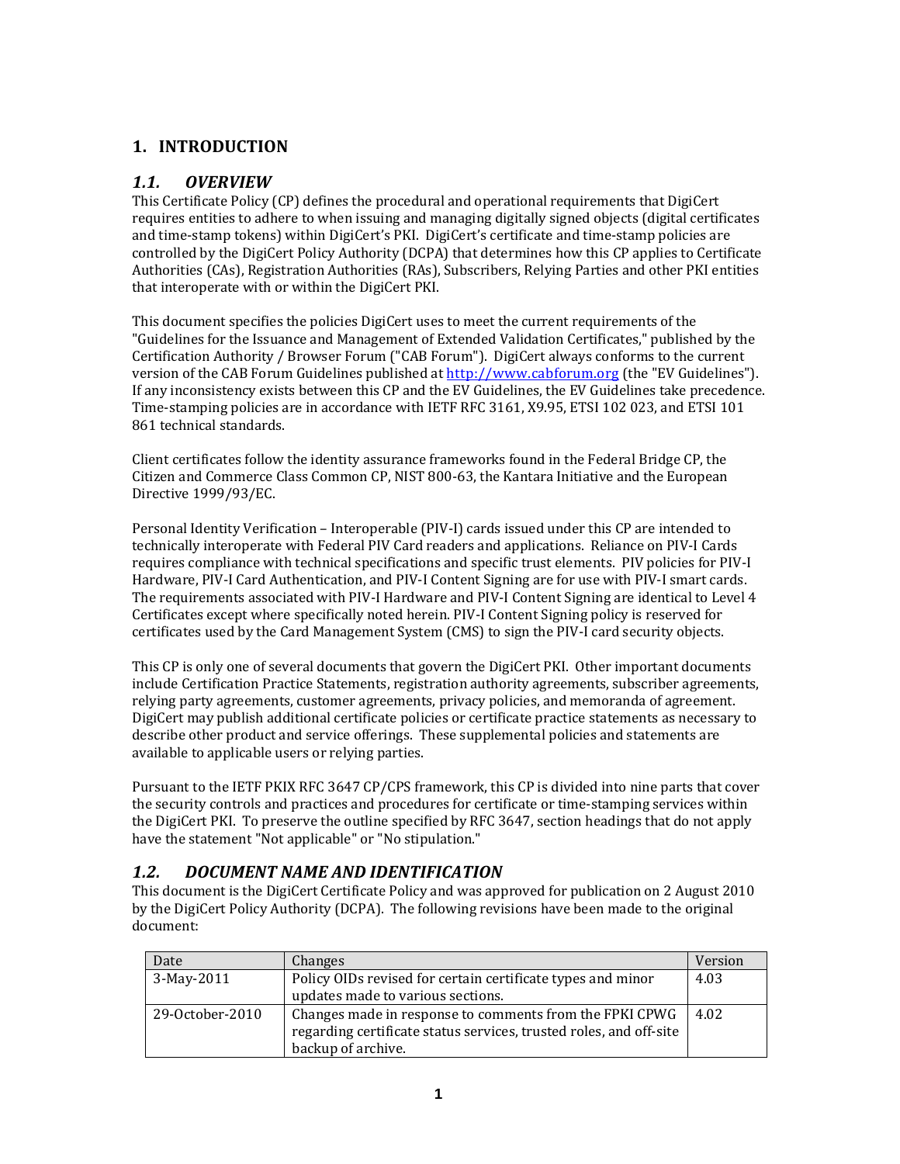## **1. INTRODUCTION**

#### *1.1. OVERVIEW*

This Certificate Policy (CP) defines the procedural and operational requirements that DigiCert requires entities to adhere to when issuing and managing digitally signed objects (digital certificates and time‐stamp tokens) within DigiCert's PKI. DigiCert's certificate and time‐stamp policies are controlled by the DigiCert Policy Authority (DCPA) that determines how this CP applies to Certificate Authorities (CAs), Registration Authorities (RAs), Subscribers, Relying Parties and other PKI entities that interoperate with or within the DigiCert PKI.

This document specifies the policies DigiCert uses to meet the current requirements of the "Guidelines for the Issuance and Management of Extended Validation Certificates," published by the Certification Authority / Browser Forum ("CAB Forum"). DigiCert always conforms to the current version of the CAB Forum Guidelines published at http://www.cabforum.org (the "EV Guidelines"). If any inconsistency exists between this CP and the EV Guidelines, the EV Guidelines take precedence. Time‐stamping policies are in accordance with IETF RFC 3161, X9.95, ETSI 102 023, and ETSI 101 861 technical standards.

Client certificates follow the identity assurance frameworks found in the Federal Bridge CP, the Citizen and Commerce Class Common CP, NIST 800‐63, the Kantara Initiative and the European Directive 1999/93/EC.

Personal Identity Verification – Interoperable (PIV‐I) cards issued under this CP are intended to technically interoperate with Federal PIV Card readers and applications. Reliance on PIV‐I Cards requires compliance with technical specifications and specific trust elements. PIV policies for PIV‐I Hardware, PIV‐I Card Authentication, and PIV‐I Content Signing are for use with PIV‐I smart cards. The requirements associated with PIV‐I Hardware and PIV‐I Content Signing are identical to Level 4 Certificates except where specifically noted herein. PIV‐I Content Signing policy is reserved for certificates used by the Card Management System (CMS) to sign the PIV‐I card security objects.

This CP is only one of several documents that govern the DigiCert PKI. Other important documents include Certification Practice Statements, registration authority agreements, subscriber agreements, relying party agreements, customer agreements, privacy policies, and memoranda of agreement. DigiCert may publish additional certificate policies or certificate practice statements as necessary to describe other product and service offerings. These supplemental policies and statements are available to applicable users or relying parties.

Pursuant to the IETF PKIX RFC 3647 CP/CPS framework, this CP is divided into nine parts that cover the security controls and practices and procedures for certificate or time‐stamping services within the DigiCert PKI. To preserve the outline specified by RFC 3647, section headings that do not apply have the statement "Not applicable" or "No stipulation."

#### *1.2. DOCUMENT NAME AND IDENTIFICATION*

This document is the DigiCert Certificate Policy and was approved for publication on 2 August 2010 by the DigiCert Policy Authority (DCPA). The following revisions have been made to the original document:

| Date            | Changes                                                            | Version |
|-----------------|--------------------------------------------------------------------|---------|
| 3-May-2011      | Policy OIDs revised for certain certificate types and minor        | 4.03    |
|                 | updates made to various sections.                                  |         |
| 29-October-2010 | Changes made in response to comments from the FPKI CPWG            | 4.02    |
|                 | regarding certificate status services, trusted roles, and off-site |         |
|                 | backup of archive.                                                 |         |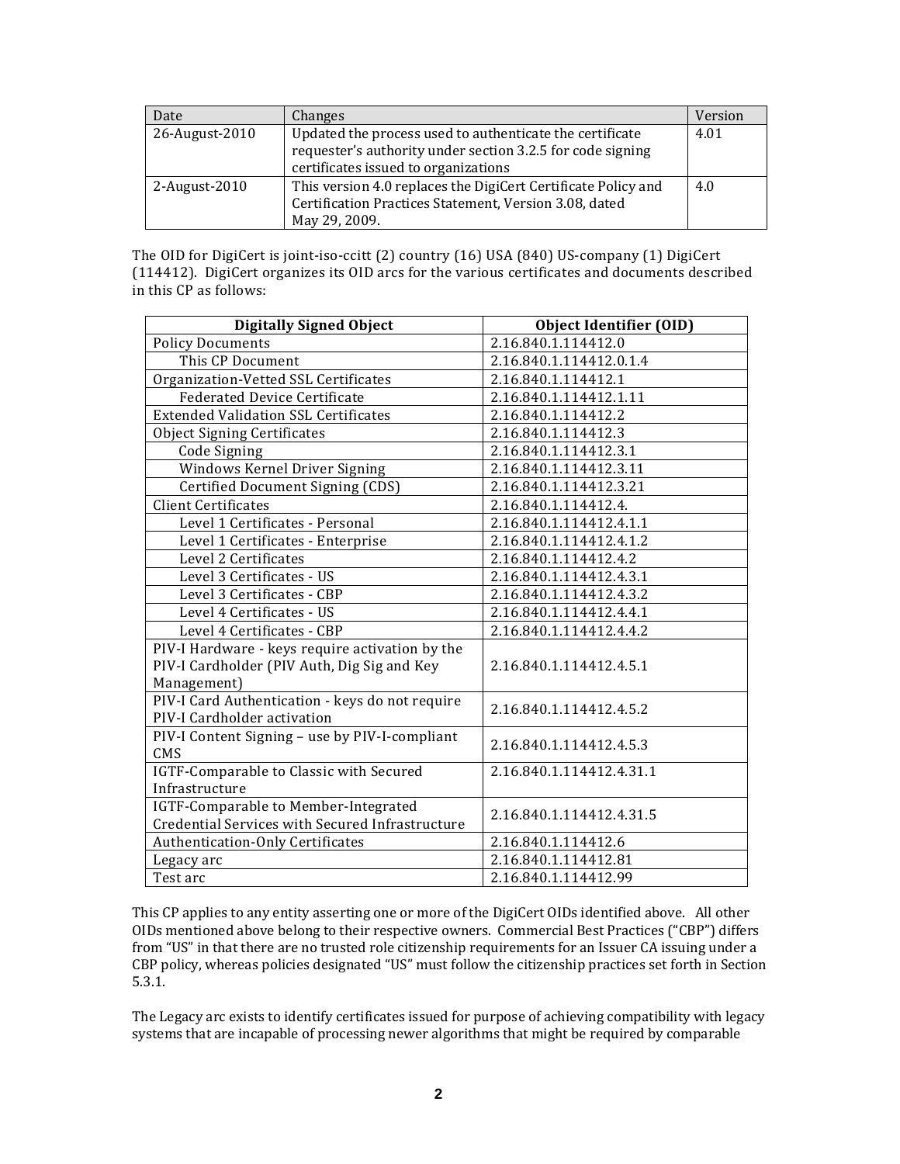| Date           | Changes                                                       | Version |
|----------------|---------------------------------------------------------------|---------|
| 26-August-2010 | Updated the process used to authenticate the certificate      | 4.01    |
|                | requester's authority under section 3.2.5 for code signing    |         |
|                | certificates issued to organizations                          |         |
| 2-August-2010  | This version 4.0 replaces the DigiCert Certificate Policy and | 4.0     |
|                | Certification Practices Statement, Version 3.08, dated        |         |
|                | May 29, 2009.                                                 |         |

The OID for DigiCert is joint-iso-ccitt (2) country (16) USA (840) US-company (1) DigiCert (114412). DigiCert organizes its OID arcs for the various certificates and documents described in this CP as follows:

| <b>Digitally Signed Object</b>                  | <b>Object Identifier (OID)</b> |  |
|-------------------------------------------------|--------------------------------|--|
| <b>Policy Documents</b>                         | 2.16.840.1.114412.0            |  |
| This CP Document                                | 2.16.840.1.114412.0.1.4        |  |
| Organization-Vetted SSL Certificates            | 2.16.840.1.114412.1            |  |
| <b>Federated Device Certificate</b>             | 2.16.840.1.114412.1.11         |  |
| <b>Extended Validation SSL Certificates</b>     | 2.16.840.1.114412.2            |  |
| <b>Object Signing Certificates</b>              | 2.16.840.1.114412.3            |  |
| Code Signing                                    | 2.16.840.1.114412.3.1          |  |
| Windows Kernel Driver Signing                   | 2.16.840.1.114412.3.11         |  |
| Certified Document Signing (CDS)                | 2.16.840.1.114412.3.21         |  |
| <b>Client Certificates</b>                      | 2.16.840.1.114412.4.           |  |
| Level 1 Certificates - Personal                 | 2.16.840.1.114412.4.1.1        |  |
| Level 1 Certificates - Enterprise               | 2.16.840.1.114412.4.1.2        |  |
| Level 2 Certificates                            | 2.16.840.1.114412.4.2          |  |
| Level 3 Certificates - US                       | 2.16.840.1.114412.4.3.1        |  |
| Level 3 Certificates - CBP                      | 2.16.840.1.114412.4.3.2        |  |
| Level 4 Certificates - US                       | 2.16.840.1.114412.4.4.1        |  |
| Level 4 Certificates - CBP                      | 2.16.840.1.114412.4.4.2        |  |
| PIV-I Hardware - keys require activation by the |                                |  |
| PIV-I Cardholder (PIV Auth, Dig Sig and Key     | 2.16.840.1.114412.4.5.1        |  |
| Management)                                     |                                |  |
| PIV-I Card Authentication - keys do not require | 2.16.840.1.114412.4.5.2        |  |
| PIV-I Cardholder activation                     |                                |  |
| PIV-I Content Signing - use by PIV-I-compliant  | 2.16.840.1.114412.4.5.3        |  |
| CMS                                             |                                |  |
| IGTF-Comparable to Classic with Secured         | 2.16.840.1.114412.4.31.1       |  |
| Infrastructure                                  |                                |  |
| IGTF-Comparable to Member-Integrated            | 2.16.840.1.114412.4.31.5       |  |
| Credential Services with Secured Infrastructure |                                |  |
| Authentication-Only Certificates                | 2.16.840.1.114412.6            |  |
| Legacy arc                                      | 2.16.840.1.114412.81           |  |
| Test arc                                        | 2.16.840.1.114412.99           |  |

This CP applies to any entity asserting one or more of the DigiCert OIDs identified above. All other OIDs mentioned above belong to their respective owners. Commercial Best Practices ("CBP") differs from "US" in that there are no trusted role citizenship requirements for an Issuer CA issuing under a CBP policy, whereas policies designated "US" must follow the citizenship practices set forth in Section 5.3.1.

The Legacy arc exists to identify certificates issued for purpose of achieving compatibility with legacy systems that are incapable of processing newer algorithms that might be required by comparable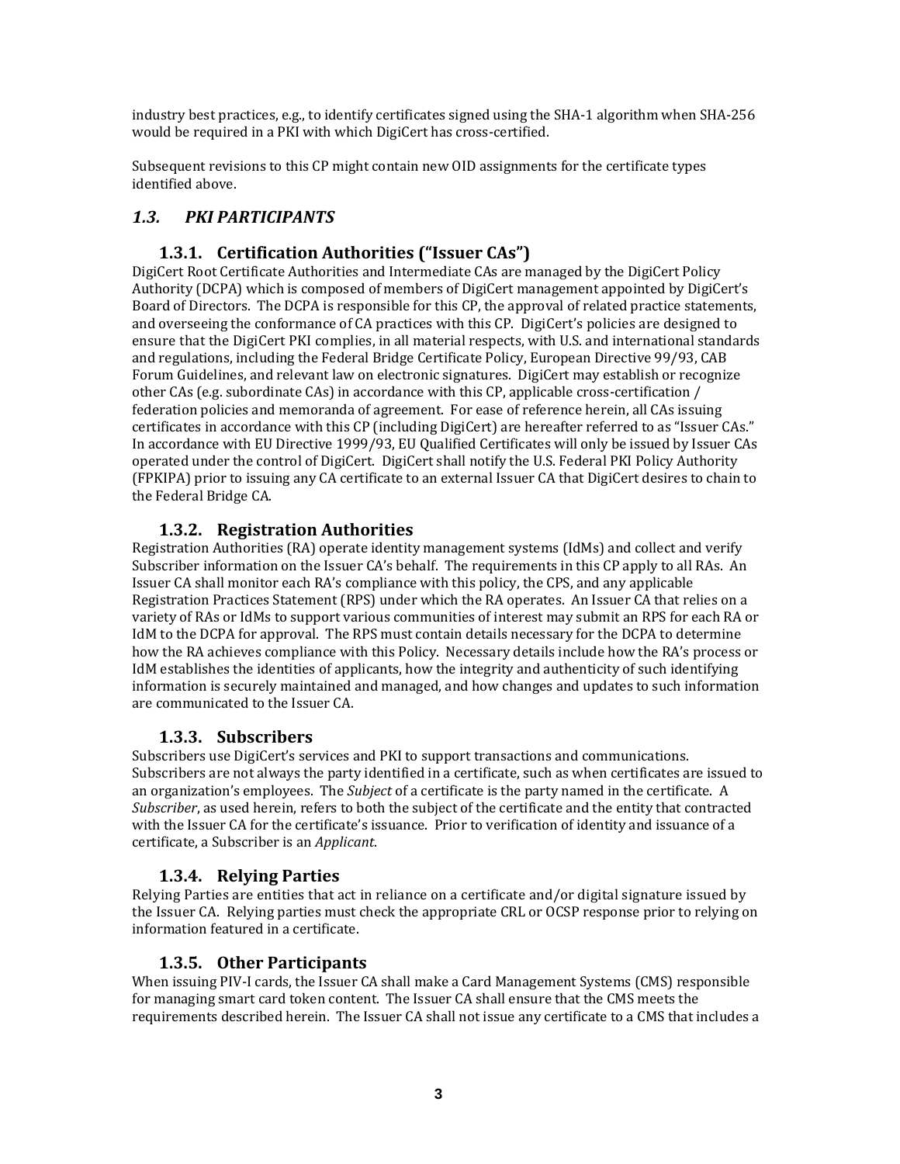industry best practices, e.g., to identify certificates signed using the SHA‐1 algorithm when SHA‐256 would be required in a PKI with which DigiCert has cross‐certified.

Subsequent revisions to this CP might contain new OID assignments for the certificate types identified above.

# *1.3. PKI PARTICIPANTS*

# **1.3.1. Certification Authorities ("Issuer CAs")**

DigiCert Root Certificate Authorities and Intermediate CAs are managed by the DigiCert Policy Authority (DCPA) which is composed of members of DigiCert management appointed by DigiCert's Board of Directors. The DCPA is responsible for this CP, the approval of related practice statements, and overseeing the conformance of CA practices with this CP. DigiCert's policies are designed to ensure that the DigiCert PKI complies, in all material respects, with U.S. and international standards and regulations, including the Federal Bridge Certificate Policy, European Directive 99/93, CAB Forum Guidelines, and relevant law on electronic signatures. DigiCert may establish or recognize other CAs (e.g. subordinate CAs) in accordance with this CP, applicable cross‐certification / federation policies and memoranda of agreement. For ease of reference herein, all CAs issuing certificates in accordance with this CP (including DigiCert) are hereafter referred to as "Issuer CAs." In accordance with EU Directive 1999/93, EU Qualified Certificates will only be issued by Issuer CAs operated under the control of DigiCert. DigiCert shall notify the U.S. Federal PKI Policy Authority (FPKIPA) prior to issuing any CA certificate to an external Issuer CA that DigiCert desires to chain to the Federal Bridge CA.

## **1.3.2. Registration Authorities**

Registration Authorities (RA) operate identity management systems (IdMs) and collect and verify Subscriber information on the Issuer CA's behalf. The requirements in this CP apply to all RAs. An Issuer CA shall monitor each RA's compliance with this policy, the CPS, and any applicable Registration Practices Statement (RPS) under which the RA operates. An Issuer CA that relies on a variety of RAs or IdMs to support various communities of interest may submit an RPS for each RA or IdM to the DCPA for approval. The RPS must contain details necessary for the DCPA to determine how the RA achieves compliance with this Policy. Necessary details include how the RA's process or IdM establishes the identities of applicants, how the integrity and authenticity of such identifying information is securely maintained and managed, and how changes and updates to such information are communicated to the Issuer CA.

#### **1.3.3. Subscribers**

Subscribers use DigiCert's services and PKI to support transactions and communications. Subscribers are not always the party identified in a certificate, such as when certificates are issued to an organization's employees. The *Subject* of a certificate is the party named in the certificate. A *Subscriber*, as used herein, refers to both the subject of the certificate and the entity that contracted with the Issuer CA for the certificate's issuance. Prior to verification of identity and issuance of a certificate, a Subscriber is an *Applicant*.

#### **1.3.4. Relying Parties**

Relying Parties are entities that act in reliance on a certificate and/or digital signature issued by the Issuer CA. Relying parties must check the appropriate CRL or OCSP response prior to relying on information featured in a certificate.

#### **1.3.5. Other Participants**

When issuing PIV-I cards, the Issuer CA shall make a Card Management Systems (CMS) responsible for managing smart card token content. The Issuer CA shall ensure that the CMS meets the requirements described herein. The Issuer CA shall not issue any certificate to a CMS that includes a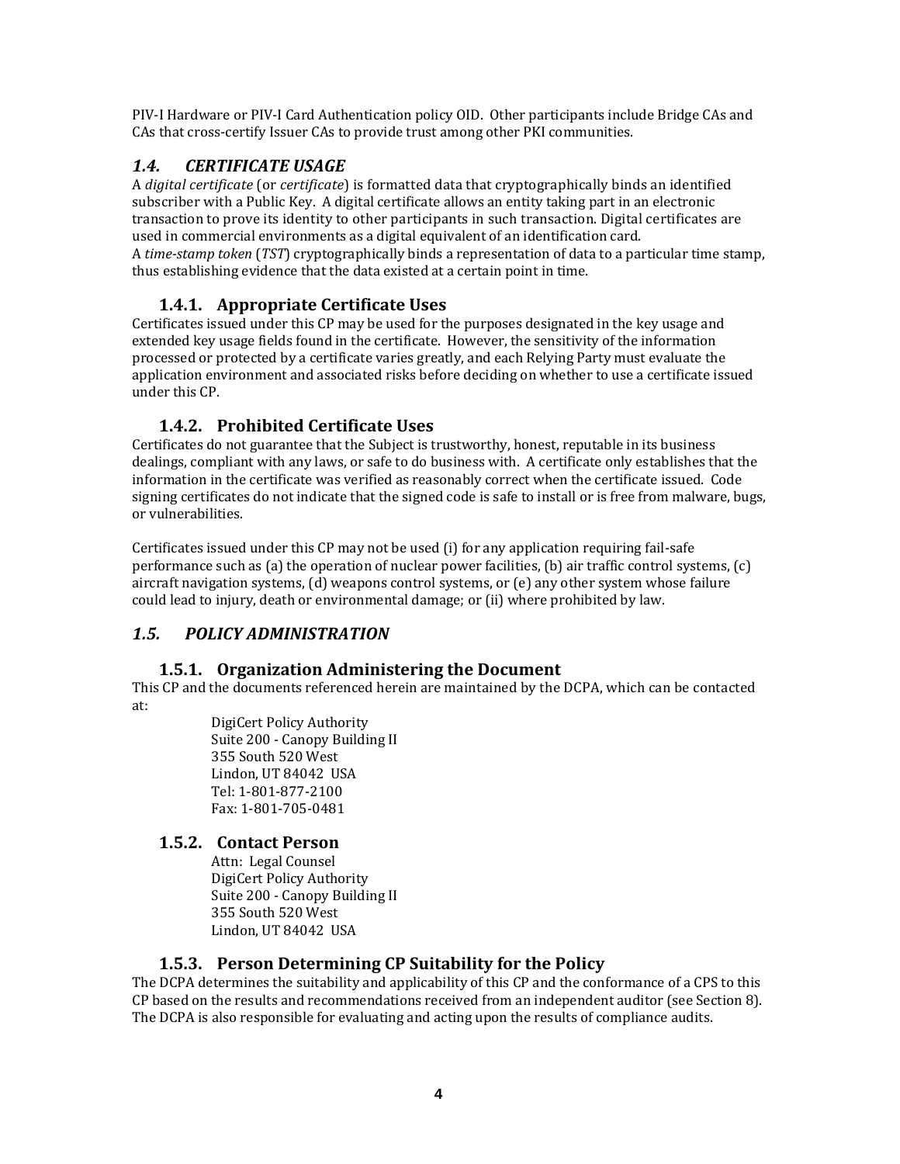PIV‐I Hardware or PIV‐I Card Authentication policy OID. Other participants include Bridge CAs and CAs that cross‐certify Issuer CAs to provide trust among other PKI communities.

# *1.4. CERTIFICATE USAGE*

A *digital certificate* (or *certificate*) is formatted data that cryptographically binds an identified subscriber with a Public Key. A digital certificate allows an entity taking part in an electronic transaction to prove its identity to other participants in such transaction. Digital certificates are used in commercial environments as a digital equivalent of an identification card. A *timestamp token* (*TST*) cryptographically binds a representation of data to a particular time stamp, thus establishing evidence that the data existed at a certain point in time.

# **1.4.1. Appropriate Certificate Uses**

Certificates issued under this CP may be used for the purposes designated in the key usage and extended key usage fields found in the certificate. However, the sensitivity of the information processed or protected by a certificate varies greatly, and each Relying Party must evaluate the application environment and associated risks before deciding on whether to use a certificate issued under this CP.

# **1.4.2. Prohibited Certificate Uses**

Certificates do not guarantee that the Subject is trustworthy, honest, reputable in its business dealings, compliant with any laws, or safe to do business with. A certificate only establishes that the information in the certificate was verified as reasonably correct when the certificate issued. Code signing certificates do not indicate that the signed code is safe to install or is free from malware, bugs, or vulnerabilities.

Certificates issued under this CP may not be used (i) for any application requiring fail‐safe performance such as (a) the operation of nuclear power facilities, (b) air traffic control systems, (c) aircraft navigation systems, (d) weapons control systems, or (e) any other system whose failure could lead to injury, death or environmental damage; or (ii) where prohibited by law.

# *1.5. POLICY ADMINISTRATION*

# **1.5.1. Organization Administering the Document**

This CP and the documents referenced herein are maintained by the DCPA, which can be contacted at:

> DigiCert Policy Authority Suite 200 ‐ Canopy Building II 355 South 520 West Lindon, UT 84042 USA Tel: 1‐801‐877‐2100 Fax: 1‐801‐705‐0481

# **1.5.2. Contact Person**

Attn: Legal Counsel DigiCert Policy Authority Suite 200 ‐ Canopy Building II 355 South 520 West Lindon, UT 84042 USA

# **1.5.3. Person Determining CP Suitability for the Policy**

The DCPA determines the suitability and applicability of this CP and the conformance of a CPS to this CP based on the results and recommendations received from an independent auditor (see Section 8). The DCPA is also responsible for evaluating and acting upon the results of compliance audits.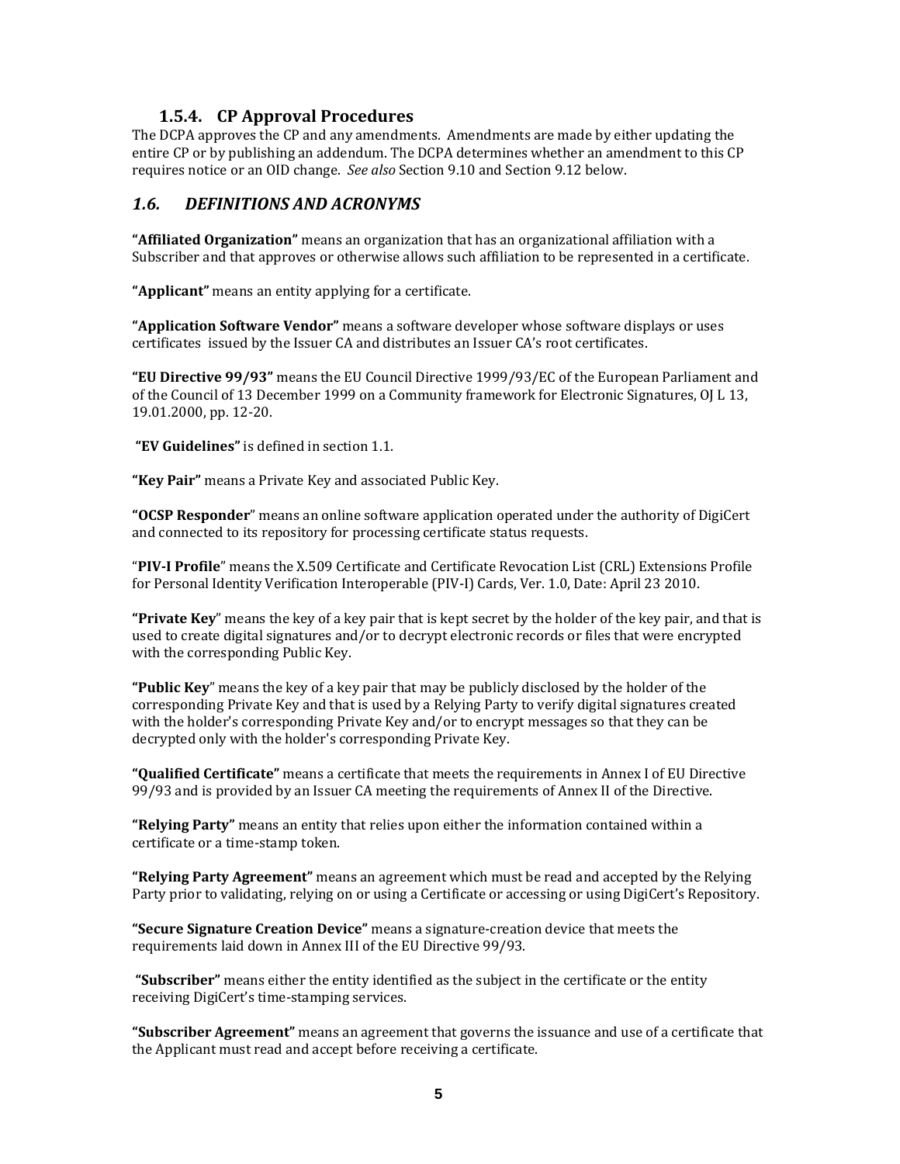#### **1.5.4. CP Approval Procedures**

The DCPA approves the CP and any amendments. Amendments are made by either updating the entire CP or by publishing an addendum. The DCPA determines whether an amendment to this CP requires notice or an OID change. *See also* Section 9.10 and Section 9.12 below.

#### *1.6. DEFINITIONS AND ACRONYMS*

**"Affiliated Organization"** means an organization that has an organizational affiliation with a Subscriber and that approves or otherwise allows such affiliation to be represented in a certificate.

**"Applicant"** means an entity applying for a certificate.

**"Application Software Vendor"** means a software developer whose software displays or uses certificates issued by the Issuer CA and distributes an Issuer CA's root certificates.

**"EU Directive 99/93"** means the EU Council Directive 1999/93/EC of the European Parliament and of the Council of 13 December 1999 on a Community framework for Electronic Signatures, OJ L 13, 19.01.2000, pp. 12‐20.

**"EV Guidelines"** is defined in section 1.1.

**"Key Pair"** means a Private Key and associated Public Key.

**"OCSP Responder**" means an online software application operated under the authority of DigiCert and connected to its repository for processing certificate status requests.

"**PIVI Profile**" means the X.509 Certificate and Certificate Revocation List (CRL) Extensions Profile for Personal Identity Verification Interoperable (PIV‐I) Cards, Ver. 1.0, Date: April 23 2010.

**"Private Key**" means the key of a key pair that is kept secret by the holder of the key pair, and that is used to create digital signatures and/or to decrypt electronic records or files that were encrypted with the corresponding Public Key.

**"Public Key**" means the key of a key pair that may be publicly disclosed by the holder of the corresponding Private Key and that is used by a Relying Party to verify digital signatures created with the holder's corresponding Private Key and/or to encrypt messages so that they can be decrypted only with the holder's corresponding Private Key.

**"Qualified Certificate"** means a certificate that meets the requirements in Annex I of EU Directive 99/93 and is provided by an Issuer CA meeting the requirements of Annex II of the Directive.

**"Relying Party"** means an entity that relies upon either the information contained within a certificate or a time‐stamp token.

**"Relying Party Agreement"** means an agreement which must be read and accepted by the Relying Party prior to validating, relying on or using a Certificate or accessing or using DigiCert's Repository.

**"Secure Signature Creation Device"** means a signature‐creation device that meets the requirements laid down in Annex III of the EU Directive 99/93.

**"Subscriber"** means either the entity identified as the subject in the certificate or the entity receiving DigiCert's time‐stamping services.

**"Subscriber Agreement"** means an agreement that governs the issuance and use of a certificate that the Applicant must read and accept before receiving a certificate.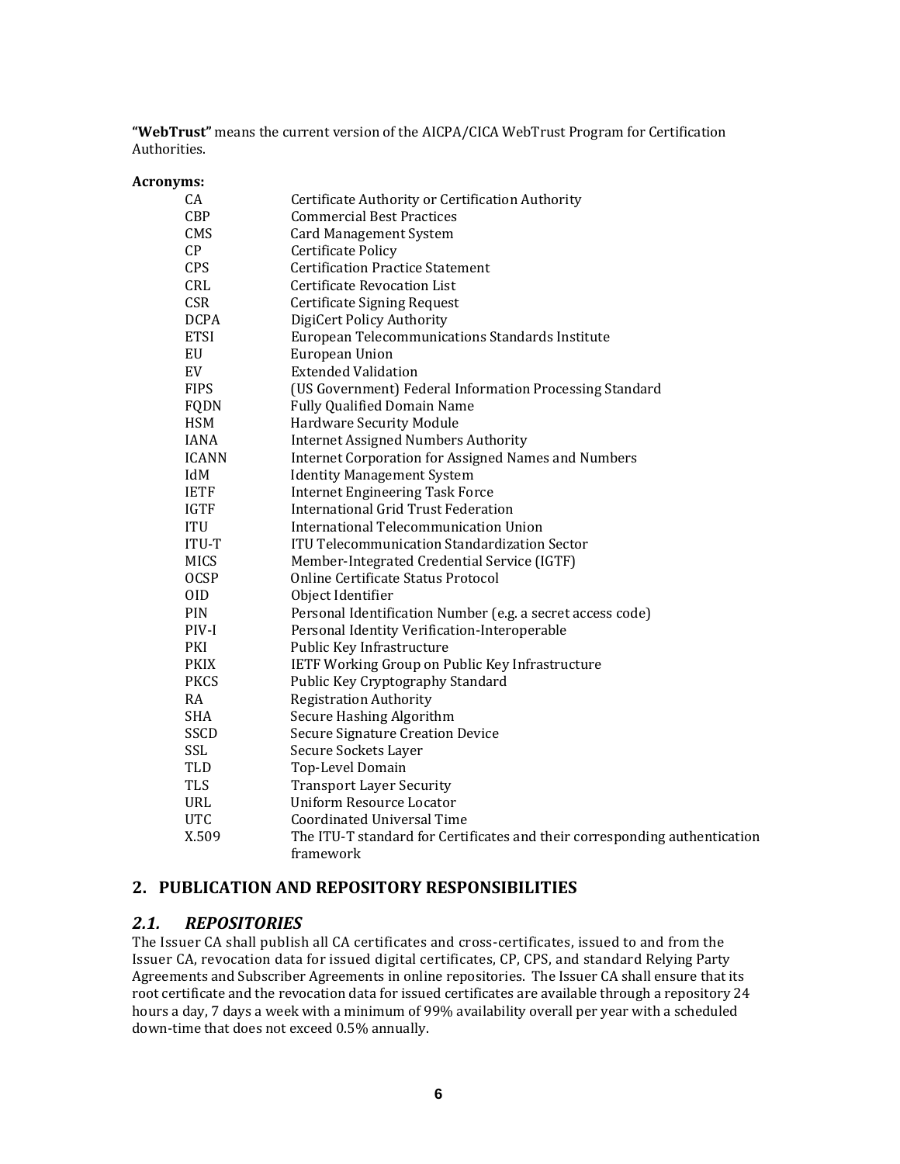**"WebTrust"** means the current version of the AICPA/CICA WebTrust Program for Certification Authorities.

#### **Acronyms:**

| CA           | Certificate Authority or Certification Authority                           |
|--------------|----------------------------------------------------------------------------|
| <b>CBP</b>   | <b>Commercial Best Practices</b>                                           |
| CMS          | <b>Card Management System</b>                                              |
| CP           | <b>Certificate Policy</b>                                                  |
| <b>CPS</b>   | <b>Certification Practice Statement</b>                                    |
| CRL          | Certificate Revocation List                                                |
| <b>CSR</b>   | <b>Certificate Signing Request</b>                                         |
| <b>DCPA</b>  | DigiCert Policy Authority                                                  |
| <b>ETSI</b>  | European Telecommunications Standards Institute                            |
| EU           | European Union                                                             |
| EV           | <b>Extended Validation</b>                                                 |
| <b>FIPS</b>  | (US Government) Federal Information Processing Standard                    |
| FQDN         | <b>Fully Qualified Domain Name</b>                                         |
| <b>HSM</b>   | Hardware Security Module                                                   |
| <b>IANA</b>  | <b>Internet Assigned Numbers Authority</b>                                 |
| <b>ICANN</b> | <b>Internet Corporation for Assigned Names and Numbers</b>                 |
| IdM          | <b>Identity Management System</b>                                          |
| <b>IETF</b>  | <b>Internet Engineering Task Force</b>                                     |
| <b>IGTF</b>  | <b>International Grid Trust Federation</b>                                 |
| <b>ITU</b>   | International Telecommunication Union                                      |
| <b>ITU-T</b> | <b>ITU Telecommunication Standardization Sector</b>                        |
| <b>MICS</b>  | Member-Integrated Credential Service (IGTF)                                |
| <b>OCSP</b>  | Online Certificate Status Protocol                                         |
| 0ID          | Object Identifier                                                          |
| PIN          | Personal Identification Number (e.g. a secret access code)                 |
| PIV-I        | Personal Identity Verification-Interoperable                               |
| PKI          | Public Key Infrastructure                                                  |
| <b>PKIX</b>  | IETF Working Group on Public Key Infrastructure                            |
| <b>PKCS</b>  | Public Key Cryptography Standard                                           |
| RA           | <b>Registration Authority</b>                                              |
| SHA          | Secure Hashing Algorithm                                                   |
| SSCD         | <b>Secure Signature Creation Device</b>                                    |
| SSL          | Secure Sockets Layer                                                       |
| <b>TLD</b>   | Top-Level Domain                                                           |
| <b>TLS</b>   | <b>Transport Layer Security</b>                                            |
| URL          | <b>Uniform Resource Locator</b>                                            |
| <b>UTC</b>   | <b>Coordinated Universal Time</b>                                          |
| X.509        | The ITU-T standard for Certificates and their corresponding authentication |
|              | framework                                                                  |

#### **2. PUBLICATION AND REPOSITORY RESPONSIBILITIES**

#### *2.1. REPOSITORIES*

The Issuer CA shall publish all CA certificates and cross-certificates, issued to and from the Issuer CA, revocation data for issued digital certificates, CP, CPS, and standard Relying Party Agreements and Subscriber Agreements in online repositories. The Issuer CA shall ensure that its root certificate and the revocation data for issued certificates are available through a repository 24 hours a day, 7 days a week with a minimum of 99% availability overall per year with a scheduled down‐time that does not exceed 0.5% annually.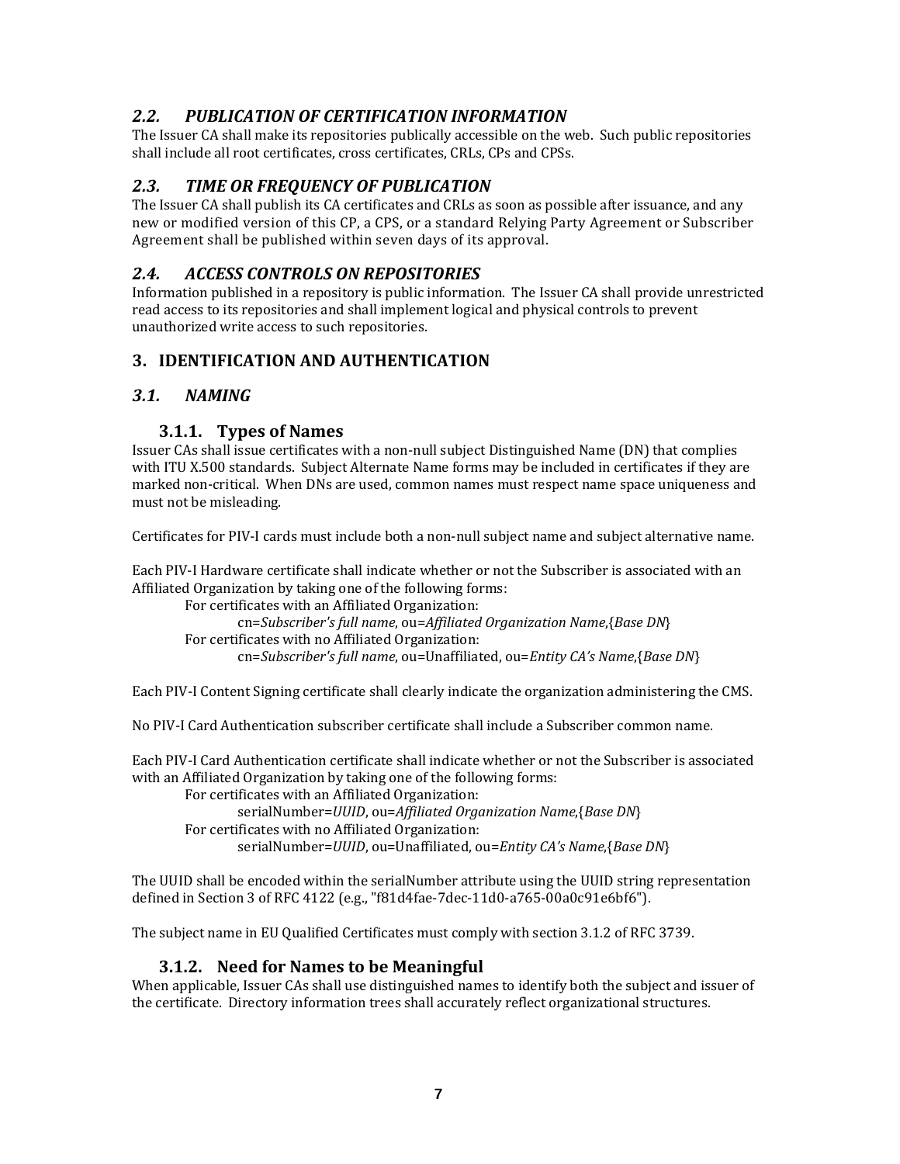# *2.2. PUBLICATION OF CERTIFICATION INFORMATION*

The Issuer CA shall make its repositories publically accessible on the web. Such public repositories shall include all root certificates, cross certificates, CRLs, CPs and CPSs.

# *2.3. TIME OR FREQUENCY OF PUBLICATION*

The Issuer CA shall publish its CA certificates and CRLs as soon as possible after issuance, and any new or modified version of this CP, a CPS, or a standard Relying Party Agreement or Subscriber Agreement shall be published within seven days of its approval.

# *2.4. ACCESS CONTROLS ON REPOSITORIES*

Information published in a repository is public information. The Issuer CA shall provide unrestricted read access to its repositories and shall implement logical and physical controls to prevent unauthorized write access to such repositories.

# **3. IDENTIFICATION AND AUTHENTICATION**

# *3.1. NAMING*

## **3.1.1. Types of Names**

Issuer CAs shall issue certificates with a non‐null subject Distinguished Name (DN) that complies with ITU X.500 standards. Subject Alternate Name forms may be included in certificates if they are marked non‐critical. When DNs are used, common names must respect name space uniqueness and must not be misleading.

Certificates for PIV‐I cards must include both a non‐null subject name and subject alternative name.

Each PIV‐I Hardware certificate shall indicate whether or not the Subscriber is associated with an Affiliated Organization by taking one of the following forms:

For certificates with an Affiliated Organization: cn=*Subscriber's full name*, ou=*Affiliated Organization Name*,{*Base DN*} For certificates with no Affiliated Organization: cn=*Subscriber's full name*, ou=Unaffiliated, ou=*Entity CA's Name*,{*Base DN*}

Each PIV‐I Content Signing certificate shall clearly indicate the organization administering the CMS.

No PIV‐I Card Authentication subscriber certificate shall include a Subscriber common name.

Each PIV‐I Card Authentication certificate shall indicate whether or not the Subscriber is associated with an Affiliated Organization by taking one of the following forms:

For certificates with an Affiliated Organization: serialNumber=*UUID*, ou=*Affiliated Organization Name*,{*Base DN*} For certificates with no Affiliated Organization: serialNumber=*UUID*, ou=Unaffiliated, ou=*Entity CA's Name*,{*Base DN*}

The UUID shall be encoded within the serialNumber attribute using the UUID string representation defined in Section 3 of RFC 4122 (e.g., "f81d4fae‐7dec‐11d0‐a765‐00a0c91e6bf6").

The subject name in EU Qualified Certificates must comply with section 3.1.2 of RFC 3739.

#### **3.1.2. Need for Names to be Meaningful**

When applicable, Issuer CAs shall use distinguished names to identify both the subject and issuer of the certificate. Directory information trees shall accurately reflect organizational structures.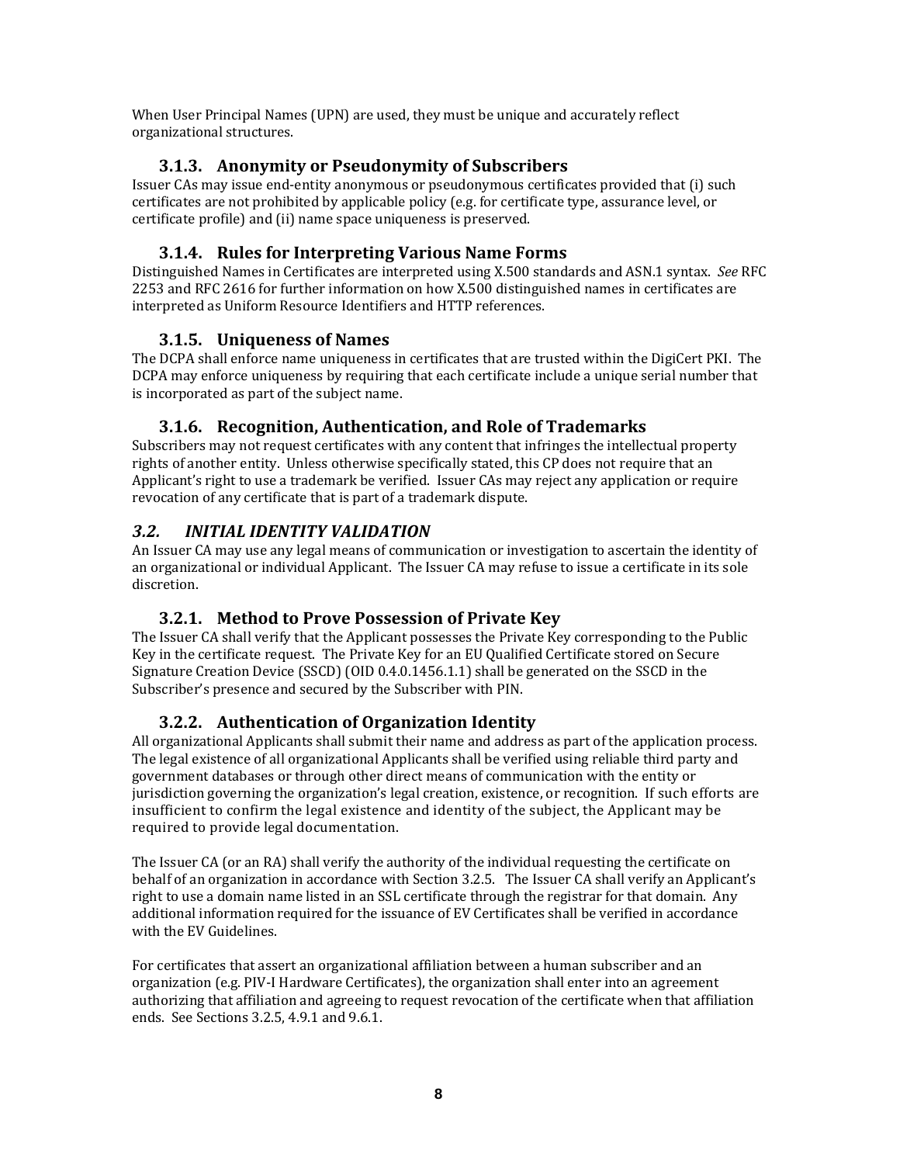When User Principal Names (UPN) are used, they must be unique and accurately reflect organizational structures.

# **3.1.3. Anonymity or Pseudonymity of Subscribers**

Issuer CAs may issue end‐entity anonymous or pseudonymous certificates provided that (i) such certificates are not prohibited by applicable policy (e.g. for certificate type, assurance level, or certificate profile) and (ii) name space uniqueness is preserved.

# **3.1.4. Rules for Interpreting Various Name Forms**

Distinguished Names in Certificates are interpreted using X.500 standards and ASN.1 syntax. *See* RFC 2253 and RFC 2616 for further information on how X.500 distinguished names in certificates are interpreted as Uniform Resource Identifiers and HTTP references.

# **3.1.5. Uniqueness of Names**

The DCPA shall enforce name uniqueness in certificates that are trusted within the DigiCert PKI. The DCPA may enforce uniqueness by requiring that each certificate include a unique serial number that is incorporated as part of the subject name.

# **3.1.6. Recognition, Authentication, and Role of Trademarks**

Subscribers may not request certificates with any content that infringes the intellectual property rights of another entity. Unless otherwise specifically stated, this CP does not require that an Applicant's right to use a trademark be verified. Issuer CAs may reject any application or require revocation of any certificate that is part of a trademark dispute.

# *3.2. INITIAL IDENTITY VALIDATION*

An Issuer CA may use any legal means of communication or investigation to ascertain the identity of an organizational or individual Applicant. The Issuer CA may refuse to issue a certificate in its sole discretion.

# **3.2.1. Method to Prove Possession of Private Key**

The Issuer CA shall verify that the Applicant possesses the Private Key corresponding to the Public Key in the certificate request. The Private Key for an EU Qualified Certificate stored on Secure Signature Creation Device (SSCD) (OID 0.4.0.1456.1.1) shall be generated on the SSCD in the Subscriber's presence and secured by the Subscriber with PIN.

# **3.2.2. Authentication of Organization Identity**

All organizational Applicants shall submit their name and address as part of the application process. The legal existence of all organizational Applicants shall be verified using reliable third party and government databases or through other direct means of communication with the entity or jurisdiction governing the organization's legal creation, existence, or recognition. If such efforts are insufficient to confirm the legal existence and identity of the subject, the Applicant may be required to provide legal documentation.

The Issuer CA (or an RA) shall verify the authority of the individual requesting the certificate on behalf of an organization in accordance with Section 3.2.5. The Issuer CA shall verify an Applicant's right to use a domain name listed in an SSL certificate through the registrar for that domain. Any additional information required for the issuance of EV Certificates shall be verified in accordance with the EV Guidelines.

For certificates that assert an organizational affiliation between a human subscriber and an organization (e.g. PIV‐I Hardware Certificates), the organization shall enter into an agreement authorizing that affiliation and agreeing to request revocation of the certificate when that affiliation ends. See Sections 3.2.5, 4.9.1 and 9.6.1.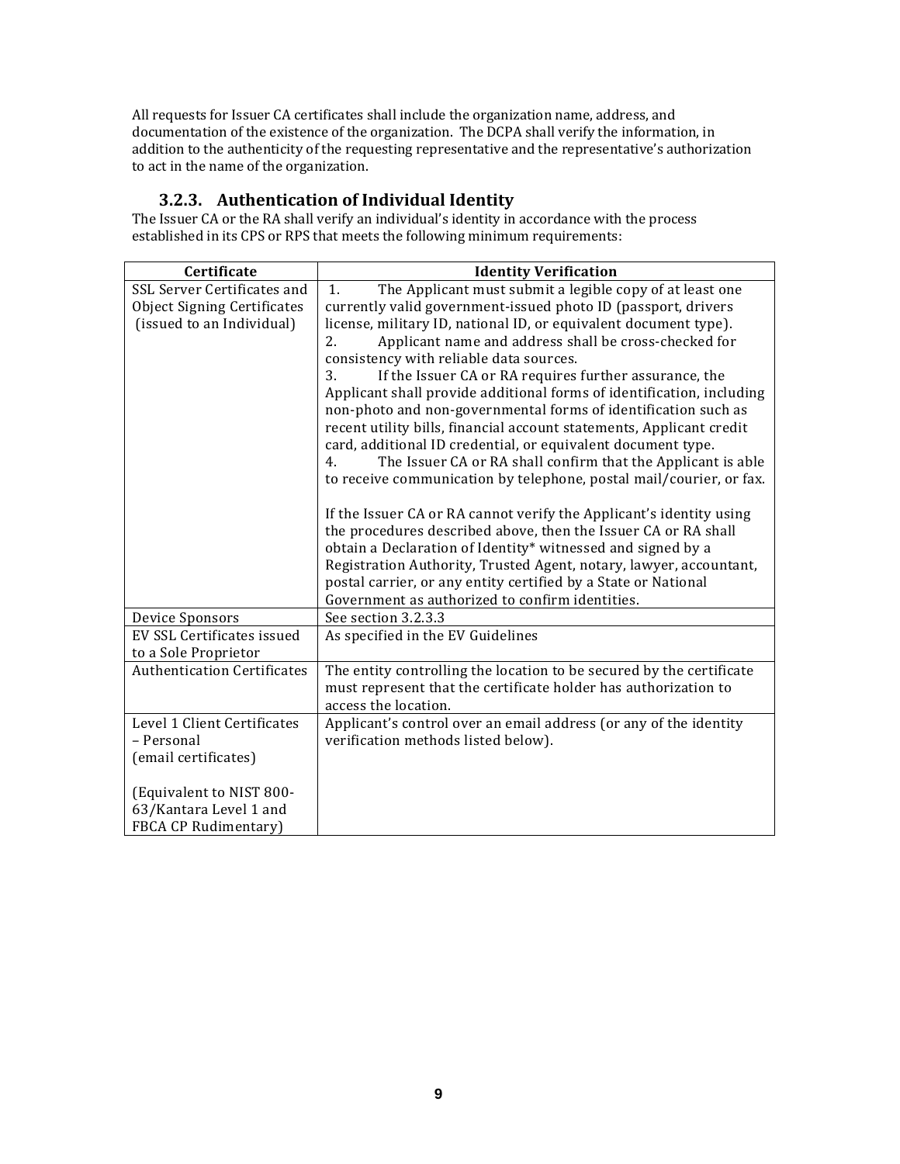All requests for Issuer CA certificates shall include the organization name, address, and documentation of the existence of the organization. The DCPA shall verify the information, in addition to the authenticity of the requesting representative and the representative's authorization to act in the name of the organization.

# **3.2.3. Authentication of Individual Identity**

The Issuer CA or the RA shall verify an individual's identity in accordance with the process established in its CPS or RPS that meets the following minimum requirements:

| Certificate                               | <b>Identity Verification</b>                                                                                                         |
|-------------------------------------------|--------------------------------------------------------------------------------------------------------------------------------------|
| SSL Server Certificates and               | The Applicant must submit a legible copy of at least one<br>1.                                                                       |
| <b>Object Signing Certificates</b>        | currently valid government-issued photo ID (passport, drivers                                                                        |
| (issued to an Individual)                 | license, military ID, national ID, or equivalent document type).                                                                     |
|                                           | Applicant name and address shall be cross-checked for<br>2.                                                                          |
|                                           | consistency with reliable data sources.                                                                                              |
|                                           | 3.<br>If the Issuer CA or RA requires further assurance, the                                                                         |
|                                           | Applicant shall provide additional forms of identification, including                                                                |
|                                           | non-photo and non-governmental forms of identification such as                                                                       |
|                                           | recent utility bills, financial account statements, Applicant credit<br>card, additional ID credential, or equivalent document type. |
|                                           | The Issuer CA or RA shall confirm that the Applicant is able<br>4.                                                                   |
|                                           | to receive communication by telephone, postal mail/courier, or fax.                                                                  |
|                                           |                                                                                                                                      |
|                                           | If the Issuer CA or RA cannot verify the Applicant's identity using                                                                  |
|                                           | the procedures described above, then the Issuer CA or RA shall                                                                       |
|                                           | obtain a Declaration of Identity* witnessed and signed by a                                                                          |
|                                           | Registration Authority, Trusted Agent, notary, lawyer, accountant,                                                                   |
|                                           | postal carrier, or any entity certified by a State or National                                                                       |
|                                           | Government as authorized to confirm identities.                                                                                      |
| Device Sponsors                           | See section 3.2.3.3                                                                                                                  |
| EV SSL Certificates issued                | As specified in the EV Guidelines                                                                                                    |
| to a Sole Proprietor                      |                                                                                                                                      |
| <b>Authentication Certificates</b>        | The entity controlling the location to be secured by the certificate                                                                 |
|                                           | must represent that the certificate holder has authorization to                                                                      |
|                                           | access the location.                                                                                                                 |
| Level 1 Client Certificates<br>- Personal | Applicant's control over an email address (or any of the identity                                                                    |
|                                           | verification methods listed below).                                                                                                  |
| (email certificates)                      |                                                                                                                                      |
| (Equivalent to NIST 800-                  |                                                                                                                                      |
| 63/Kantara Level 1 and                    |                                                                                                                                      |
| <b>FBCA CP Rudimentary</b> )              |                                                                                                                                      |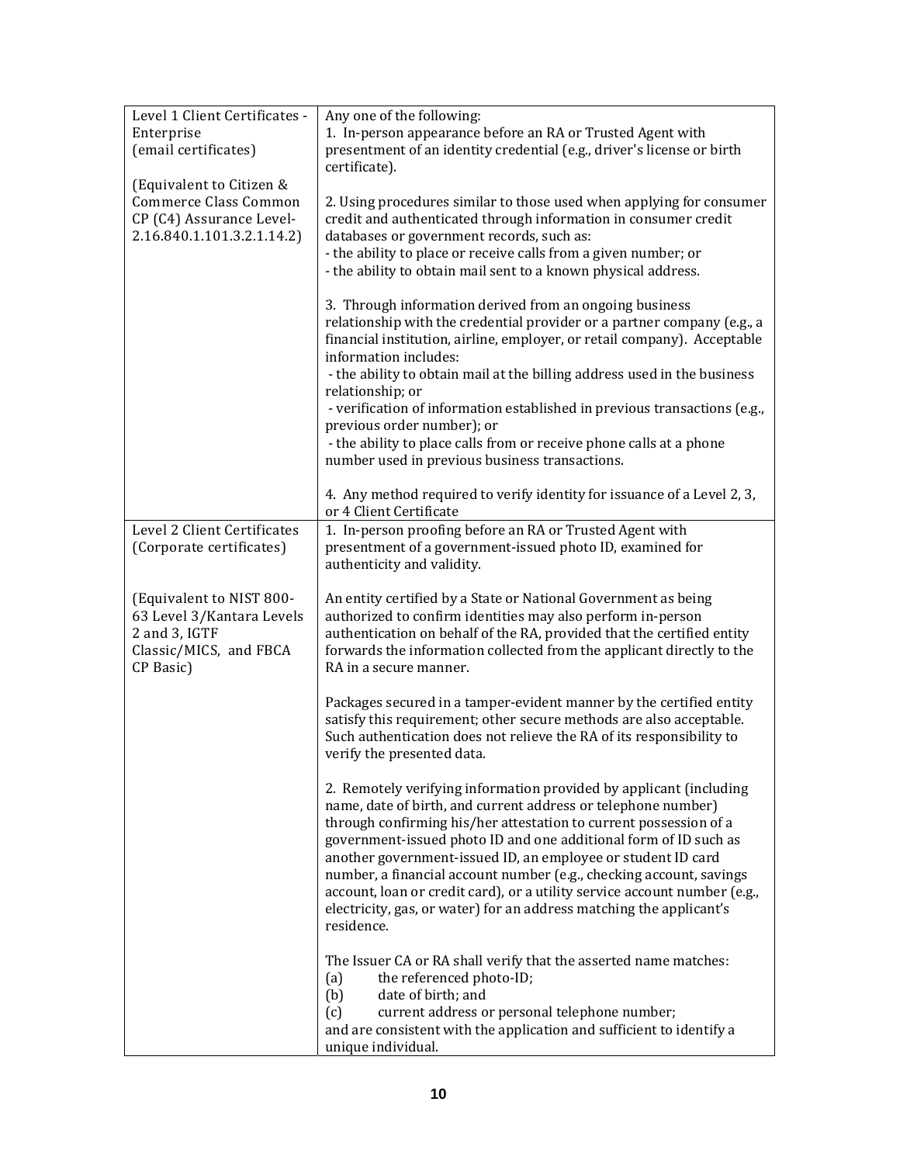| 1. In-person appearance before an RA or Trusted Agent with<br>Enterprise<br>(email certificates)<br>presentment of an identity credential (e.g., driver's license or birth<br>certificate).<br>(Equivalent to Citizen &<br>Commerce Class Common<br>2. Using procedures similar to those used when applying for consumer |
|--------------------------------------------------------------------------------------------------------------------------------------------------------------------------------------------------------------------------------------------------------------------------------------------------------------------------|
|                                                                                                                                                                                                                                                                                                                          |
|                                                                                                                                                                                                                                                                                                                          |
|                                                                                                                                                                                                                                                                                                                          |
|                                                                                                                                                                                                                                                                                                                          |
|                                                                                                                                                                                                                                                                                                                          |
| CP (C4) Assurance Level-<br>credit and authenticated through information in consumer credit                                                                                                                                                                                                                              |
| 2.16.840.1.101.3.2.1.14.2)<br>databases or government records, such as:                                                                                                                                                                                                                                                  |
| - the ability to place or receive calls from a given number; or                                                                                                                                                                                                                                                          |
| - the ability to obtain mail sent to a known physical address.                                                                                                                                                                                                                                                           |
| 3. Through information derived from an ongoing business                                                                                                                                                                                                                                                                  |
| relationship with the credential provider or a partner company (e.g., a                                                                                                                                                                                                                                                  |
| financial institution, airline, employer, or retail company). Acceptable                                                                                                                                                                                                                                                 |
| information includes:                                                                                                                                                                                                                                                                                                    |
| - the ability to obtain mail at the billing address used in the business                                                                                                                                                                                                                                                 |
| relationship; or                                                                                                                                                                                                                                                                                                         |
| - verification of information established in previous transactions (e.g.,                                                                                                                                                                                                                                                |
| previous order number); or                                                                                                                                                                                                                                                                                               |
| - the ability to place calls from or receive phone calls at a phone                                                                                                                                                                                                                                                      |
| number used in previous business transactions.                                                                                                                                                                                                                                                                           |
|                                                                                                                                                                                                                                                                                                                          |
| 4. Any method required to verify identity for issuance of a Level 2, 3,                                                                                                                                                                                                                                                  |
| or 4 Client Certificate<br>Level 2 Client Certificates                                                                                                                                                                                                                                                                   |
| 1. In-person proofing before an RA or Trusted Agent with                                                                                                                                                                                                                                                                 |
| (Corporate certificates)<br>presentment of a government-issued photo ID, examined for<br>authenticity and validity.                                                                                                                                                                                                      |
|                                                                                                                                                                                                                                                                                                                          |
| (Equivalent to NIST 800-<br>An entity certified by a State or National Government as being                                                                                                                                                                                                                               |
| 63 Level 3/Kantara Levels<br>authorized to confirm identities may also perform in-person                                                                                                                                                                                                                                 |
| 2 and 3, IGTF<br>authentication on behalf of the RA, provided that the certified entity                                                                                                                                                                                                                                  |
| Classic/MICS, and FBCA<br>forwards the information collected from the applicant directly to the                                                                                                                                                                                                                          |
| CP Basic)<br>RA in a secure manner.                                                                                                                                                                                                                                                                                      |
|                                                                                                                                                                                                                                                                                                                          |
| Packages secured in a tamper-evident manner by the certified entity                                                                                                                                                                                                                                                      |
| satisfy this requirement; other secure methods are also acceptable.                                                                                                                                                                                                                                                      |
| Such authentication does not relieve the RA of its responsibility to                                                                                                                                                                                                                                                     |
| verify the presented data.                                                                                                                                                                                                                                                                                               |
| 2. Remotely verifying information provided by applicant (including                                                                                                                                                                                                                                                       |
| name, date of birth, and current address or telephone number)                                                                                                                                                                                                                                                            |
| through confirming his/her attestation to current possession of a                                                                                                                                                                                                                                                        |
| government-issued photo ID and one additional form of ID such as                                                                                                                                                                                                                                                         |
| another government-issued ID, an employee or student ID card                                                                                                                                                                                                                                                             |
| number, a financial account number (e.g., checking account, savings                                                                                                                                                                                                                                                      |
| account, loan or credit card), or a utility service account number (e.g.,                                                                                                                                                                                                                                                |
| electricity, gas, or water) for an address matching the applicant's                                                                                                                                                                                                                                                      |
| residence.                                                                                                                                                                                                                                                                                                               |
|                                                                                                                                                                                                                                                                                                                          |
| The Issuer CA or RA shall verify that the asserted name matches:                                                                                                                                                                                                                                                         |
| the referenced photo-ID;<br>(a)<br>date of birth; and<br>(b)                                                                                                                                                                                                                                                             |
| (c)<br>current address or personal telephone number;                                                                                                                                                                                                                                                                     |
| and are consistent with the application and sufficient to identify a                                                                                                                                                                                                                                                     |
| unique individual.                                                                                                                                                                                                                                                                                                       |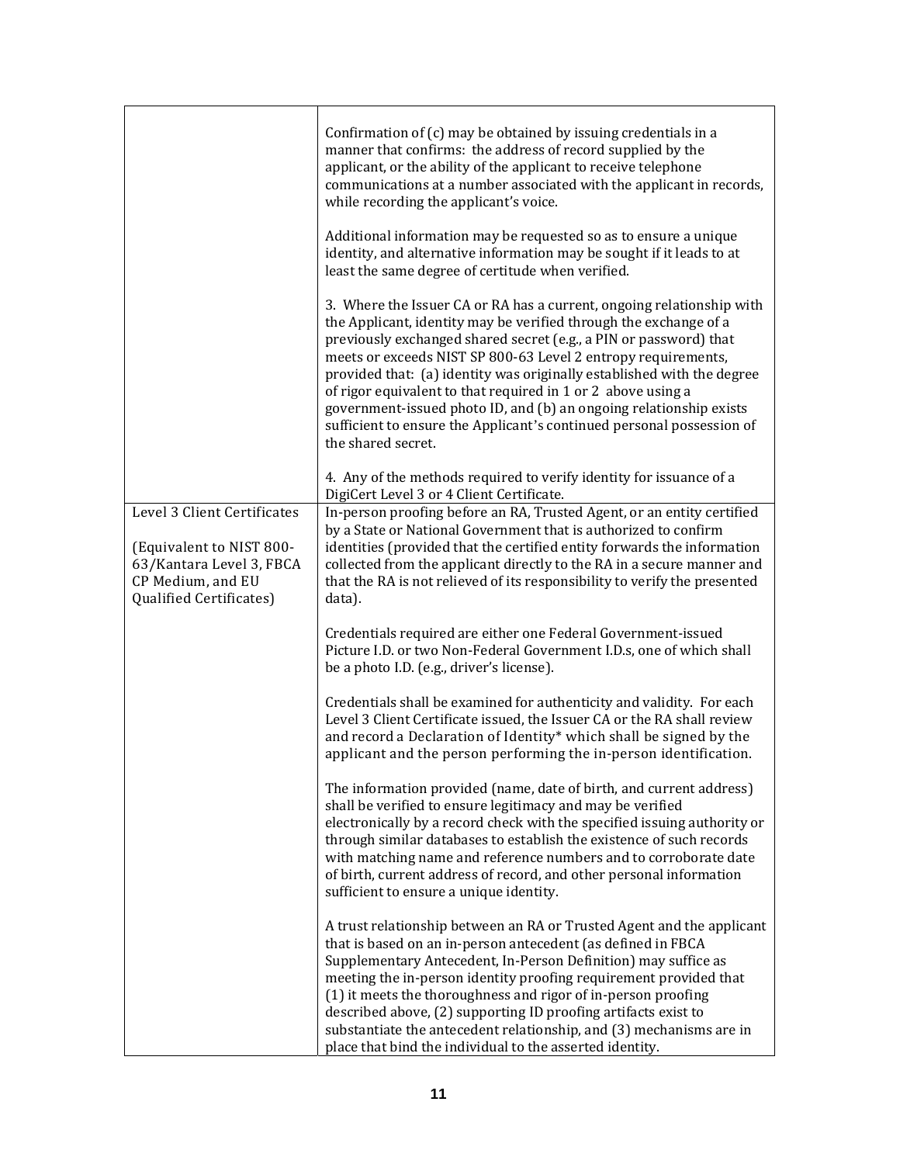|                                                                                                                                     | Confirmation of (c) may be obtained by issuing credentials in a<br>manner that confirms: the address of record supplied by the<br>applicant, or the ability of the applicant to receive telephone<br>communications at a number associated with the applicant in records,<br>while recording the applicant's voice.<br>Additional information may be requested so as to ensure a unique                                                                                                                                                                                                         |
|-------------------------------------------------------------------------------------------------------------------------------------|-------------------------------------------------------------------------------------------------------------------------------------------------------------------------------------------------------------------------------------------------------------------------------------------------------------------------------------------------------------------------------------------------------------------------------------------------------------------------------------------------------------------------------------------------------------------------------------------------|
|                                                                                                                                     | identity, and alternative information may be sought if it leads to at<br>least the same degree of certitude when verified.                                                                                                                                                                                                                                                                                                                                                                                                                                                                      |
|                                                                                                                                     | 3. Where the Issuer CA or RA has a current, ongoing relationship with<br>the Applicant, identity may be verified through the exchange of a<br>previously exchanged shared secret (e.g., a PIN or password) that<br>meets or exceeds NIST SP 800-63 Level 2 entropy requirements,<br>provided that: (a) identity was originally established with the degree<br>of rigor equivalent to that required in 1 or 2 above using a<br>government-issued photo ID, and (b) an ongoing relationship exists<br>sufficient to ensure the Applicant's continued personal possession of<br>the shared secret. |
|                                                                                                                                     | 4. Any of the methods required to verify identity for issuance of a<br>DigiCert Level 3 or 4 Client Certificate.                                                                                                                                                                                                                                                                                                                                                                                                                                                                                |
| Level 3 Client Certificates<br>(Equivalent to NIST 800-<br>63/Kantara Level 3, FBCA<br>CP Medium, and EU<br>Qualified Certificates) | In-person proofing before an RA, Trusted Agent, or an entity certified<br>by a State or National Government that is authorized to confirm<br>identities (provided that the certified entity forwards the information<br>collected from the applicant directly to the RA in a secure manner and<br>that the RA is not relieved of its responsibility to verify the presented<br>data).                                                                                                                                                                                                           |
|                                                                                                                                     | Credentials required are either one Federal Government-issued<br>Picture I.D. or two Non-Federal Government I.D.s, one of which shall<br>be a photo I.D. (e.g., driver's license).                                                                                                                                                                                                                                                                                                                                                                                                              |
|                                                                                                                                     | Credentials shall be examined for authenticity and validity. For each<br>Level 3 Client Certificate issued, the Issuer CA or the RA shall review<br>and record a Declaration of Identity* which shall be signed by the<br>applicant and the person performing the in-person identification.                                                                                                                                                                                                                                                                                                     |
|                                                                                                                                     | The information provided (name, date of birth, and current address)<br>shall be verified to ensure legitimacy and may be verified<br>electronically by a record check with the specified issuing authority or<br>through similar databases to establish the existence of such records<br>with matching name and reference numbers and to corroborate date<br>of birth, current address of record, and other personal information<br>sufficient to ensure a unique identity.                                                                                                                     |
|                                                                                                                                     | A trust relationship between an RA or Trusted Agent and the applicant<br>that is based on an in-person antecedent (as defined in FBCA<br>Supplementary Antecedent, In-Person Definition) may suffice as<br>meeting the in-person identity proofing requirement provided that<br>(1) it meets the thoroughness and rigor of in-person proofing<br>described above, (2) supporting ID proofing artifacts exist to<br>substantiate the antecedent relationship, and (3) mechanisms are in<br>place that bind the individual to the asserted identity.                                              |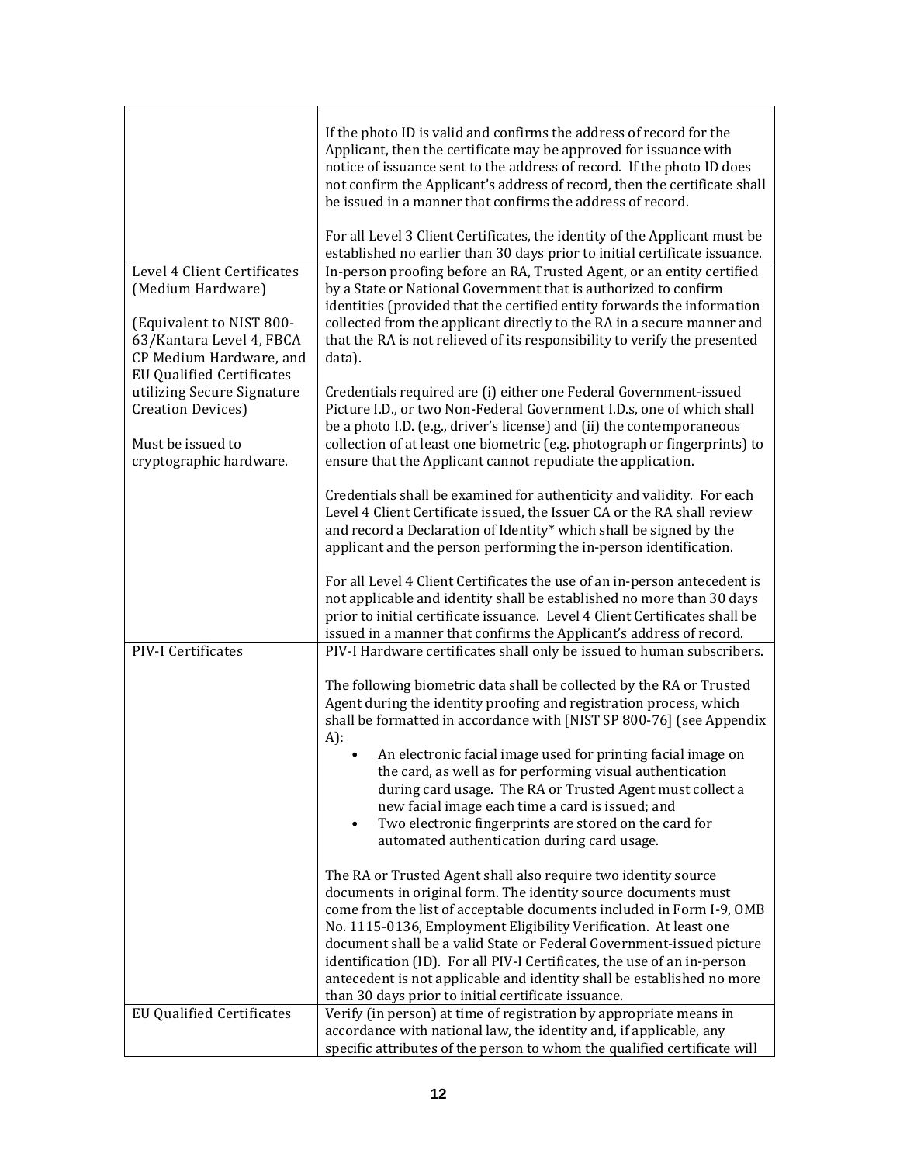|                                                                                                 | If the photo ID is valid and confirms the address of record for the<br>Applicant, then the certificate may be approved for issuance with<br>notice of issuance sent to the address of record. If the photo ID does<br>not confirm the Applicant's address of record, then the certificate shall<br>be issued in a manner that confirms the address of record.<br>For all Level 3 Client Certificates, the identity of the Applicant must be                                                                                                                       |
|-------------------------------------------------------------------------------------------------|-------------------------------------------------------------------------------------------------------------------------------------------------------------------------------------------------------------------------------------------------------------------------------------------------------------------------------------------------------------------------------------------------------------------------------------------------------------------------------------------------------------------------------------------------------------------|
|                                                                                                 | established no earlier than 30 days prior to initial certificate issuance.                                                                                                                                                                                                                                                                                                                                                                                                                                                                                        |
| Level 4 Client Certificates<br>(Medium Hardware)<br>(Equivalent to NIST 800-                    | In-person proofing before an RA, Trusted Agent, or an entity certified<br>by a State or National Government that is authorized to confirm<br>identities (provided that the certified entity forwards the information<br>collected from the applicant directly to the RA in a secure manner and                                                                                                                                                                                                                                                                    |
| 63/Kantara Level 4, FBCA<br>CP Medium Hardware, and<br><b>EU Qualified Certificates</b>         | that the RA is not relieved of its responsibility to verify the presented<br>data).                                                                                                                                                                                                                                                                                                                                                                                                                                                                               |
| utilizing Secure Signature<br>Creation Devices)<br>Must be issued to<br>cryptographic hardware. | Credentials required are (i) either one Federal Government-issued<br>Picture I.D., or two Non-Federal Government I.D.s, one of which shall<br>be a photo I.D. (e.g., driver's license) and (ii) the contemporaneous<br>collection of at least one biometric (e.g. photograph or fingerprints) to<br>ensure that the Applicant cannot repudiate the application.                                                                                                                                                                                                   |
|                                                                                                 | Credentials shall be examined for authenticity and validity. For each<br>Level 4 Client Certificate issued, the Issuer CA or the RA shall review<br>and record a Declaration of Identity* which shall be signed by the<br>applicant and the person performing the in-person identification.                                                                                                                                                                                                                                                                       |
|                                                                                                 | For all Level 4 Client Certificates the use of an in-person antecedent is<br>not applicable and identity shall be established no more than 30 days<br>prior to initial certificate issuance. Level 4 Client Certificates shall be<br>issued in a manner that confirms the Applicant's address of record.                                                                                                                                                                                                                                                          |
| PIV-I Certificates                                                                              | PIV-I Hardware certificates shall only be issued to human subscribers.                                                                                                                                                                                                                                                                                                                                                                                                                                                                                            |
|                                                                                                 | The following biometric data shall be collected by the RA or Trusted<br>Agent during the identity proofing and registration process, which<br>shall be formatted in accordance with [NIST SP 800-76] (see Appendix<br>A):                                                                                                                                                                                                                                                                                                                                         |
|                                                                                                 | An electronic facial image used for printing facial image on<br>the card, as well as for performing visual authentication<br>during card usage. The RA or Trusted Agent must collect a<br>new facial image each time a card is issued; and<br>Two electronic fingerprints are stored on the card for<br>٠<br>automated authentication during card usage.                                                                                                                                                                                                          |
|                                                                                                 | The RA or Trusted Agent shall also require two identity source<br>documents in original form. The identity source documents must<br>come from the list of acceptable documents included in Form I-9, OMB<br>No. 1115-0136, Employment Eligibility Verification. At least one<br>document shall be a valid State or Federal Government-issued picture<br>identification (ID). For all PIV-I Certificates, the use of an in-person<br>antecedent is not applicable and identity shall be established no more<br>than 30 days prior to initial certificate issuance. |
| <b>EU Qualified Certificates</b>                                                                | Verify (in person) at time of registration by appropriate means in                                                                                                                                                                                                                                                                                                                                                                                                                                                                                                |
|                                                                                                 | accordance with national law, the identity and, if applicable, any<br>specific attributes of the person to whom the qualified certificate will                                                                                                                                                                                                                                                                                                                                                                                                                    |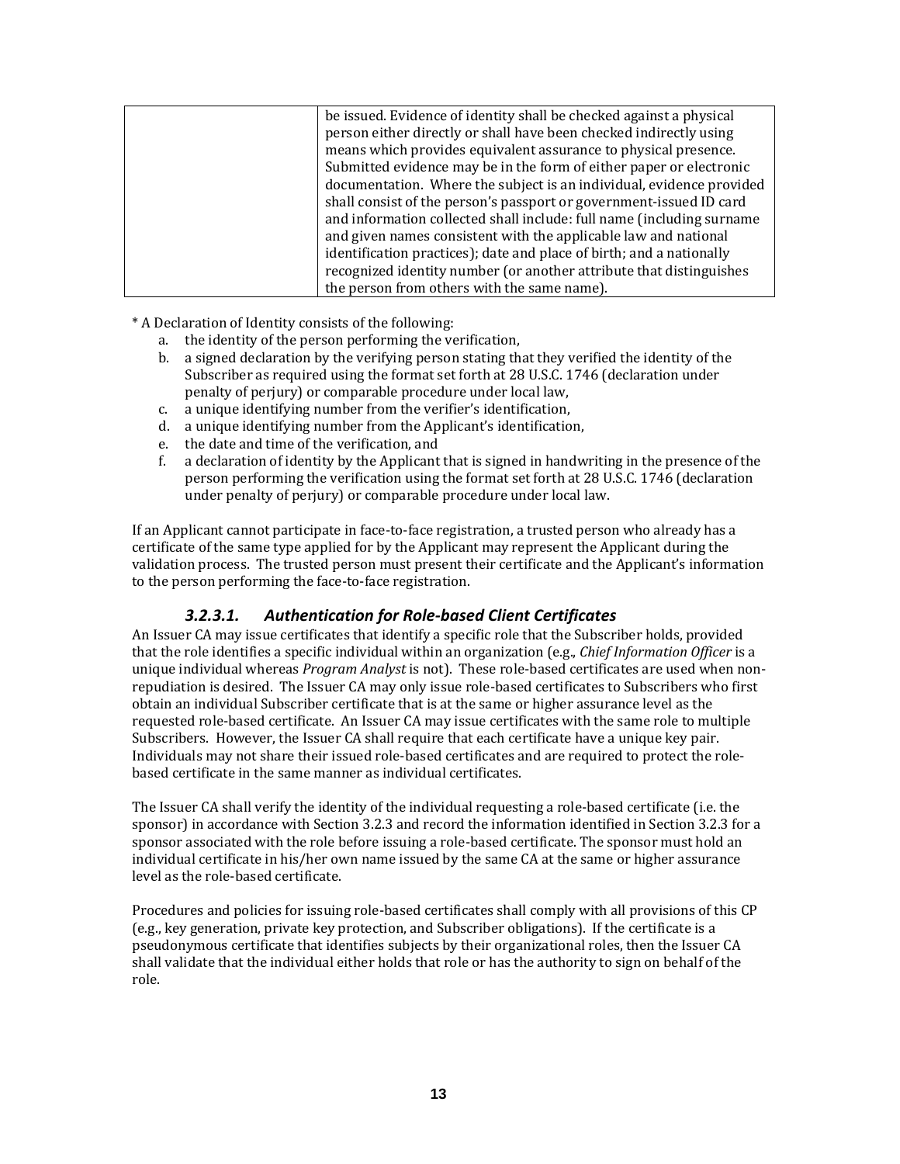| be issued. Evidence of identity shall be checked against a physical   |
|-----------------------------------------------------------------------|
| person either directly or shall have been checked indirectly using    |
| means which provides equivalent assurance to physical presence.       |
| Submitted evidence may be in the form of either paper or electronic   |
| documentation. Where the subject is an individual, evidence provided  |
| shall consist of the person's passport or government-issued ID card   |
| and information collected shall include: full name (including surname |
| and given names consistent with the applicable law and national       |
| identification practices); date and place of birth; and a nationally  |
| recognized identity number (or another attribute that distinguishes   |
| the person from others with the same name).                           |

\* A Declaration of Identity consists of the following:

- a. the identity of the person performing the verification,
- b. a signed declaration by the verifying person stating that they verified the identity of the Subscriber as required using the format set forth at 28 U.S.C. 1746 (declaration under penalty of perjury) or comparable procedure under local law,
- c. a unique identifying number from the verifier's identification,
- d. a unique identifying number from the Applicant's identification,
- e. the date and time of the verification, and
- f. a declaration of identity by the Applicant that is signed in handwriting in the presence of the person performing the verification using the format set forth at 28 U.S.C. 1746 (declaration under penalty of perjury) or comparable procedure under local law.

If an Applicant cannot participate in face‐to‐face registration, a trusted person who already has a certificate of the same type applied for by the Applicant may represent the Applicant during the validation process. The trusted person must present their certificate and the Applicant's information to the person performing the face-to-face registration.

#### *3.2.3.1. Authentication for Role‐based Client Certificates*

An Issuer CA may issue certificates that identify a specific role that the Subscriber holds, provided that the role identifies a specific individual within an organization (e.g., *Chief Information Officer* is a unique individual whereas *Program Analyst* is not). These role‐based certificates are used when non‐ repudiation is desired. The Issuer CA may only issue role‐based certificates to Subscribers who first obtain an individual Subscriber certificate that is at the same or higher assurance level as the requested role‐based certificate. An Issuer CA may issue certificates with the same role to multiple Subscribers. However, the Issuer CA shall require that each certificate have a unique key pair. Individuals may not share their issued role‐based certificates and are required to protect the role‐ based certificate in the same manner as individual certificates.

The Issuer CA shall verify the identity of the individual requesting a role‐based certificate (i.e. the sponsor) in accordance with Section 3.2.3 and record the information identified in Section 3.2.3 for a sponsor associated with the role before issuing a role-based certificate. The sponsor must hold an individual certificate in his/her own name issued by the same CA at the same or higher assurance level as the role‐based certificate.

Procedures and policies for issuing role‐based certificates shall comply with all provisions of this CP (e.g., key generation, private key protection, and Subscriber obligations). If the certificate is a pseudonymous certificate that identifies subjects by their organizational roles, then the Issuer CA shall validate that the individual either holds that role or has the authority to sign on behalf of the role.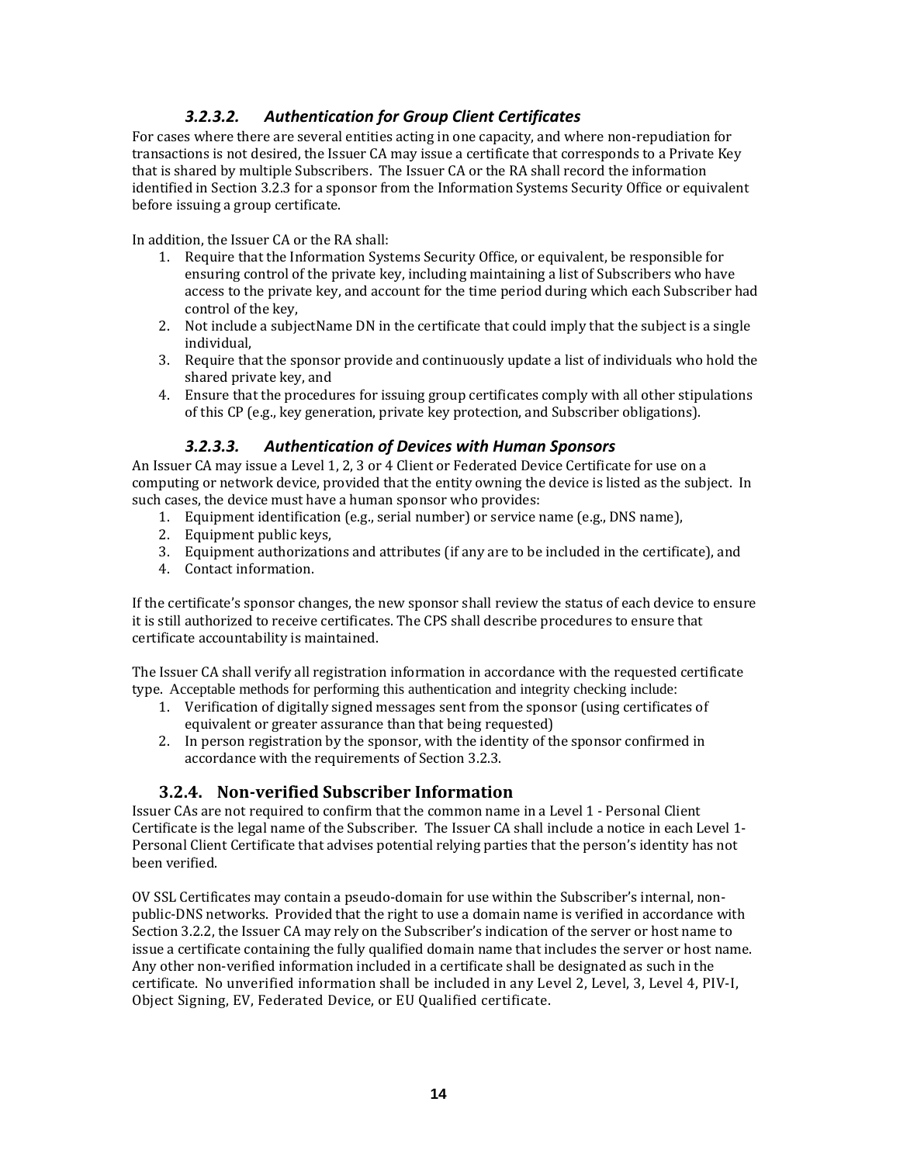# *3.2.3.2. Authentication for Group Client Certificates*

For cases where there are several entities acting in one capacity, and where non-repudiation for transactions is not desired, the Issuer CA may issue a certificate that corresponds to a Private Key that is shared by multiple Subscribers. The Issuer CA or the RA shall record the information identified in Section 3.2.3 for a sponsor from the Information Systems Security Office or equivalent before issuing a group certificate.

In addition, the Issuer CA or the RA shall:

- 1. Require that the Information Systems Security Office, or equivalent, be responsible for ensuring control of the private key, including maintaining a list of Subscribers who have access to the private key, and account for the time period during which each Subscriber had control of the key,
- 2. Not include a subjectName DN in the certificate that could imply that the subject is a single individual,
- 3. Require that the sponsor provide and continuously update a list of individuals who hold the shared private key, and
- 4. Ensure that the procedures for issuing group certificates comply with all other stipulations of this CP (e.g., key generation, private key protection, and Subscriber obligations).

#### *3.2.3.3. Authentication of Devices with Human Sponsors*

An Issuer CA may issue a Level 1, 2, 3 or 4 Client or Federated Device Certificate for use on a computing or network device, provided that the entity owning the device is listed as the subject. In such cases, the device must have a human sponsor who provides:

- 1. Equipment identification (e.g., serial number) or service name (e.g., DNS name),
- 2. Equipment public keys,
- 3. Equipment authorizations and attributes (if any are to be included in the certificate), and
- 4. Contact information.

If the certificate's sponsor changes, the new sponsor shall review the status of each device to ensure it is still authorized to receive certificates. The CPS shall describe procedures to ensure that certificate accountability is maintained.

The Issuer CA shall verify all registration information in accordance with the requested certificate type. Acceptable methods for performing this authentication and integrity checking include:

- 1. Verification of digitally signed messages sent from the sponsor (using certificates of equivalent or greater assurance than that being requested)
- 2. In person registration by the sponsor, with the identity of the sponsor confirmed in accordance with the requirements of Section 3.2.3.

#### **3.2.4. Nonverified Subscriber Information**

Issuer CAs are not required to confirm that the common name in a Level 1 ‐ Personal Client Certificate is the legal name of the Subscriber. The Issuer CA shall include a notice in each Level 1‐ Personal Client Certificate that advises potential relying parties that the person's identity has not been verified.

OV SSL Certificates may contain a pseudo‐domain for use within the Subscriber's internal, non‐ public‐DNS networks. Provided that the right to use a domain name is verified in accordance with Section 3.2.2, the Issuer CA may rely on the Subscriber's indication of the server or host name to issue a certificate containing the fully qualified domain name that includes the server or host name. Any other non‐verified information included in a certificate shall be designated as such in the certificate. No unverified information shall be included in any Level 2, Level, 3, Level 4, PIV‐I, Object Signing, EV, Federated Device, or EU Qualified certificate.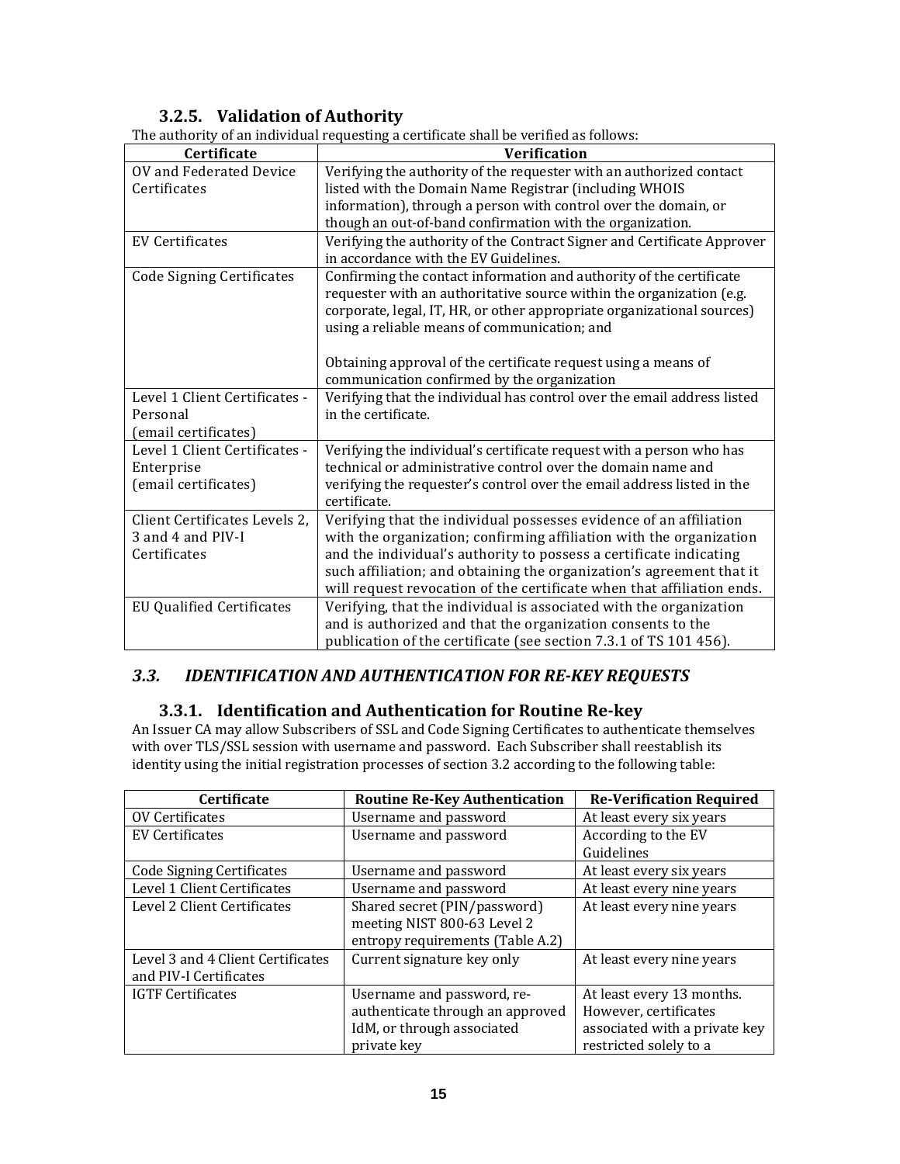# **3.2.5. Validation of Authority**

|                                  | The authority of an individual requesting a certificate shall be verified as follows: |  |
|----------------------------------|---------------------------------------------------------------------------------------|--|
| Certificate                      | <b>Verification</b>                                                                   |  |
| OV and Federated Device          | Verifying the authority of the requester with an authorized contact                   |  |
| Certificates                     | listed with the Domain Name Registrar (including WHOIS                                |  |
|                                  | information), through a person with control over the domain, or                       |  |
|                                  | though an out-of-band confirmation with the organization.                             |  |
| <b>EV Certificates</b>           | Verifying the authority of the Contract Signer and Certificate Approver               |  |
|                                  | in accordance with the EV Guidelines.                                                 |  |
| <b>Code Signing Certificates</b> | Confirming the contact information and authority of the certificate                   |  |
|                                  | requester with an authoritative source within the organization (e.g.                  |  |
|                                  | corporate, legal, IT, HR, or other appropriate organizational sources)                |  |
|                                  | using a reliable means of communication; and                                          |  |
|                                  |                                                                                       |  |
|                                  | Obtaining approval of the certificate request using a means of                        |  |
|                                  | communication confirmed by the organization                                           |  |
| Level 1 Client Certificates -    | Verifying that the individual has control over the email address listed               |  |
| Personal                         | in the certificate.                                                                   |  |
| (email certificates)             |                                                                                       |  |
| Level 1 Client Certificates -    | Verifying the individual's certificate request with a person who has                  |  |
| Enterprise                       | technical or administrative control over the domain name and                          |  |
| (email certificates)             | verifying the requester's control over the email address listed in the                |  |
|                                  | certificate.                                                                          |  |
| Client Certificates Levels 2,    | Verifying that the individual possesses evidence of an affiliation                    |  |
| 3 and 4 and PIV-I                | with the organization; confirming affiliation with the organization                   |  |
| Certificates                     | and the individual's authority to possess a certificate indicating                    |  |
|                                  | such affiliation; and obtaining the organization's agreement that it                  |  |
|                                  | will request revocation of the certificate when that affiliation ends.                |  |
| <b>EU Qualified Certificates</b> | Verifying, that the individual is associated with the organization                    |  |
|                                  | and is authorized and that the organization consents to the                           |  |
|                                  | publication of the certificate (see section 7.3.1 of TS 101 456).                     |  |

The authority of an individual requesting a certificate shall be verified as follows:

# *3.3. IDENTIFICATION AND AUTHENTICATION FOR REKEY REQUESTS*

# **3.3.1. Identification and Authentication for Routine Rekey**

An Issuer CA may allow Subscribers of SSL and Code Signing Certificates to authenticate themselves with over TLS/SSL session with username and password. Each Subscriber shall reestablish its identity using the initial registration processes of section 3.2 according to the following table:

| Certificate                       | <b>Routine Re-Key Authentication</b>                           | <b>Re-Verification Required</b> |
|-----------------------------------|----------------------------------------------------------------|---------------------------------|
| <b>OV Certificates</b>            | Username and password                                          | At least every six years        |
| EV Certificates                   | Username and password                                          | According to the EV             |
|                                   |                                                                | Guidelines                      |
| <b>Code Signing Certificates</b>  | Username and password                                          | At least every six years        |
| Level 1 Client Certificates       | Username and password                                          | At least every nine years       |
| Level 2 Client Certificates       | Shared secret (PIN/password)<br>meeting NIST 800-63 Level 2    | At least every nine years       |
| Level 3 and 4 Client Certificates | entropy requirements (Table A.2)<br>Current signature key only | At least every nine years       |
| and PIV-I Certificates            |                                                                |                                 |
| <b>IGTF Certificates</b>          | Username and password, re-                                     | At least every 13 months.       |
|                                   | authenticate through an approved                               | However, certificates           |
|                                   | IdM, or through associated                                     | associated with a private key   |
|                                   | private key                                                    | restricted solely to a          |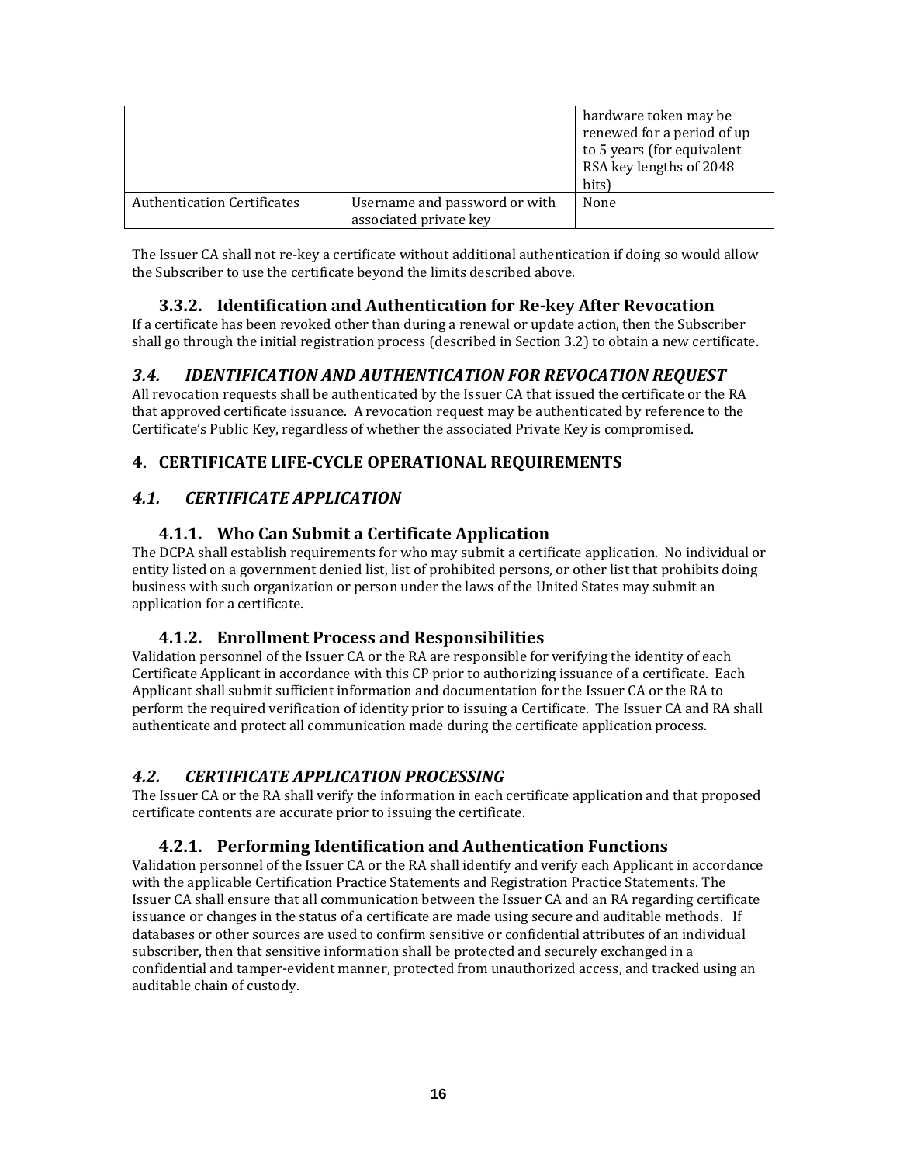|                                    |                                                         | hardware token may be<br>renewed for a period of up<br>to 5 years (for equivalent<br>RSA key lengths of 2048<br>bits) |
|------------------------------------|---------------------------------------------------------|-----------------------------------------------------------------------------------------------------------------------|
| <b>Authentication Certificates</b> | Username and password or with<br>associated private key | None                                                                                                                  |

The Issuer CA shall not re-key a certificate without additional authentication if doing so would allow the Subscriber to use the certificate beyond the limits described above.

# **3.3.2. Identification and Authentication for Rekey After Revocation**

If a certificate has been revoked other than during a renewal or update action, then the Subscriber shall go through the initial registration process (described in Section 3.2) to obtain a new certificate.

# *3.4. IDENTIFICATION AND AUTHENTICATION FOR REVOCATION REQUEST*

All revocation requests shall be authenticated by the Issuer CA that issued the certificate or the RA that approved certificate issuance. A revocation request may be authenticated by reference to the Certificate's Public Key, regardless of whether the associated Private Key is compromised.

# **4. CERTIFICATE LIFECYCLE OPERATIONAL REQUIREMENTS**

# *4.1. CERTIFICATE APPLICATION*

# **4.1.1. Who Can Submit a Certificate Application**

The DCPA shall establish requirements for who may submit a certificate application. No individual or entity listed on a government denied list, list of prohibited persons, or other list that prohibits doing business with such organization or person under the laws of the United States may submit an application for a certificate.

# **4.1.2. Enrollment Process and Responsibilities**

Validation personnel of the Issuer CA or the RA are responsible for verifying the identity of each Certificate Applicant in accordance with this CP prior to authorizing issuance of a certificate. Each Applicant shall submit sufficient information and documentation for the Issuer CA or the RA to perform the required verification of identity prior to issuing a Certificate. The Issuer CA and RA shall authenticate and protect all communication made during the certificate application process.

# *4.2. CERTIFICATE APPLICATION PROCESSING*

The Issuer CA or the RA shall verify the information in each certificate application and that proposed certificate contents are accurate prior to issuing the certificate.

# **4.2.1. Performing Identification and Authentication Functions**

Validation personnel of the Issuer CA or the RA shall identify and verify each Applicant in accordance with the applicable Certification Practice Statements and Registration Practice Statements. The Issuer CA shall ensure that all communication between the Issuer CA and an RA regarding certificate issuance or changes in the status of a certificate are made using secure and auditable methods. If databases or other sources are used to confirm sensitive or confidential attributes of an individual subscriber, then that sensitive information shall be protected and securely exchanged in a confidential and tamper‐evident manner, protected from unauthorized access, and tracked using an auditable chain of custody.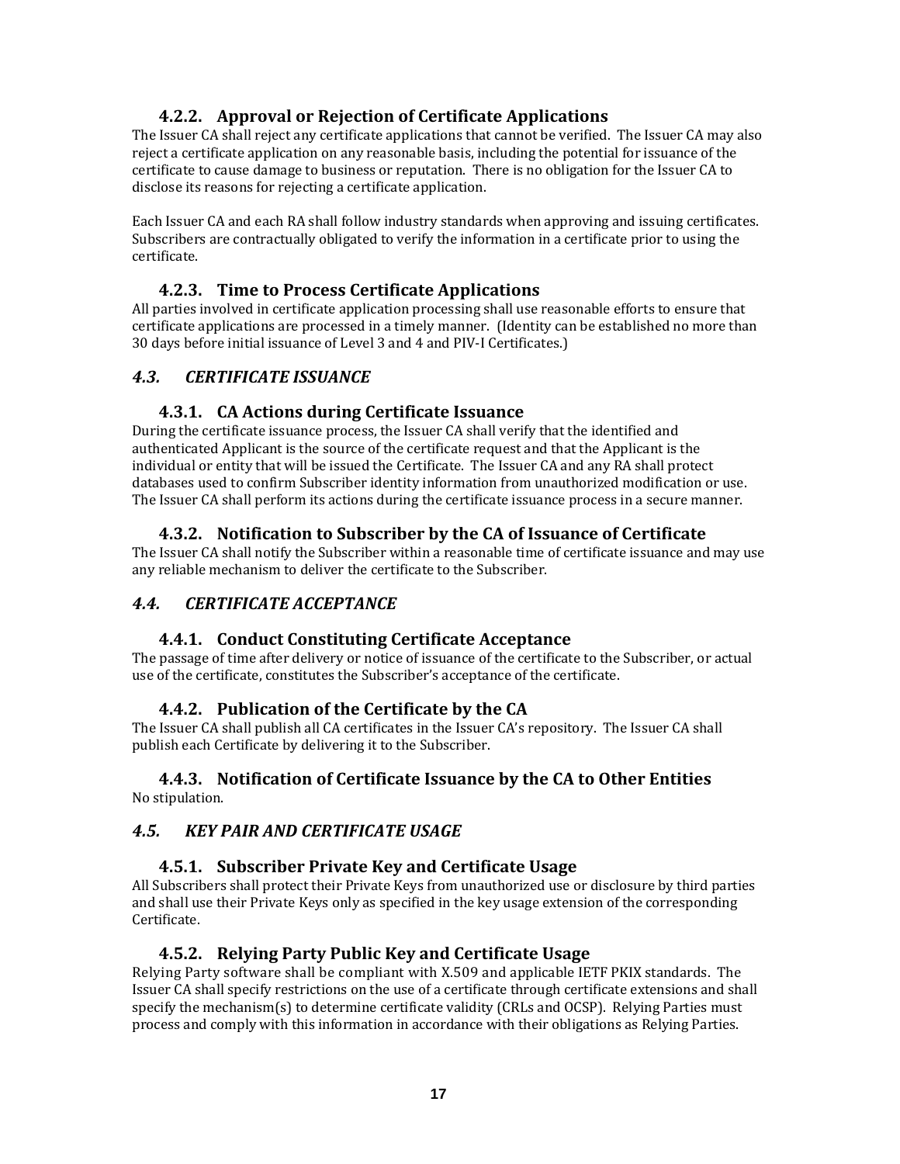# **4.2.2. Approval or Rejection of Certificate Applications**

The Issuer CA shall reject any certificate applications that cannot be verified. The Issuer CA may also reject a certificate application on any reasonable basis, including the potential for issuance of the certificate to cause damage to business or reputation. There is no obligation for the Issuer CA to disclose its reasons for rejecting a certificate application.

Each Issuer CA and each RA shall follow industry standards when approving and issuing certificates. Subscribers are contractually obligated to verify the information in a certificate prior to using the certificate.

# **4.2.3. Time to Process Certificate Applications**

All parties involved in certificate application processing shall use reasonable efforts to ensure that certificate applications are processed in a timely manner. (Identity can be established no more than 30 days before initial issuance of Level 3 and 4 and PIV‐I Certificates.)

# *4.3. CERTIFICATE ISSUANCE*

## **4.3.1. CA Actions during Certificate Issuance**

During the certificate issuance process, the Issuer CA shall verify that the identified and authenticated Applicant is the source of the certificate request and that the Applicant is the individual or entity that will be issued the Certificate. The Issuer CA and any RA shall protect databases used to confirm Subscriber identity information from unauthorized modification or use. The Issuer CA shall perform its actions during the certificate issuance process in a secure manner.

## **4.3.2. Notification to Subscriber by the CA of Issuance of Certificate**

The Issuer CA shall notify the Subscriber within a reasonable time of certificate issuance and may use any reliable mechanism to deliver the certificate to the Subscriber.

# *4.4. CERTIFICATE ACCEPTANCE*

#### **4.4.1. Conduct Constituting Certificate Acceptance**

The passage of time after delivery or notice of issuance of the certificate to the Subscriber, or actual use of the certificate, constitutes the Subscriber's acceptance of the certificate.

# **4.4.2. Publication of the Certificate by the CA**

The Issuer CA shall publish all CA certificates in the Issuer CA's repository. The Issuer CA shall publish each Certificate by delivering it to the Subscriber.

#### **4.4.3. Notification of Certificate Issuance by the CA to Other Entities** No stipulation.

#### *4.5. KEY PAIR AND CERTIFICATE USAGE*

#### **4.5.1. Subscriber Private Key and Certificate Usage**

All Subscribers shall protect their Private Keys from unauthorized use or disclosure by third parties and shall use their Private Keys only as specified in the key usage extension of the corresponding Certificate.

#### **4.5.2. Relying Party Public Key and Certificate Usage**

Relying Party software shall be compliant with X.509 and applicable IETF PKIX standards. The Issuer CA shall specify restrictions on the use of a certificate through certificate extensions and shall specify the mechanism(s) to determine certificate validity (CRLs and OCSP). Relying Parties must process and comply with this information in accordance with their obligations as Relying Parties.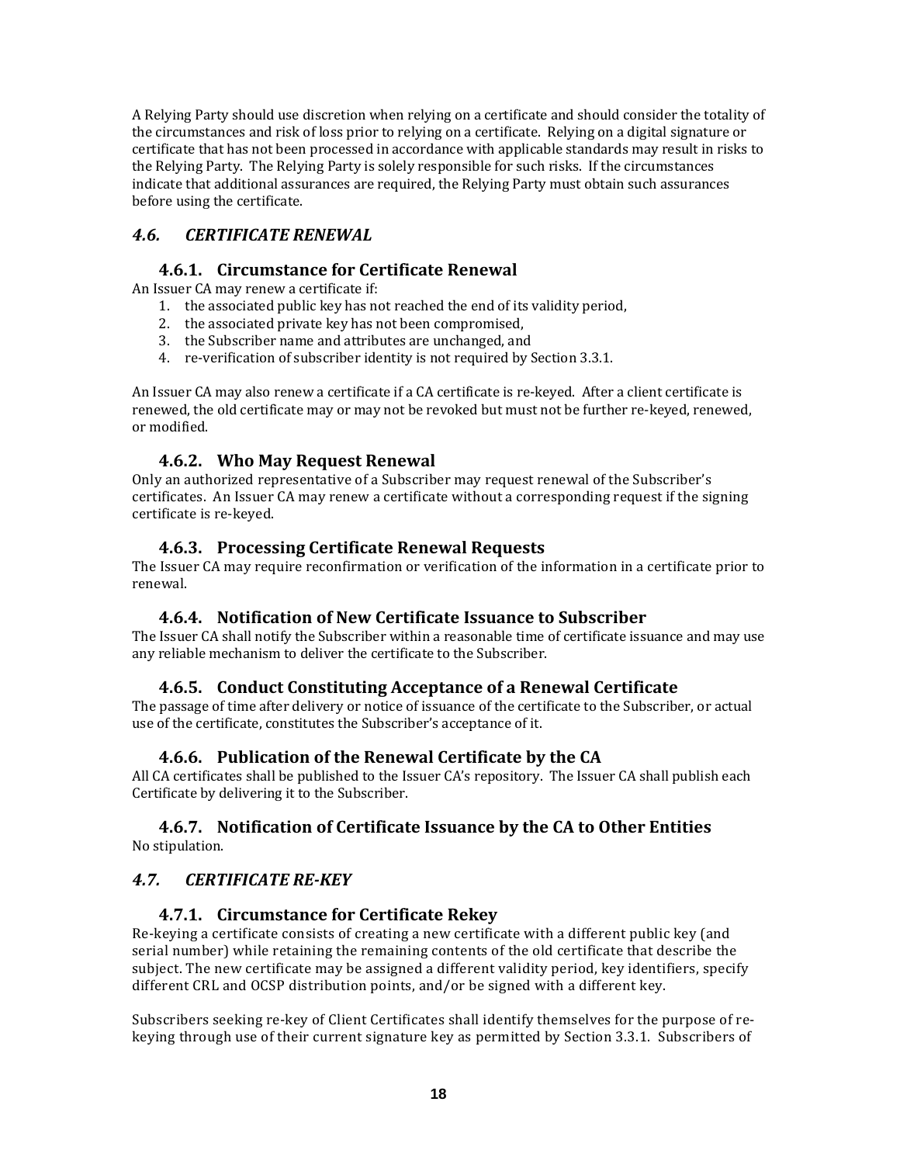A Relying Party should use discretion when relying on a certificate and should consider the totality of the circumstances and risk of loss prior to relying on a certificate. Relying on a digital signature or certificate that has not been processed in accordance with applicable standards may result in risks to the Relying Party. The Relying Party is solely responsible for such risks. If the circumstances indicate that additional assurances are required, the Relying Party must obtain such assurances before using the certificate.

# *4.6. CERTIFICATE RENEWAL*

# **4.6.1. Circumstance for Certificate Renewal**

An Issuer CA may renew a certificate if:

- 1. the associated public key has not reached the end of its validity period,
- 2. the associated private key has not been compromised,
- 3. the Subscriber name and attributes are unchanged, and
- 4. re-verification of subscriber identity is not required by Section 3.3.1.

An Issuer CA may also renew a certificate if a CA certificate is re‐keyed. After a client certificate is renewed, the old certificate may or may not be revoked but must not be further re‐keyed, renewed, or modified.

## **4.6.2. Who May Request Renewal**

Only an authorized representative of a Subscriber may request renewal of the Subscriber's certificates. An Issuer CA may renew a certificate without a corresponding request if the signing certificate is re‐keyed.

## **4.6.3. Processing Certificate Renewal Requests**

The Issuer CA may require reconfirmation or verification of the information in a certificate prior to renewal.

# **4.6.4. Notification of New Certificate Issuance to Subscriber**

The Issuer CA shall notify the Subscriber within a reasonable time of certificate issuance and may use any reliable mechanism to deliver the certificate to the Subscriber.

# **4.6.5. Conduct Constituting Acceptance of a Renewal Certificate**

The passage of time after delivery or notice of issuance of the certificate to the Subscriber, or actual use of the certificate, constitutes the Subscriber's acceptance of it.

#### **4.6.6. Publication of the Renewal Certificate by the CA**

All CA certificates shall be published to the Issuer CA's repository. The Issuer CA shall publish each Certificate by delivering it to the Subscriber.

#### **4.6.7. Notification of Certificate Issuance by the CA to Other Entities** No stipulation.

#### *4.7. CERTIFICATE REKEY*

#### **4.7.1. Circumstance for Certificate Rekey**

Re-keying a certificate consists of creating a new certificate with a different public key (and serial number) while retaining the remaining contents of the old certificate that describe the subject. The new certificate may be assigned a different validity period, key identifiers, specify different CRL and OCSP distribution points, and/or be signed with a different key.

Subscribers seeking re‐key of Client Certificates shall identify themselves for the purpose of re‐ keying through use of their current signature key as permitted by Section 3.3.1. Subscribers of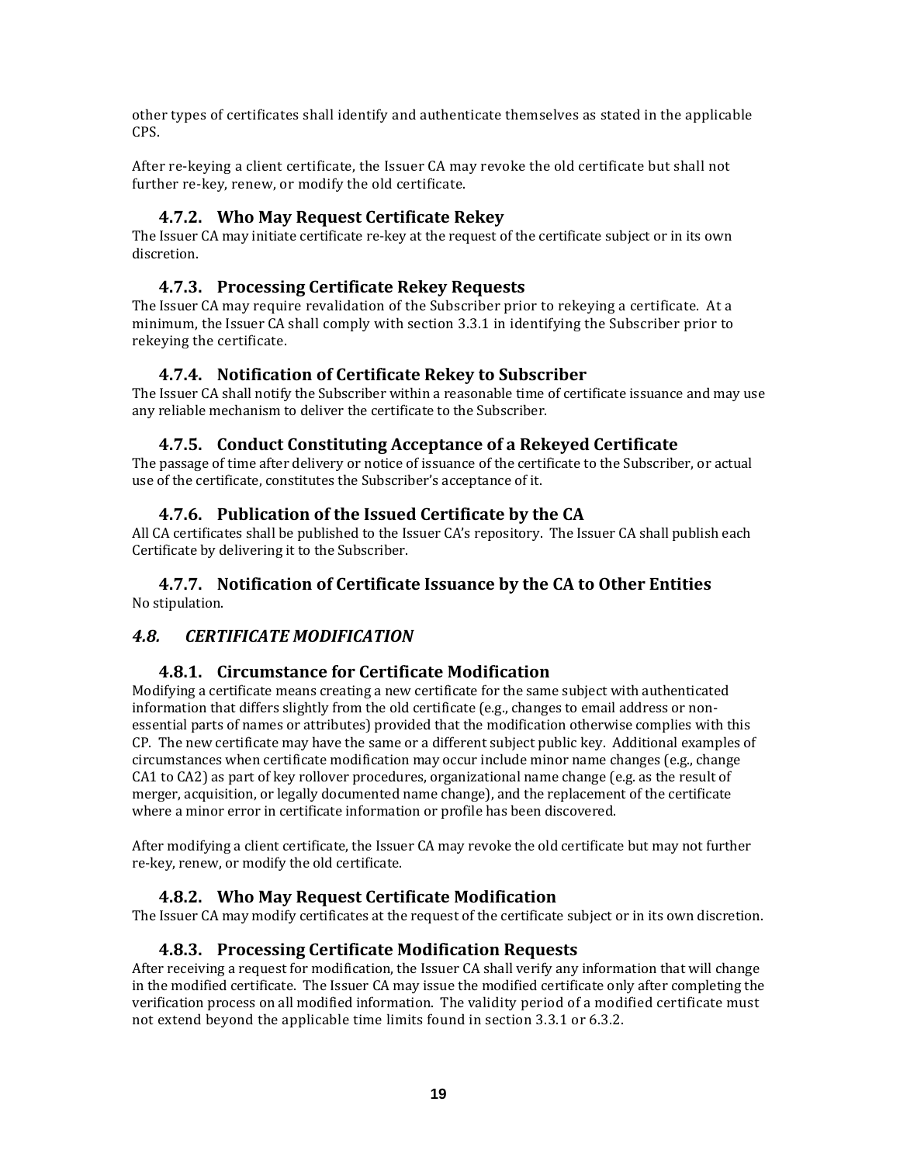other types of certificates shall identify and authenticate themselves as stated in the applicable CPS.

After re‐keying a client certificate, the Issuer CA may revoke the old certificate but shall not further re‐key, renew, or modify the old certificate.

#### **4.7.2. Who May Request Certificate Rekey**

The Issuer CA may initiate certificate re-key at the request of the certificate subject or in its own discretion.

#### **4.7.3. Processing Certificate Rekey Requests**

The Issuer CA may require revalidation of the Subscriber prior to rekeying a certificate. At a minimum, the Issuer CA shall comply with section 3.3.1 in identifying the Subscriber prior to rekeying the certificate.

#### **4.7.4. Notification of Certificate Rekey to Subscriber**

The Issuer CA shall notify the Subscriber within a reasonable time of certificate issuance and may use any reliable mechanism to deliver the certificate to the Subscriber.

#### **4.7.5. Conduct Constituting Acceptance of a Rekeyed Certificate**

The passage of time after delivery or notice of issuance of the certificate to the Subscriber, or actual use of the certificate, constitutes the Subscriber's acceptance of it.

## **4.7.6. Publication of the Issued Certificate by the CA**

All CA certificates shall be published to the Issuer CA's repository. The Issuer CA shall publish each Certificate by delivering it to the Subscriber.

#### **4.7.7. Notification of Certificate Issuance by the CA to Other Entities** No stipulation.

#### *4.8. CERTIFICATE MODIFICATION*

#### **4.8.1. Circumstance for Certificate Modification**

Modifying a certificate means creating a new certificate for the same subject with authenticated information that differs slightly from the old certificate (e.g., changes to email address or nonessential parts of names or attributes) provided that the modification otherwise complies with this CP. The new certificate may have the same or a different subject public key. Additional examples of circumstances when certificate modification may occur include minor name changes (e.g., change CA1 to CA2) as part of key rollover procedures, organizational name change (e.g. as the result of merger, acquisition, or legally documented name change), and the replacement of the certificate where a minor error in certificate information or profile has been discovered.

After modifying a client certificate, the Issuer CA may revoke the old certificate but may not further re‐key, renew, or modify the old certificate.

#### **4.8.2. Who May Request Certificate Modification**

The Issuer CA may modify certificates at the request of the certificate subject or in its own discretion.

#### **4.8.3. Processing Certificate Modification Requests**

After receiving a request for modification, the Issuer CA shall verify any information that will change in the modified certificate. The Issuer CA may issue the modified certificate only after completing the verification process on all modified information. The validity period of a modified certificate must not extend beyond the applicable time limits found in section 3.3.1 or 6.3.2.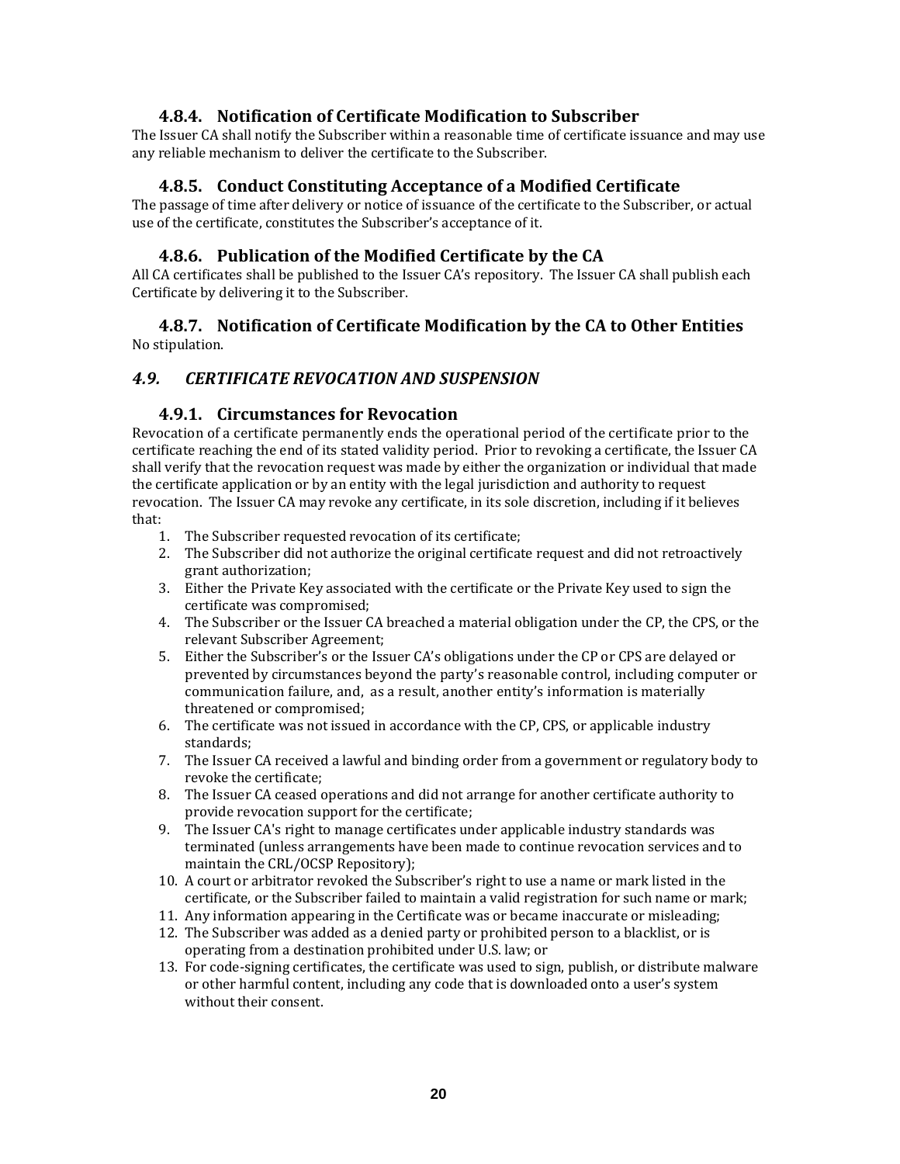#### **4.8.4. Notification of Certificate Modification to Subscriber**

The Issuer CA shall notify the Subscriber within a reasonable time of certificate issuance and may use any reliable mechanism to deliver the certificate to the Subscriber.

#### **4.8.5. Conduct Constituting Acceptance of a Modified Certificate**

The passage of time after delivery or notice of issuance of the certificate to the Subscriber, or actual use of the certificate, constitutes the Subscriber's acceptance of it.

#### **4.8.6. Publication of the Modified Certificate by the CA**

All CA certificates shall be published to the Issuer CA's repository. The Issuer CA shall publish each Certificate by delivering it to the Subscriber.

#### **4.8.7. Notification of Certificate Modification by the CA to Other Entities** No stipulation.

#### *4.9. CERTIFICATE REVOCATION AND SUSPENSION*

#### **4.9.1. Circumstances for Revocation**

Revocation of a certificate permanently ends the operational period of the certificate prior to the certificate reaching the end of its stated validity period. Prior to revoking a certificate, the Issuer CA shall verify that the revocation request was made by either the organization or individual that made the certificate application or by an entity with the legal jurisdiction and authority to request revocation. The Issuer CA may revoke any certificate, in its sole discretion, including if it believes that:

- 1. The Subscriber requested revocation of its certificate;
- 2. The Subscriber did not authorize the original certificate request and did not retroactively grant authorization;
- 3. Either the Private Key associated with the certificate or the Private Key used to sign the certificate was compromised;
- 4. The Subscriber or the Issuer CA breached a material obligation under the CP, the CPS, or the relevant Subscriber Agreement;
- 5. Either the Subscriber's or the Issuer CA's obligations under the CP or CPS are delayed or prevented by circumstances beyond the party's reasonable control, including computer or communication failure, and, as a result, another entity's information is materially threatened or compromised;
- 6. The certificate was not issued in accordance with the CP, CPS, or applicable industry standards;
- 7. The Issuer CA received a lawful and binding order from a government or regulatory body to revoke the certificate;
- 8. The Issuer CA ceased operations and did not arrange for another certificate authority to provide revocation support for the certificate;
- 9. The Issuer CA's right to manage certificates under applicable industry standards was terminated (unless arrangements have been made to continue revocation services and to maintain the CRL/OCSP Repository);
- 10. A court or arbitrator revoked the Subscriber's right to use a name or mark listed in the certificate, or the Subscriber failed to maintain a valid registration for such name or mark;
- 11. Any information appearing in the Certificate was or became inaccurate or misleading;
- 12. The Subscriber was added as a denied party or prohibited person to a blacklist, or is operating from a destination prohibited under U.S. law; or
- 13. For code‐signing certificates, the certificate was used to sign, publish, or distribute malware or other harmful content, including any code that is downloaded onto a user's system without their consent.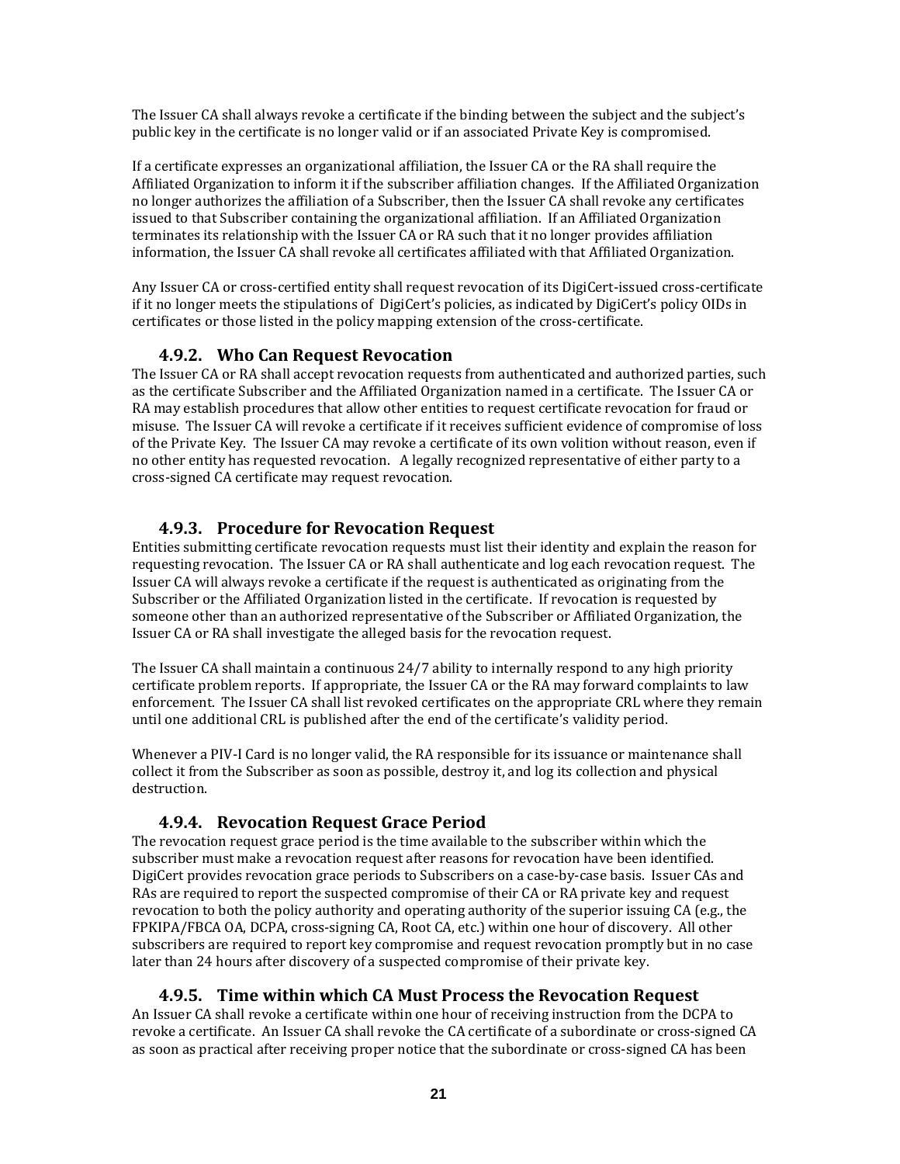The Issuer CA shall always revoke a certificate if the binding between the subject and the subject's public key in the certificate is no longer valid or if an associated Private Key is compromised.

If a certificate expresses an organizational affiliation, the Issuer CA or the RA shall require the Affiliated Organization to inform it if the subscriber affiliation changes. If the Affiliated Organization no longer authorizes the affiliation of a Subscriber, then the Issuer CA shall revoke any certificates issued to that Subscriber containing the organizational affiliation. If an Affiliated Organization terminates its relationship with the Issuer CA or RA such that it no longer provides affiliation information, the Issuer CA shall revoke all certificates affiliated with that Affiliated Organization.

Any Issuer CA or cross‐certified entity shall request revocation of its DigiCert‐issued cross‐certificate if it no longer meets the stipulations of DigiCert's policies, as indicated by DigiCert's policy OIDs in certificates or those listed in the policy mapping extension of the cross‐certificate.

#### **4.9.2. Who Can Request Revocation**

The Issuer CA or RA shall accept revocation requests from authenticated and authorized parties, such as the certificate Subscriber and the Affiliated Organization named in a certificate. The Issuer CA or RA may establish procedures that allow other entities to request certificate revocation for fraud or misuse. The Issuer CA will revoke a certificate if it receives sufficient evidence of compromise of loss of the Private Key. The Issuer CA may revoke a certificate of its own volition without reason, even if no other entity has requested revocation. A legally recognized representative of either party to a cross‐signed CA certificate may request revocation.

#### **4.9.3. Procedure for Revocation Request**

Entities submitting certificate revocation requests must list their identity and explain the reason for requesting revocation. The Issuer CA or RA shall authenticate and log each revocation request. The Issuer CA will always revoke a certificate if the request is authenticated as originating from the Subscriber or the Affiliated Organization listed in the certificate. If revocation is requested by someone other than an authorized representative of the Subscriber or Affiliated Organization, the Issuer CA or RA shall investigate the alleged basis for the revocation request.

The Issuer CA shall maintain a continuous 24/7 ability to internally respond to any high priority certificate problem reports. If appropriate, the Issuer CA or the RA may forward complaints to law enforcement. The Issuer CA shall list revoked certificates on the appropriate CRL where they remain until one additional CRL is published after the end of the certificate's validity period.

Whenever a PIV‐I Card is no longer valid, the RA responsible for its issuance or maintenance shall collect it from the Subscriber as soon as possible, destroy it, and log its collection and physical destruction.

#### **4.9.4. Revocation Request Grace Period**

The revocation request grace period is the time available to the subscriber within which the subscriber must make a revocation request after reasons for revocation have been identified. DigiCert provides revocation grace periods to Subscribers on a case‐by‐case basis. Issuer CAs and RAs are required to report the suspected compromise of their CA or RA private key and request revocation to both the policy authority and operating authority of the superior issuing CA (e.g., the FPKIPA/FBCA OA, DCPA, cross‐signing CA, Root CA, etc.) within one hour of discovery. All other subscribers are required to report key compromise and request revocation promptly but in no case later than 24 hours after discovery of a suspected compromise of their private key.

#### **4.9.5. Time within which CA Must Process the Revocation Request**

An Issuer CA shall revoke a certificate within one hour of receiving instruction from the DCPA to revoke a certificate. An Issuer CA shall revoke the CA certificate of a subordinate or cross‐signed CA as soon as practical after receiving proper notice that the subordinate or cross‐signed CA has been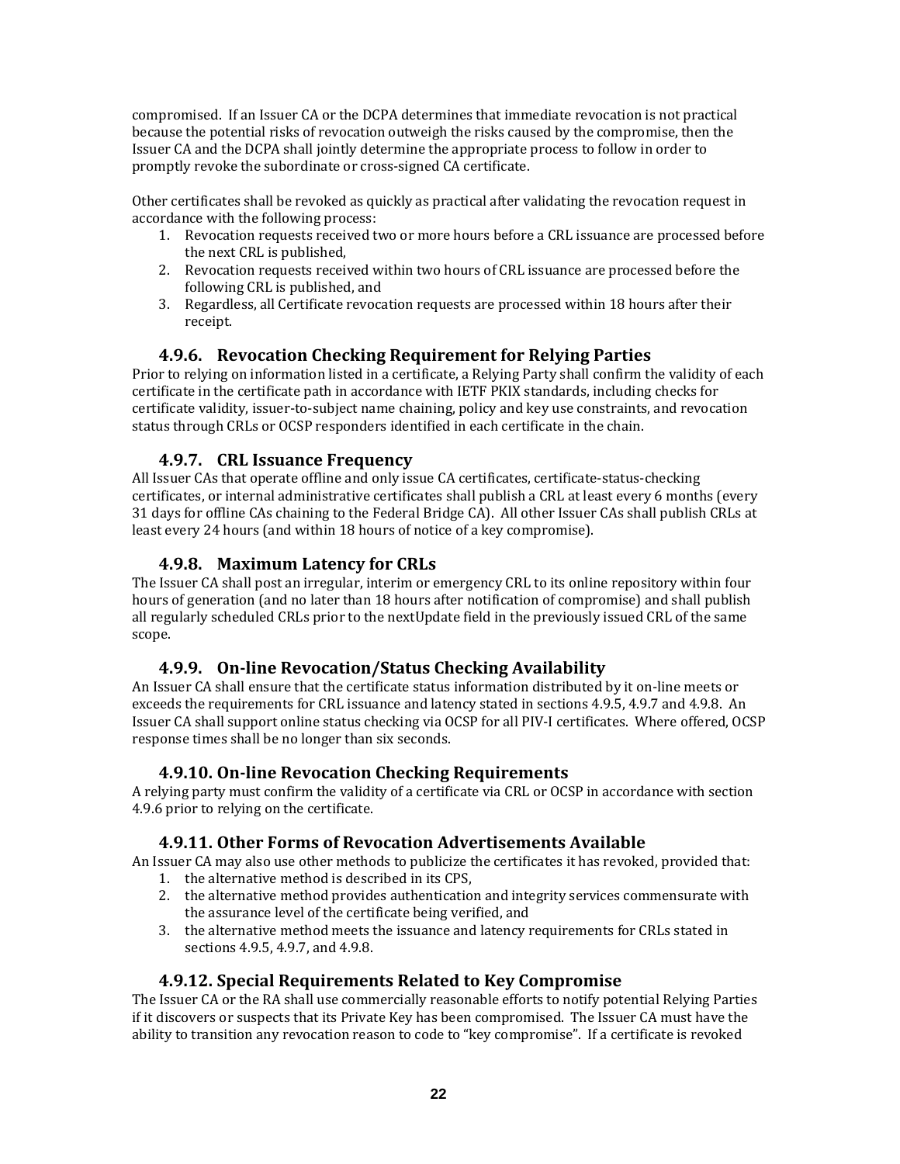compromised. If an Issuer CA or the DCPA determines that immediate revocation is not practical because the potential risks of revocation outweigh the risks caused by the compromise, then the Issuer CA and the DCPA shall jointly determine the appropriate process to follow in order to promptly revoke the subordinate or cross‐signed CA certificate.

Other certificates shall be revoked as quickly as practical after validating the revocation request in accordance with the following process:

- 1. Revocation requests received two or more hours before a CRL issuance are processed before the next CRL is published,
- 2. Revocation requests received within two hours of CRL issuance are processed before the following CRL is published, and
- 3. Regardless, all Certificate revocation requests are processed within 18 hours after their receipt.

## **4.9.6. Revocation Checking Requirement for Relying Parties**

Prior to relying on information listed in a certificate, a Relying Party shall confirm the validity of each certificate in the certificate path in accordance with IETF PKIX standards, including checks for certificate validity, issuer‐to‐subject name chaining, policy and key use constraints, and revocation status through CRLs or OCSP responders identified in each certificate in the chain.

#### **4.9.7. CRL Issuance Frequency**

All Issuer CAs that operate offline and only issue CA certificates, certificate‐status‐checking certificates, or internal administrative certificates shall publish a CRL at least every 6 months (every 31 days for offline CAs chaining to the Federal Bridge CA). All other Issuer CAs shall publish CRLs at least every 24 hours (and within 18 hours of notice of a key compromise).

#### **4.9.8. Maximum Latency for CRLs**

The Issuer CA shall post an irregular, interim or emergency CRL to its online repository within four hours of generation (and no later than 18 hours after notification of compromise) and shall publish all regularly scheduled CRLs prior to the nextUpdate field in the previously issued CRL of the same scope.

#### **4.9.9. Online Revocation/Status Checking Availability**

An Issuer CA shall ensure that the certificate status information distributed by it on‐line meets or exceeds the requirements for CRL issuance and latency stated in sections 4.9.5, 4.9.7 and 4.9.8. An Issuer CA shall support online status checking via OCSP for all PIV‐I certificates. Where offered, OCSP response times shall be no longer than six seconds.

#### **4.9.10. Online Revocation Checking Requirements**

A relying party must confirm the validity of a certificate via CRL or OCSP in accordance with section 4.9.6 prior to relying on the certificate.

#### **4.9.11. Other Forms of Revocation Advertisements Available**

An Issuer CA may also use other methods to publicize the certificates it has revoked, provided that:

- 1. the alternative method is described in its CPS,
- 2. the alternative method provides authentication and integrity services commensurate with the assurance level of the certificate being verified, and
- 3. the alternative method meets the issuance and latency requirements for CRLs stated in sections 4.9.5, 4.9.7, and 4.9.8.

#### **4.9.12. Special Requirements Related to Key Compromise**

The Issuer CA or the RA shall use commercially reasonable efforts to notify potential Relying Parties if it discovers or suspects that its Private Key has been compromised. The Issuer CA must have the ability to transition any revocation reason to code to "key compromise". If a certificate is revoked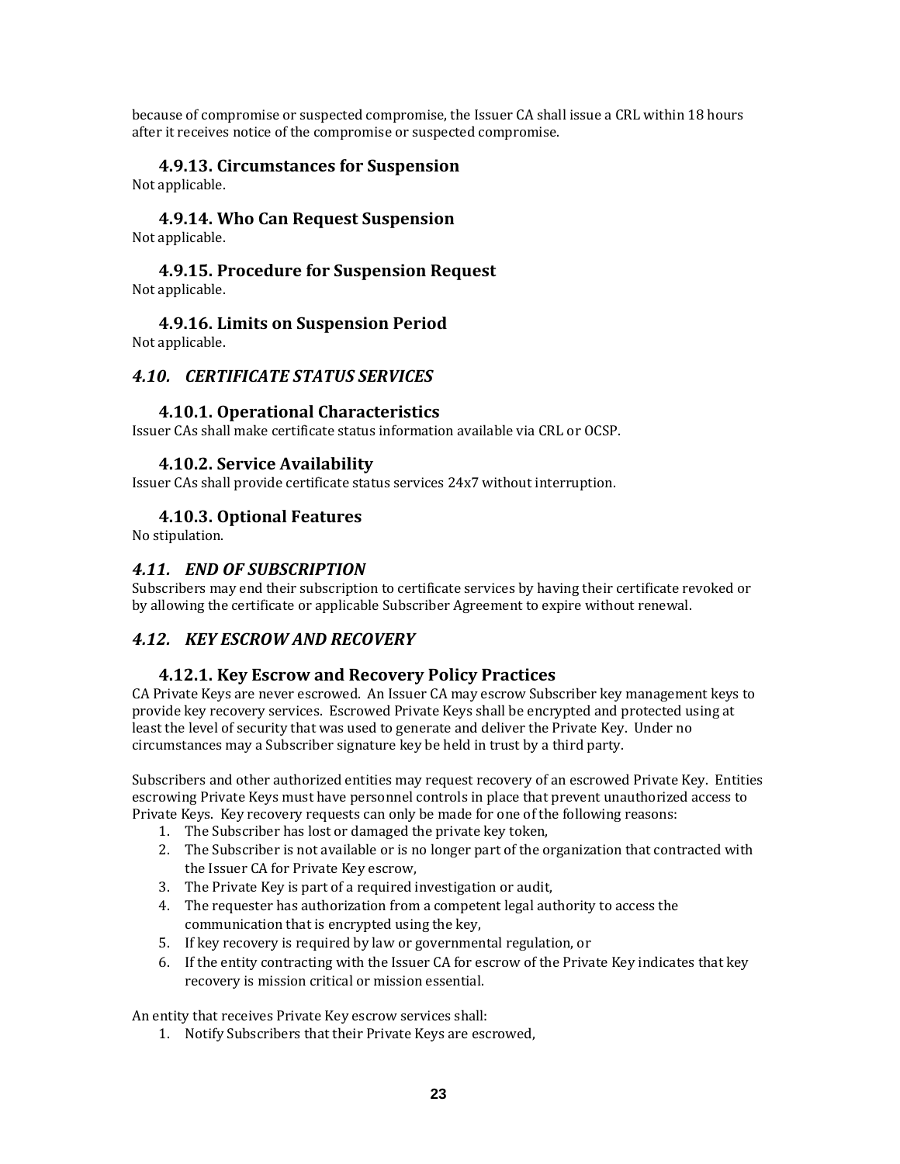because of compromise or suspected compromise, the Issuer CA shall issue a CRL within 18 hours after it receives notice of the compromise or suspected compromise.

#### **4.9.13. Circumstances for Suspension**

Not applicable.

#### **4.9.14. Who Can Request Suspension** Not applicable.

#### **4.9.15. Procedure for Suspension Request** Not applicable.

# **4.9.16. Limits on Suspension Period**

Not applicable.

## *4.10. CERTIFICATE STATUS SERVICES*

#### **4.10.1. Operational Characteristics**

Issuer CAs shall make certificate status information available via CRL or OCSP.

#### **4.10.2. Service Availability**

Issuer CAs shall provide certificate status services 24x7 without interruption.

#### **4.10.3. Optional Features**

No stipulation.

#### *4.11. END OF SUBSCRIPTION*

Subscribers may end their subscription to certificate services by having their certificate revoked or by allowing the certificate or applicable Subscriber Agreement to expire without renewal.

# *4.12. KEY ESCROW AND RECOVERY*

#### **4.12.1. Key Escrow and Recovery Policy Practices**

CA Private Keys are never escrowed. An Issuer CA may escrow Subscriber key management keys to provide key recovery services. Escrowed Private Keys shall be encrypted and protected using at least the level of security that was used to generate and deliver the Private Key. Under no circumstances may a Subscriber signature key be held in trust by a third party.

Subscribers and other authorized entities may request recovery of an escrowed Private Key. Entities escrowing Private Keys must have personnel controls in place that prevent unauthorized access to Private Keys. Key recovery requests can only be made for one of the following reasons:

- 1. The Subscriber has lost or damaged the private key token,
- 2. The Subscriber is not available or is no longer part of the organization that contracted with the Issuer CA for Private Key escrow,
- 3. The Private Key is part of a required investigation or audit,
- 4. The requester has authorization from a competent legal authority to access the communication that is encrypted using the key,
- 5. If key recovery is required by law or governmental regulation, or
- 6. If the entity contracting with the Issuer CA for escrow of the Private Key indicates that key recovery is mission critical or mission essential.

An entity that receives Private Key escrow services shall:

1. Notify Subscribers that their Private Keys are escrowed,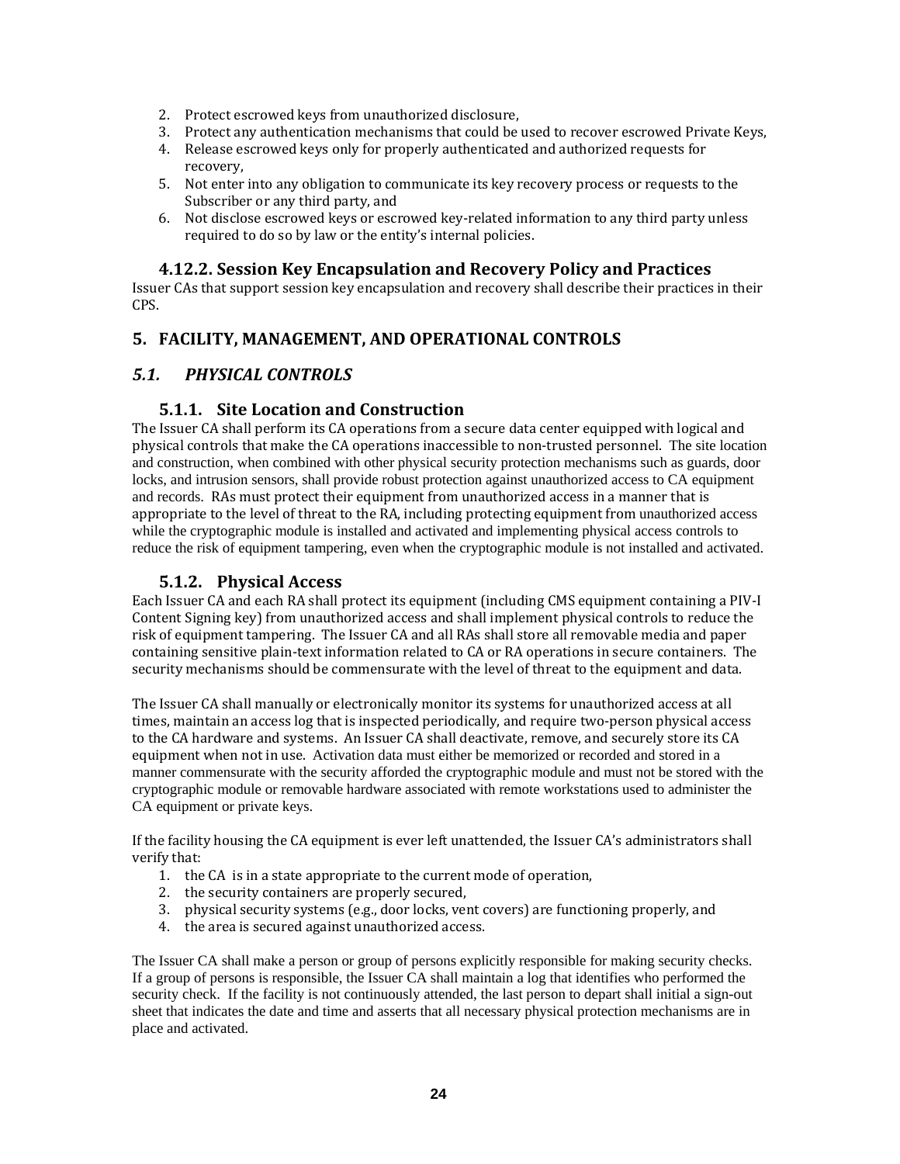- 2. Protect escrowed keys from unauthorized disclosure,
- 3. Protect any authentication mechanisms that could be used to recover escrowed Private Keys,
- 4. Release escrowed keys only for properly authenticated and authorized requests for recovery,
- 5. Not enter into any obligation to communicate its key recovery process or requests to the Subscriber or any third party, and
- 6. Not disclose escrowed keys or escrowed key‐related information to any third party unless required to do so by law or the entity's internal policies.

## **4.12.2. Session Key Encapsulation and Recovery Policy and Practices**

Issuer CAs that support session key encapsulation and recovery shall describe their practices in their CPS.

# **5. FACILITY, MANAGEMENT, AND OPERATIONAL CONTROLS**

## *5.1. PHYSICAL CONTROLS*

#### **5.1.1. Site Location and Construction**

The Issuer CA shall perform its CA operations from a secure data center equipped with logical and physical controls that make the CA operations inaccessible to non‐trusted personnel. The site location and construction, when combined with other physical security protection mechanisms such as guards, door locks, and intrusion sensors, shall provide robust protection against unauthorized access to CA equipment and records. RAs must protect their equipment from unauthorized access in a manner that is appropriate to the level of threat to the RA, including protecting equipment from unauthorized access while the cryptographic module is installed and activated and implementing physical access controls to reduce the risk of equipment tampering, even when the cryptographic module is not installed and activated.

## **5.1.2. Physical Access**

Each Issuer CA and each RA shall protect its equipment (including CMS equipment containing a PIV‐I Content Signing key) from unauthorized access and shall implement physical controls to reduce the risk of equipment tampering. The Issuer CA and all RAs shall store all removable media and paper containing sensitive plain‐text information related to CA or RA operations in secure containers. The security mechanisms should be commensurate with the level of threat to the equipment and data.

The Issuer CA shall manually or electronically monitor its systems for unauthorized access at all times, maintain an access log that is inspected periodically, and require two-person physical access to the CA hardware and systems. An Issuer CA shall deactivate, remove, and securely store its CA equipment when not in use. Activation data must either be memorized or recorded and stored in a manner commensurate with the security afforded the cryptographic module and must not be stored with the cryptographic module or removable hardware associated with remote workstations used to administer the CA equipment or private keys.

If the facility housing the CA equipment is ever left unattended, the Issuer CA's administrators shall verify that:

- 1. the CA is in a state appropriate to the current mode of operation,
- 2. the security containers are properly secured,
- 3. physical security systems (e.g., door locks, vent covers) are functioning properly, and
- 4. the area is secured against unauthorized access.

The Issuer CA shall make a person or group of persons explicitly responsible for making security checks. If a group of persons is responsible, the Issuer CA shall maintain a log that identifies who performed the security check. If the facility is not continuously attended, the last person to depart shall initial a sign-out sheet that indicates the date and time and asserts that all necessary physical protection mechanisms are in place and activated.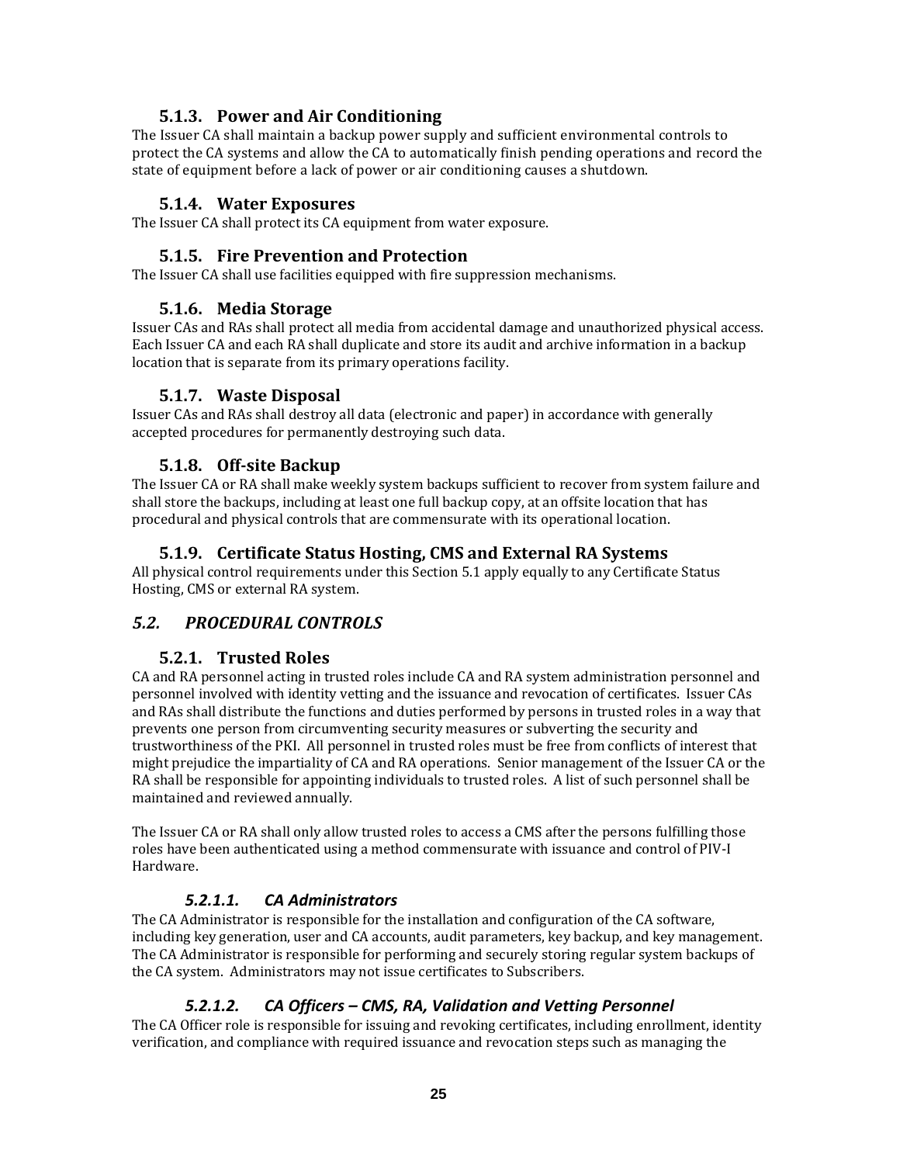## **5.1.3. Power and Air Conditioning**

The Issuer CA shall maintain a backup power supply and sufficient environmental controls to protect the CA systems and allow the CA to automatically finish pending operations and record the state of equipment before a lack of power or air conditioning causes a shutdown.

#### **5.1.4. Water Exposures**

The Issuer CA shall protect its CA equipment from water exposure.

#### **5.1.5. Fire Prevention and Protection**

The Issuer CA shall use facilities equipped with fire suppression mechanisms.

#### **5.1.6. Media Storage**

Issuer CAs and RAs shall protect all media from accidental damage and unauthorized physical access. Each Issuer CA and each RA shall duplicate and store its audit and archive information in a backup location that is separate from its primary operations facility.

#### **5.1.7. Waste Disposal**

Issuer CAs and RAs shall destroy all data (electronic and paper) in accordance with generally accepted procedures for permanently destroying such data.

#### **5.1.8. Offsite Backup**

The Issuer CA or RA shall make weekly system backups sufficient to recover from system failure and shall store the backups, including at least one full backup copy, at an offsite location that has procedural and physical controls that are commensurate with its operational location.

## **5.1.9. Certificate Status Hosting, CMS and External RA Systems**

All physical control requirements under this Section 5.1 apply equally to any Certificate Status Hosting, CMS or external RA system.

# *5.2. PROCEDURAL CONTROLS*

#### **5.2.1. Trusted Roles**

CA and RA personnel acting in trusted roles include CA and RA system administration personnel and personnel involved with identity vetting and the issuance and revocation of certificates. Issuer CAs and RAs shall distribute the functions and duties performed by persons in trusted roles in a way that prevents one person from circumventing security measures or subverting the security and trustworthiness of the PKI. All personnel in trusted roles must be free from conflicts of interest that might prejudice the impartiality of CA and RA operations. Senior management of the Issuer CA or the RA shall be responsible for appointing individuals to trusted roles. A list of such personnel shall be maintained and reviewed annually.

The Issuer CA or RA shall only allow trusted roles to access a CMS after the persons fulfilling those roles have been authenticated using a method commensurate with issuance and control of PIV‐I Hardware.

#### *5.2.1.1. CA Administrators*

The CA Administrator is responsible for the installation and configuration of the CA software, including key generation, user and CA accounts, audit parameters, key backup, and key management. The CA Administrator is responsible for performing and securely storing regular system backups of the CA system. Administrators may not issue certificates to Subscribers.

#### *5.2.1.2. CA Officers – CMS, RA, Validation and Vetting Personnel*

The CA Officer role is responsible for issuing and revoking certificates, including enrollment, identity verification, and compliance with required issuance and revocation steps such as managing the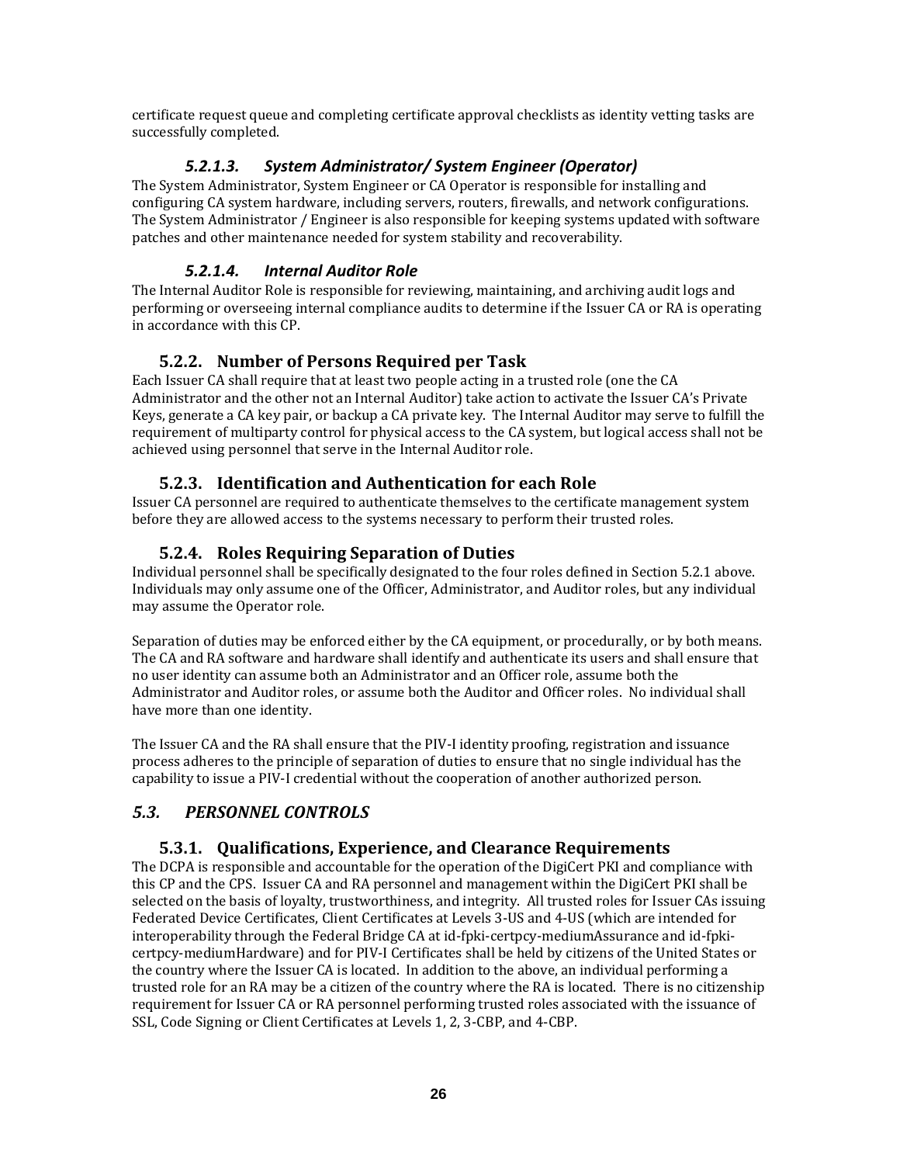certificate request queue and completing certificate approval checklists as identity vetting tasks are successfully completed.

## *5.2.1.3. System Administrator/ System Engineer (Operator)*

The System Administrator, System Engineer or CA Operator is responsible for installing and configuring CA system hardware, including servers, routers, firewalls, and network configurations. The System Administrator / Engineer is also responsible for keeping systems updated with software patches and other maintenance needed for system stability and recoverability.

## *5.2.1.4. Internal Auditor Role*

The Internal Auditor Role is responsible for reviewing, maintaining, and archiving audit logs and performing or overseeing internal compliance audits to determine if the Issuer CA or RA is operating in accordance with this CP.

# **5.2.2. Number of Persons Required per Task**

Each Issuer CA shall require that at least two people acting in a trusted role (one the CA Administrator and the other not an Internal Auditor) take action to activate the Issuer CA's Private Keys, generate a CA key pair, or backup a CA private key. The Internal Auditor may serve to fulfill the requirement of multiparty control for physical access to the CA system, but logical access shall not be achieved using personnel that serve in the Internal Auditor role.

## **5.2.3. Identification and Authentication for each Role**

Issuer CA personnel are required to authenticate themselves to the certificate management system before they are allowed access to the systems necessary to perform their trusted roles.

# **5.2.4. Roles Requiring Separation of Duties**

Individual personnel shall be specifically designated to the four roles defined in Section 5.2.1 above. Individuals may only assume one of the Officer, Administrator, and Auditor roles, but any individual may assume the Operator role.

Separation of duties may be enforced either by the CA equipment, or procedurally, or by both means. The CA and RA software and hardware shall identify and authenticate its users and shall ensure that no user identity can assume both an Administrator and an Officer role, assume both the Administrator and Auditor roles, or assume both the Auditor and Officer roles. No individual shall have more than one identity.

The Issuer CA and the RA shall ensure that the PIV-I identity proofing, registration and issuance process adheres to the principle of separation of duties to ensure that no single individual has the capability to issue a PIV‐I credential without the cooperation of another authorized person.

# *5.3. PERSONNEL CONTROLS*

# **5.3.1. Qualifications, Experience, and Clearance Requirements**

The DCPA is responsible and accountable for the operation of the DigiCert PKI and compliance with this CP and the CPS. Issuer CA and RA personnel and management within the DigiCert PKI shall be selected on the basis of loyalty, trustworthiness, and integrity. All trusted roles for Issuer CAs issuing Federated Device Certificates, Client Certificates at Levels 3‐US and 4‐US (which are intended for interoperability through the Federal Bridge CA at id‐fpki‐certpcy‐mediumAssurance and id‐fpki‐ certpcy‐mediumHardware) and for PIV‐I Certificates shall be held by citizens of the United States or the country where the Issuer CA is located. In addition to the above, an individual performing a trusted role for an RA may be a citizen of the country where the RA is located. There is no citizenship requirement for Issuer CA or RA personnel performing trusted roles associated with the issuance of SSL, Code Signing or Client Certificates at Levels 1, 2, 3‐CBP, and 4‐CBP.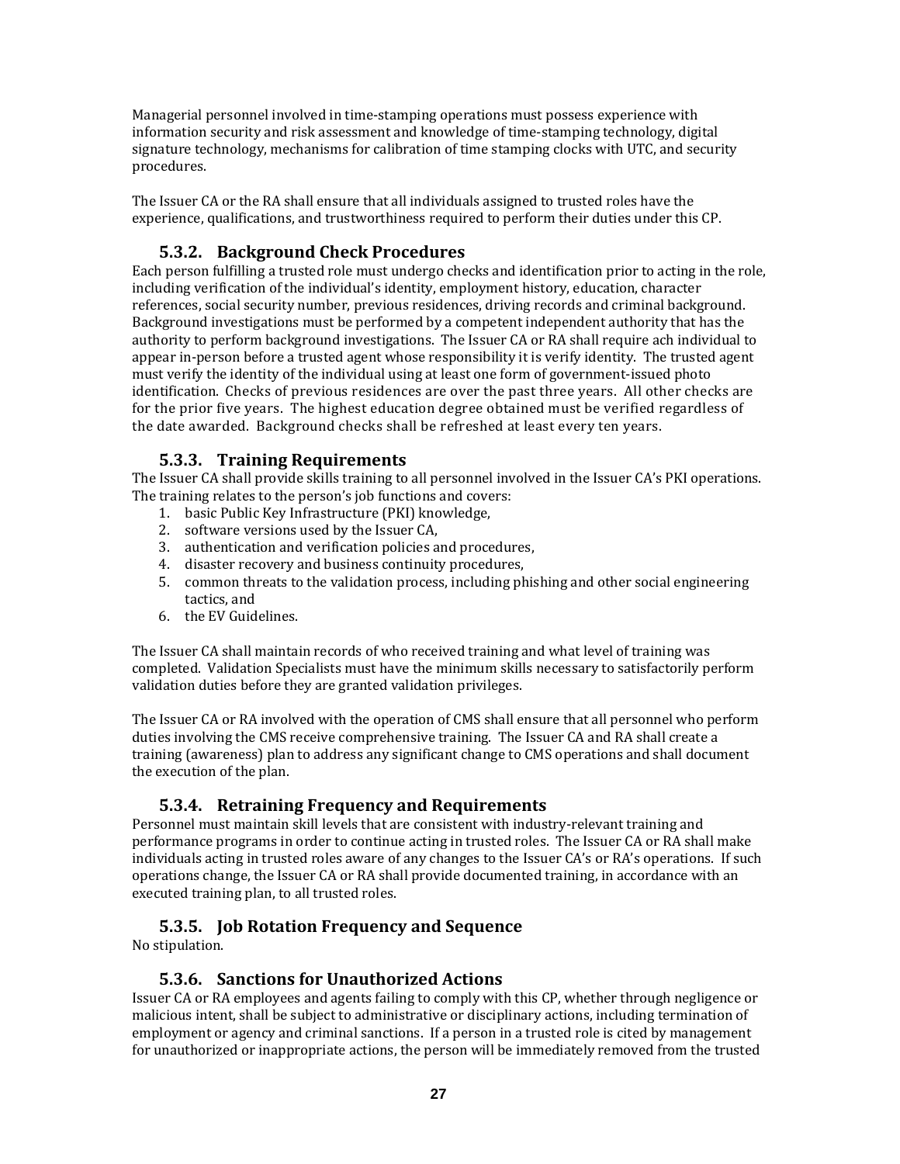Managerial personnel involved in time‐stamping operations must possess experience with information security and risk assessment and knowledge of time‐stamping technology, digital signature technology, mechanisms for calibration of time stamping clocks with UTC, and security procedures.

The Issuer CA or the RA shall ensure that all individuals assigned to trusted roles have the experience, qualifications, and trustworthiness required to perform their duties under this CP.

# **5.3.2. Background Check Procedures**

Each person fulfilling a trusted role must undergo checks and identification prior to acting in the role, including verification of the individual's identity, employment history, education, character references, social security number, previous residences, driving records and criminal background. Background investigations must be performed by a competent independent authority that has the authority to perform background investigations. The Issuer CA or RA shall require ach individual to appear in-person before a trusted agent whose responsibility it is verify identity. The trusted agent must verify the identity of the individual using at least one form of government‐issued photo identification. Checks of previous residences are over the past three years. All other checks are for the prior five years. The highest education degree obtained must be verified regardless of the date awarded. Background checks shall be refreshed at least every ten years.

## **5.3.3. Training Requirements**

The Issuer CA shall provide skills training to all personnel involved in the Issuer CA's PKI operations. The training relates to the person's job functions and covers:

- 1. basic Public Key Infrastructure (PKI) knowledge,
- 2. software versions used by the Issuer CA,
- 3. authentication and verification policies and procedures,
- 4. disaster recovery and business continuity procedures,
- 5. common threats to the validation process, including phishing and other social engineering tactics, and
- 6. the EV Guidelines.

The Issuer CA shall maintain records of who received training and what level of training was completed. Validation Specialists must have the minimum skills necessary to satisfactorily perform validation duties before they are granted validation privileges.

The Issuer CA or RA involved with the operation of CMS shall ensure that all personnel who perform duties involving the CMS receive comprehensive training. The Issuer CA and RA shall create a training (awareness) plan to address any significant change to CMS operations and shall document the execution of the plan.

#### **5.3.4. Retraining Frequency and Requirements**

Personnel must maintain skill levels that are consistent with industry-relevant training and performance programs in order to continue acting in trusted roles. The Issuer CA or RA shall make individuals acting in trusted roles aware of any changes to the Issuer CA's or RA's operations. If such operations change, the Issuer CA or RA shall provide documented training, in accordance with an executed training plan, to all trusted roles.

#### **5.3.5. Job Rotation Frequency and Sequence**

No stipulation.

#### **5.3.6. Sanctions for Unauthorized Actions**

Issuer CA or RA employees and agents failing to comply with this CP, whether through negligence or malicious intent, shall be subject to administrative or disciplinary actions, including termination of employment or agency and criminal sanctions. If a person in a trusted role is cited by management for unauthorized or inappropriate actions, the person will be immediately removed from the trusted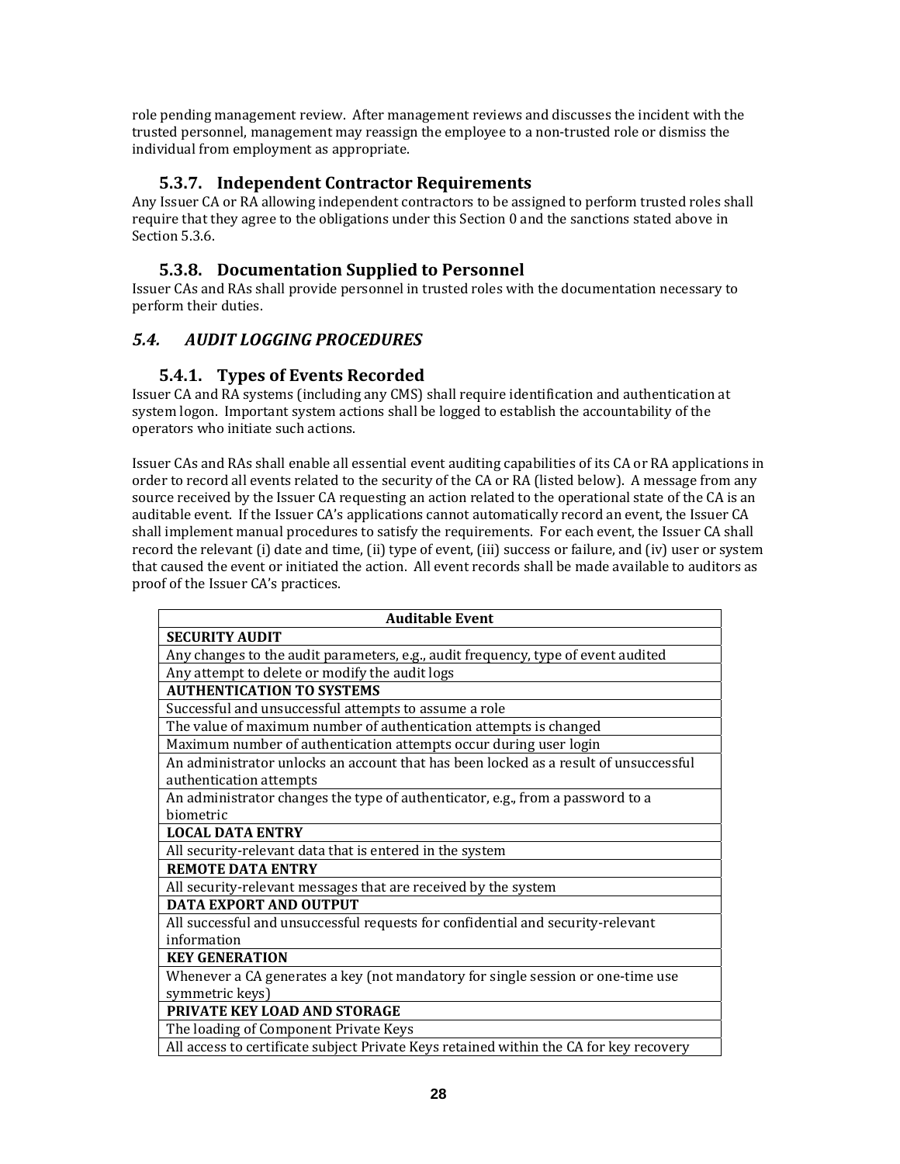role pending management review. After management reviews and discusses the incident with the trusted personnel, management may reassign the employee to a non-trusted role or dismiss the individual from employment as appropriate.

# **5.3.7. Independent Contractor Requirements**

Any Issuer CA or RA allowing independent contractors to be assigned to perform trusted roles shall require that they agree to the obligations under this Section 0 and the sanctions stated above in Section 5.3.6.

## **5.3.8. Documentation Supplied to Personnel**

Issuer CAs and RAs shall provide personnel in trusted roles with the documentation necessary to perform their duties.

## *5.4. AUDIT LOGGING PROCEDURES*

#### **5.4.1. Types of Events Recorded**

Issuer CA and RA systems (including any CMS) shall require identification and authentication at system logon. Important system actions shall be logged to establish the accountability of the operators who initiate such actions.

Issuer CAs and RAs shall enable all essential event auditing capabilities of its CA or RA applications in order to record all events related to the security of the CA or RA (listed below). A message from any source received by the Issuer CA requesting an action related to the operational state of the CA is an auditable event. If the Issuer CA's applications cannot automatically record an event, the Issuer CA shall implement manual procedures to satisfy the requirements. For each event, the Issuer CA shall record the relevant (i) date and time, (ii) type of event, (iii) success or failure, and (iv) user or system that caused the event or initiated the action. All event records shall be made available to auditors as proof of the Issuer CA's practices.

| <b>Auditable Event</b>                                                                 |
|----------------------------------------------------------------------------------------|
| <b>SECURITY AUDIT</b>                                                                  |
| Any changes to the audit parameters, e.g., audit frequency, type of event audited      |
| Any attempt to delete or modify the audit logs                                         |
| <b>AUTHENTICATION TO SYSTEMS</b>                                                       |
| Successful and unsuccessful attempts to assume a role                                  |
| The value of maximum number of authentication attempts is changed                      |
| Maximum number of authentication attempts occur during user login                      |
| An administrator unlocks an account that has been locked as a result of unsuccessful   |
| authentication attempts                                                                |
| An administrator changes the type of authenticator, e.g., from a password to a         |
| biometric                                                                              |
| <b>LOCAL DATA ENTRY</b>                                                                |
| All security-relevant data that is entered in the system                               |
| <b>REMOTE DATA ENTRY</b>                                                               |
| All security-relevant messages that are received by the system                         |
| <b>DATA EXPORT AND OUTPUT</b>                                                          |
| All successful and unsuccessful requests for confidential and security-relevant        |
| information                                                                            |
| <b>KEY GENERATION</b>                                                                  |
| Whenever a CA generates a key (not mandatory for single session or one-time use        |
| symmetric keys)                                                                        |
| PRIVATE KEY LOAD AND STORAGE                                                           |
| The loading of Component Private Keys                                                  |
| All access to certificate subject Private Keys retained within the CA for key recovery |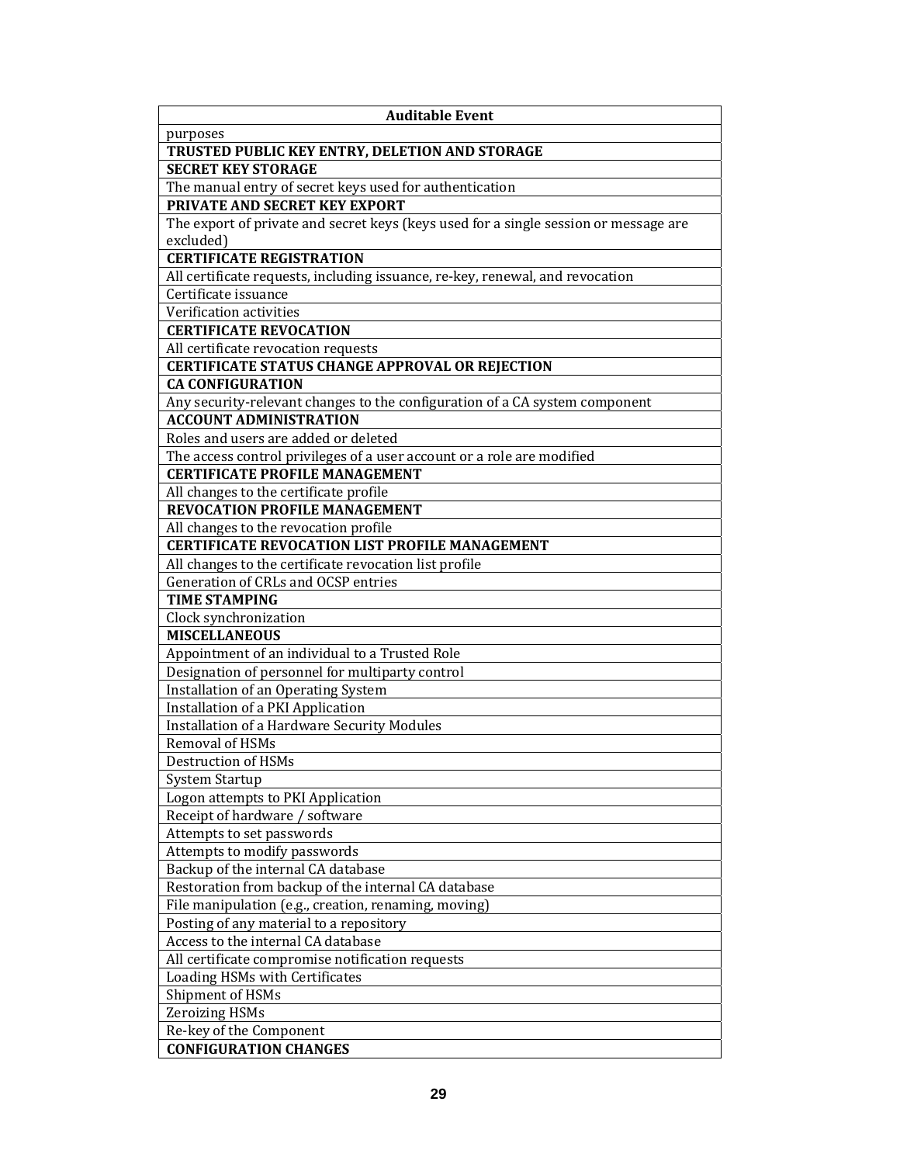| <b>Auditable Event</b>                                                               |
|--------------------------------------------------------------------------------------|
| purposes                                                                             |
| TRUSTED PUBLIC KEY ENTRY, DELETION AND STORAGE                                       |
| <b>SECRET KEY STORAGE</b>                                                            |
| The manual entry of secret keys used for authentication                              |
| PRIVATE AND SECRET KEY EXPORT                                                        |
| The export of private and secret keys (keys used for a single session or message are |
| excluded)                                                                            |
| <b>CERTIFICATE REGISTRATION</b>                                                      |
| All certificate requests, including issuance, re-key, renewal, and revocation        |
| Certificate issuance                                                                 |
| Verification activities                                                              |
| <b>CERTIFICATE REVOCATION</b>                                                        |
| All certificate revocation requests                                                  |
| <b>CERTIFICATE STATUS CHANGE APPROVAL OR REJECTION</b>                               |
| <b>CA CONFIGURATION</b>                                                              |
| Any security-relevant changes to the configuration of a CA system component          |
| <b>ACCOUNT ADMINISTRATION</b>                                                        |
| Roles and users are added or deleted                                                 |
| The access control privileges of a user account or a role are modified               |
| <b>CERTIFICATE PROFILE MANAGEMENT</b>                                                |
| All changes to the certificate profile                                               |
| <b>REVOCATION PROFILE MANAGEMENT</b>                                                 |
| All changes to the revocation profile                                                |
| <b>CERTIFICATE REVOCATION LIST PROFILE MANAGEMENT</b>                                |
| All changes to the certificate revocation list profile                               |
| Generation of CRLs and OCSP entries                                                  |
| <b>TIME STAMPING</b>                                                                 |
| Clock synchronization                                                                |
| <b>MISCELLANEOUS</b>                                                                 |
| Appointment of an individual to a Trusted Role                                       |
| Designation of personnel for multiparty control                                      |
| Installation of an Operating System                                                  |
| Installation of a PKI Application                                                    |
| <b>Installation of a Hardware Security Modules</b>                                   |
| Removal of HSMs                                                                      |
| Destruction of HSMs                                                                  |
| System Startup                                                                       |
| Logon attempts to PKI Application                                                    |
| Receipt of hardware / software                                                       |
| Attempts to set passwords                                                            |
| Attempts to modify passwords                                                         |
| Backup of the internal CA database                                                   |
| Restoration from backup of the internal CA database                                  |
| File manipulation (e.g., creation, renaming, moving)                                 |
| Posting of any material to a repository                                              |
| Access to the internal CA database                                                   |
| All certificate compromise notification requests                                     |
| Loading HSMs with Certificates                                                       |
| Shipment of HSMs                                                                     |
| <b>Zeroizing HSMs</b>                                                                |
| Re-key of the Component                                                              |
| <b>CONFIGURATION CHANGES</b>                                                         |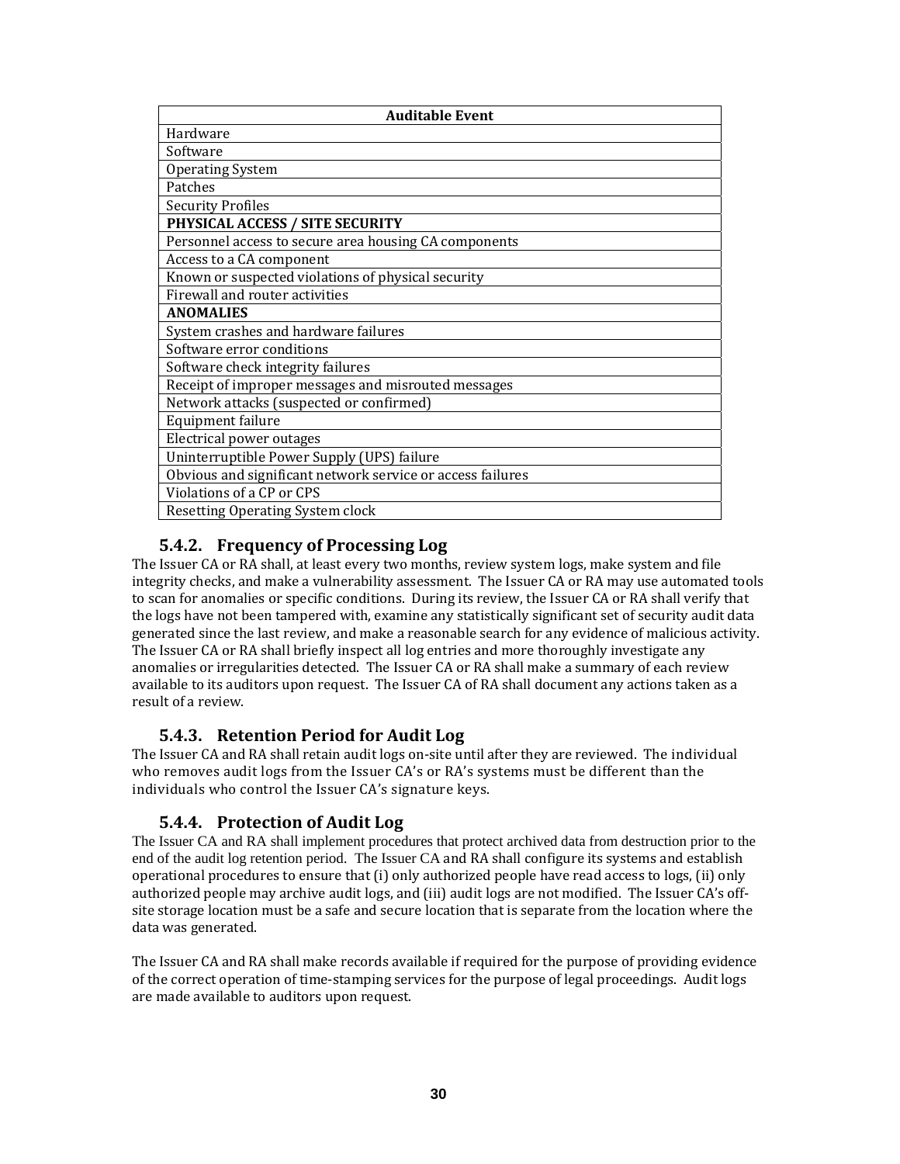| <b>Auditable Event</b>                                     |  |  |
|------------------------------------------------------------|--|--|
| Hardware                                                   |  |  |
| Software                                                   |  |  |
| <b>Operating System</b>                                    |  |  |
| Patches                                                    |  |  |
| <b>Security Profiles</b>                                   |  |  |
| <b>PHYSICAL ACCESS / SITE SECURITY</b>                     |  |  |
| Personnel access to secure area housing CA components      |  |  |
| Access to a CA component                                   |  |  |
| Known or suspected violations of physical security         |  |  |
| Firewall and router activities                             |  |  |
| <b>ANOMALIES</b>                                           |  |  |
| System crashes and hardware failures                       |  |  |
| Software error conditions                                  |  |  |
| Software check integrity failures                          |  |  |
| Receipt of improper messages and misrouted messages        |  |  |
| Network attacks (suspected or confirmed)                   |  |  |
| Equipment failure                                          |  |  |
| Electrical power outages                                   |  |  |
| Uninterruptible Power Supply (UPS) failure                 |  |  |
| Obvious and significant network service or access failures |  |  |
| Violations of a CP or CPS                                  |  |  |
| Resetting Operating System clock                           |  |  |

## **5.4.2. Frequency of Processing Log**

The Issuer CA or RA shall, at least every two months, review system logs, make system and file integrity checks, and make a vulnerability assessment. The Issuer CA or RA may use automated tools to scan for anomalies or specific conditions. During its review, the Issuer CA or RA shall verify that the logs have not been tampered with, examine any statistically significant set of security audit data generated since the last review, and make a reasonable search for any evidence of malicious activity. The Issuer CA or RA shall briefly inspect all log entries and more thoroughly investigate any anomalies or irregularities detected. The Issuer CA or RA shall make a summary of each review available to its auditors upon request. The Issuer CA of RA shall document any actions taken as a result of a review.

#### **5.4.3. Retention Period for Audit Log**

The Issuer CA and RA shall retain audit logs on‐site until after they are reviewed. The individual who removes audit logs from the Issuer CA's or RA's systems must be different than the individuals who control the Issuer CA's signature keys.

#### **5.4.4. Protection of Audit Log**

The Issuer CA and RA shall implement procedures that protect archived data from destruction prior to the end of the audit log retention period. The Issuer CA and RA shall configure its systems and establish operational procedures to ensure that (i) only authorized people have read access to logs, (ii) only authorized people may archive audit logs, and (iii) audit logs are not modified. The Issuer CA's off‐ site storage location must be a safe and secure location that is separate from the location where the data was generated.

The Issuer CA and RA shall make records available if required for the purpose of providing evidence of the correct operation of time‐stamping services for the purpose of legal proceedings. Audit logs are made available to auditors upon request.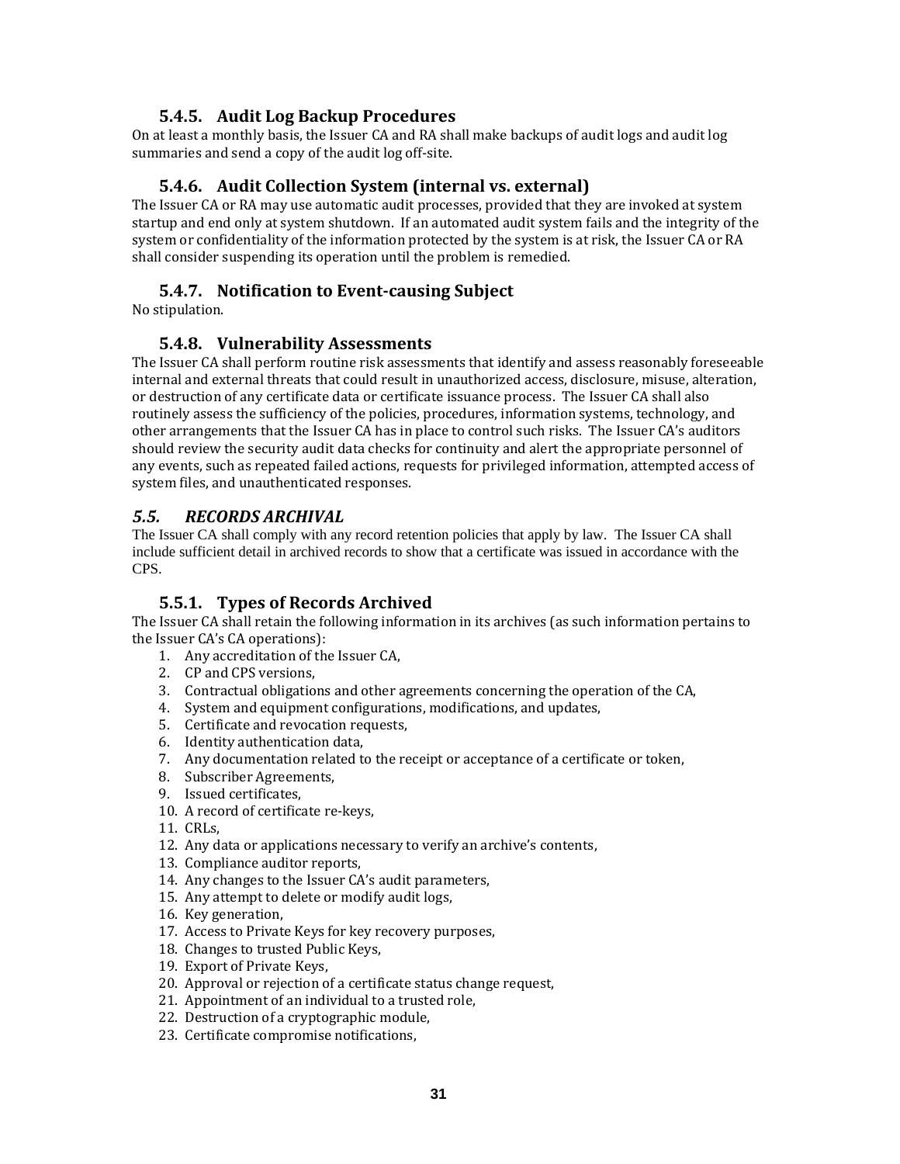## **5.4.5. Audit Log Backup Procedures**

On at least a monthly basis, the Issuer CA and RA shall make backups of audit logs and audit log summaries and send a copy of the audit log off-site.

## **5.4.6. Audit Collection System (internal vs. external)**

The Issuer CA or RA may use automatic audit processes, provided that they are invoked at system startup and end only at system shutdown. If an automated audit system fails and the integrity of the system or confidentiality of the information protected by the system is at risk, the Issuer CA or RA shall consider suspending its operation until the problem is remedied.

## **5.4.7. Notification to Eventcausing Subject**

No stipulation.

#### **5.4.8. Vulnerability Assessments**

The Issuer CA shall perform routine risk assessments that identify and assess reasonably foreseeable internal and external threats that could result in unauthorized access, disclosure, misuse, alteration, or destruction of any certificate data or certificate issuance process. The Issuer CA shall also routinely assess the sufficiency of the policies, procedures, information systems, technology, and other arrangements that the Issuer CA has in place to control such risks. The Issuer CA's auditors should review the security audit data checks for continuity and alert the appropriate personnel of any events, such as repeated failed actions, requests for privileged information, attempted access of system files, and unauthenticated responses.

# *5.5. RECORDS ARCHIVAL*

The Issuer CA shall comply with any record retention policies that apply by law. The Issuer CA shall include sufficient detail in archived records to show that a certificate was issued in accordance with the CPS.

# **5.5.1. Types of Records Archived**

The Issuer CA shall retain the following information in its archives (as such information pertains to the Issuer CA's CA operations):

- 1. Any accreditation of the Issuer CA,
- 2. CP and CPS versions,
- 3. Contractual obligations and other agreements concerning the operation of the CA,
- 4. System and equipment configurations, modifications, and updates,
- 5. Certificate and revocation requests,
- 6. Identity authentication data,
- 7. Any documentation related to the receipt or acceptance of a certificate or token,
- 8. Subscriber Agreements,
- 9. Issued certificates,
- 10. A record of certificate re‐keys,
- 11. CRLs,
- 12. Any data or applications necessary to verify an archive's contents,
- 13. Compliance auditor reports,
- 14. Any changes to the Issuer CA's audit parameters,
- 15. Any attempt to delete or modify audit logs,
- 16. Key generation,
- 17. Access to Private Keys for key recovery purposes,
- 18. Changes to trusted Public Keys,
- 19. Export of Private Keys,
- 20. Approval or rejection of a certificate status change request,
- 21. Appointment of an individual to a trusted role,
- 22. Destruction of a cryptographic module,
- 23. Certificate compromise notifications,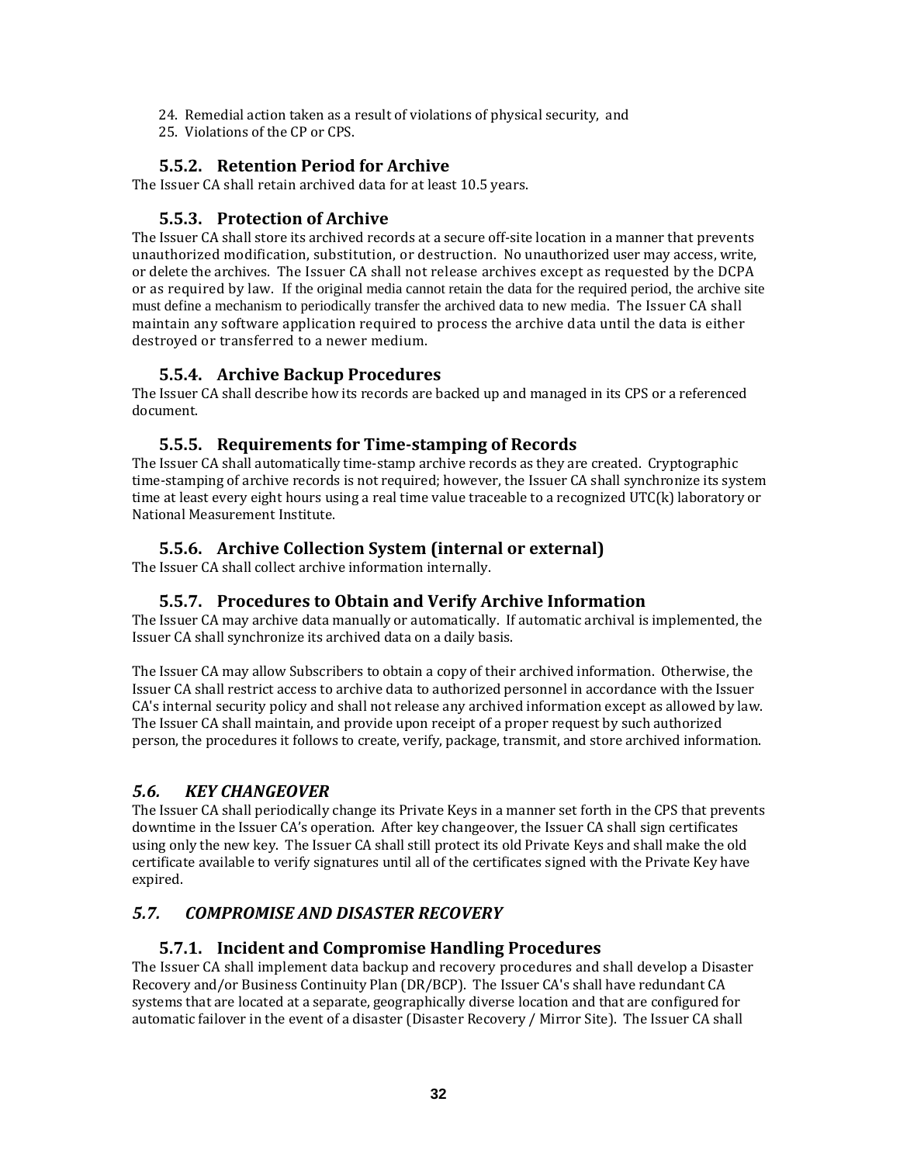- 24. Remedial action taken as a result of violations of physical security, and
- 25. Violations of the CP or CPS.

## **5.5.2. Retention Period for Archive**

The Issuer CA shall retain archived data for at least 10.5 years.

## **5.5.3. Protection of Archive**

The Issuer CA shall store its archived records at a secure off-site location in a manner that prevents unauthorized modification, substitution, or destruction. No unauthorized user may access, write, or delete the archives. The Issuer CA shall not release archives except as requested by the DCPA or as required by law. If the original media cannot retain the data for the required period, the archive site must define a mechanism to periodically transfer the archived data to new media. The Issuer CA shall maintain any software application required to process the archive data until the data is either destroyed or transferred to a newer medium.

## **5.5.4. Archive Backup Procedures**

The Issuer CA shall describe how its records are backed up and managed in its CPS or a referenced document.

## **5.5.5. Requirements for Timestamping of Records**

The Issuer CA shall automatically time‐stamp archive records as they are created. Cryptographic time‐stamping of archive records is not required; however, the Issuer CA shall synchronize its system time at least every eight hours using a real time value traceable to a recognized UTC(k) laboratory or National Measurement Institute.

# **5.5.6. Archive Collection System (internal or external)**

The Issuer CA shall collect archive information internally.

#### **5.5.7. Procedures to Obtain and Verify Archive Information**

The Issuer CA may archive data manually or automatically. If automatic archival is implemented, the Issuer CA shall synchronize its archived data on a daily basis.

The Issuer CA may allow Subscribers to obtain a copy of their archived information. Otherwise, the Issuer CA shall restrict access to archive data to authorized personnel in accordance with the Issuer CA's internal security policy and shall not release any archived information except as allowed by law. The Issuer CA shall maintain, and provide upon receipt of a proper request by such authorized person, the procedures it follows to create, verify, package, transmit, and store archived information.

# *5.6. KEY CHANGEOVER*

The Issuer CA shall periodically change its Private Keys in a manner set forth in the CPS that prevents downtime in the Issuer CA's operation. After key changeover, the Issuer CA shall sign certificates using only the new key. The Issuer CA shall still protect its old Private Keys and shall make the old certificate available to verify signatures until all of the certificates signed with the Private Key have expired.

# *5.7. COMPROMISE AND DISASTER RECOVERY*

#### **5.7.1. Incident and Compromise Handling Procedures**

The Issuer CA shall implement data backup and recovery procedures and shall develop a Disaster Recovery and/or Business Continuity Plan (DR/BCP). The Issuer CA's shall have redundant CA systems that are located at a separate, geographically diverse location and that are configured for automatic failover in the event of a disaster (Disaster Recovery / Mirror Site). The Issuer CA shall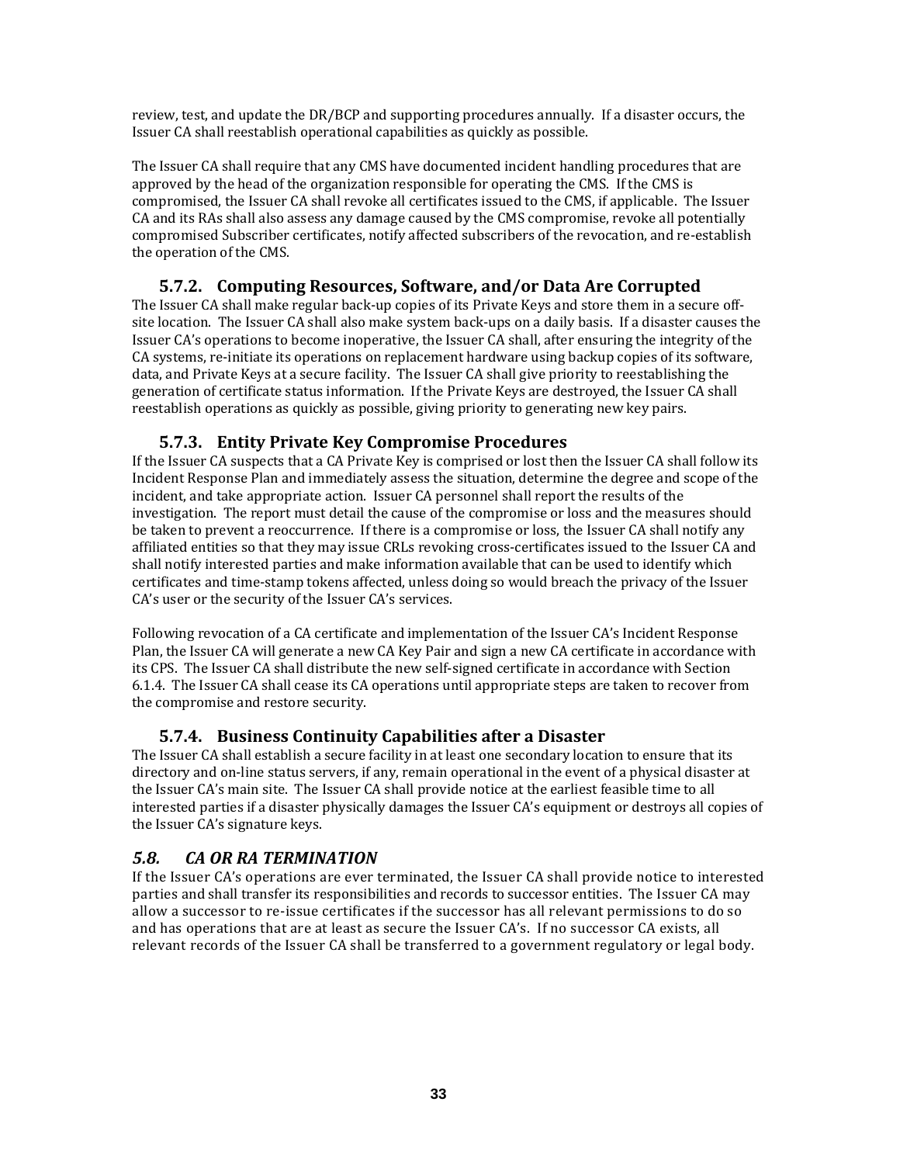review, test, and update the DR/BCP and supporting procedures annually. If a disaster occurs, the Issuer CA shall reestablish operational capabilities as quickly as possible.

The Issuer CA shall require that any CMS have documented incident handling procedures that are approved by the head of the organization responsible for operating the CMS. If the CMS is compromised, the Issuer CA shall revoke all certificates issued to the CMS, if applicable. The Issuer CA and its RAs shall also assess any damage caused by the CMS compromise, revoke all potentially compromised Subscriber certificates, notify affected subscribers of the revocation, and re‐establish the operation of the CMS.

#### **5.7.2. Computing Resources, Software, and/or Data Are Corrupted**

The Issuer CA shall make regular back‐up copies of its Private Keys and store them in a secure off‐ site location. The Issuer CA shall also make system back‐ups on a daily basis. If a disaster causes the Issuer CA's operations to become inoperative, the Issuer CA shall, after ensuring the integrity of the CA systems, re‐initiate its operations on replacement hardware using backup copies of its software, data, and Private Keys at a secure facility. The Issuer CA shall give priority to reestablishing the generation of certificate status information. If the Private Keys are destroyed, the Issuer CA shall reestablish operations as quickly as possible, giving priority to generating new key pairs.

## **5.7.3. Entity Private Key Compromise Procedures**

If the Issuer CA suspects that a CA Private Key is comprised or lost then the Issuer CA shall follow its Incident Response Plan and immediately assess the situation, determine the degree and scope of the incident, and take appropriate action. Issuer CA personnel shall report the results of the investigation. The report must detail the cause of the compromise or loss and the measures should be taken to prevent a reoccurrence. If there is a compromise or loss, the Issuer CA shall notify any affiliated entities so that they may issue CRLs revoking cross‐certificates issued to the Issuer CA and shall notify interested parties and make information available that can be used to identify which certificates and time‐stamp tokens affected, unless doing so would breach the privacy of the Issuer CA's user or the security of the Issuer CA's services.

Following revocation of a CA certificate and implementation of the Issuer CA's Incident Response Plan, the Issuer CA will generate a new CA Key Pair and sign a new CA certificate in accordance with its CPS. The Issuer CA shall distribute the new self‐signed certificate in accordance with Section 6.1.4. The Issuer CA shall cease its CA operations until appropriate steps are taken to recover from the compromise and restore security.

# **5.7.4. Business Continuity Capabilities after a Disaster**

The Issuer CA shall establish a secure facility in at least one secondary location to ensure that its directory and on‐line status servers, if any, remain operational in the event of a physical disaster at the Issuer CA's main site. The Issuer CA shall provide notice at the earliest feasible time to all interested parties if a disaster physically damages the Issuer CA's equipment or destroys all copies of the Issuer CA's signature keys.

# *5.8. CA OR RA TERMINATION*

If the Issuer CA's operations are ever terminated, the Issuer CA shall provide notice to interested parties and shall transfer its responsibilities and records to successor entities. The Issuer CA may allow a successor to re‐issue certificates if the successor has all relevant permissions to do so and has operations that are at least as secure the Issuer CA's. If no successor CA exists, all relevant records of the Issuer CA shall be transferred to a government regulatory or legal body.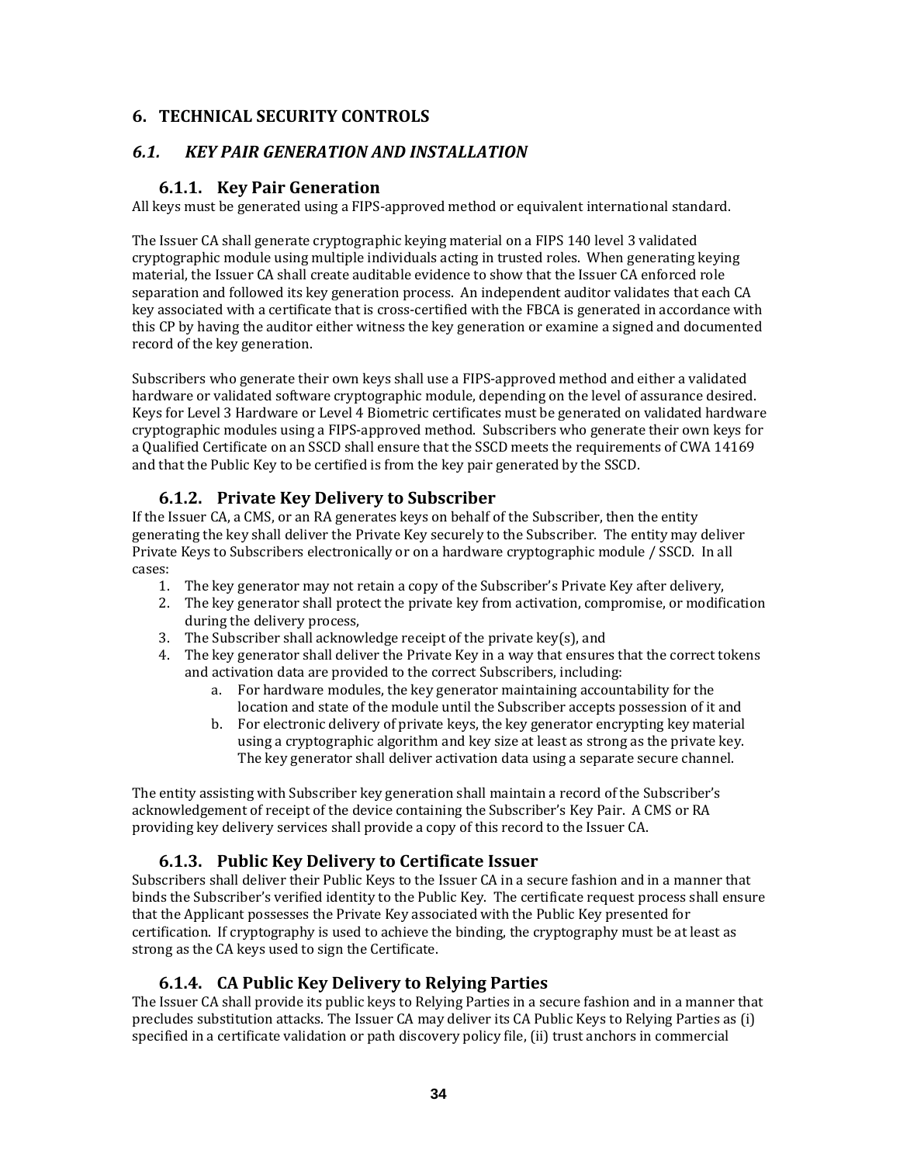# **6. TECHNICAL SECURITY CONTROLS**

# *6.1. KEY PAIR GENERATION AND INSTALLATION*

# **6.1.1. Key Pair Generation**

All keys must be generated using a FIPS‐approved method or equivalent international standard.

The Issuer CA shall generate cryptographic keying material on a FIPS 140 level 3 validated cryptographic module using multiple individuals acting in trusted roles. When generating keying material, the Issuer CA shall create auditable evidence to show that the Issuer CA enforced role separation and followed its key generation process. An independent auditor validates that each CA key associated with a certificate that is cross‐certified with the FBCA is generated in accordance with this CP by having the auditor either witness the key generation or examine a signed and documented record of the key generation.

Subscribers who generate their own keys shall use a FIPS‐approved method and either a validated hardware or validated software cryptographic module, depending on the level of assurance desired. Keys for Level 3 Hardware or Level 4 Biometric certificates must be generated on validated hardware cryptographic modules using a FIPS‐approved method. Subscribers who generate their own keys for a Qualified Certificate on an SSCD shall ensure that the SSCD meets the requirements of CWA 14169 and that the Public Key to be certified is from the key pair generated by the SSCD.

# **6.1.2. Private Key Delivery to Subscriber**

If the Issuer CA, a CMS, or an RA generates keys on behalf of the Subscriber, then the entity generating the key shall deliver the Private Key securely to the Subscriber. The entity may deliver Private Keys to Subscribers electronically or on a hardware cryptographic module / SSCD. In all cases:

- 1. The key generator may not retain a copy of the Subscriber's Private Key after delivery,
- 2. The key generator shall protect the private key from activation, compromise, or modification during the delivery process,
- 3. The Subscriber shall acknowledge receipt of the private key(s), and
- 4. The key generator shall deliver the Private Key in a way that ensures that the correct tokens and activation data are provided to the correct Subscribers, including:
	- a. For hardware modules, the key generator maintaining accountability for the location and state of the module until the Subscriber accepts possession of it and
	- b. For electronic delivery of private keys, the key generator encrypting key material using a cryptographic algorithm and key size at least as strong as the private key. The key generator shall deliver activation data using a separate secure channel.

The entity assisting with Subscriber key generation shall maintain a record of the Subscriber's acknowledgement of receipt of the device containing the Subscriber's Key Pair. A CMS or RA providing key delivery services shall provide a copy of this record to the Issuer CA.

# **6.1.3. Public Key Delivery to Certificate Issuer**

Subscribers shall deliver their Public Keys to the Issuer CA in a secure fashion and in a manner that binds the Subscriber's verified identity to the Public Key. The certificate request process shall ensure that the Applicant possesses the Private Key associated with the Public Key presented for certification. If cryptography is used to achieve the binding, the cryptography must be at least as strong as the CA keys used to sign the Certificate.

# **6.1.4. CA Public Key Delivery to Relying Parties**

The Issuer CA shall provide its public keys to Relying Parties in a secure fashion and in a manner that precludes substitution attacks. The Issuer CA may deliver its CA Public Keys to Relying Parties as (i) specified in a certificate validation or path discovery policy file, (ii) trust anchors in commercial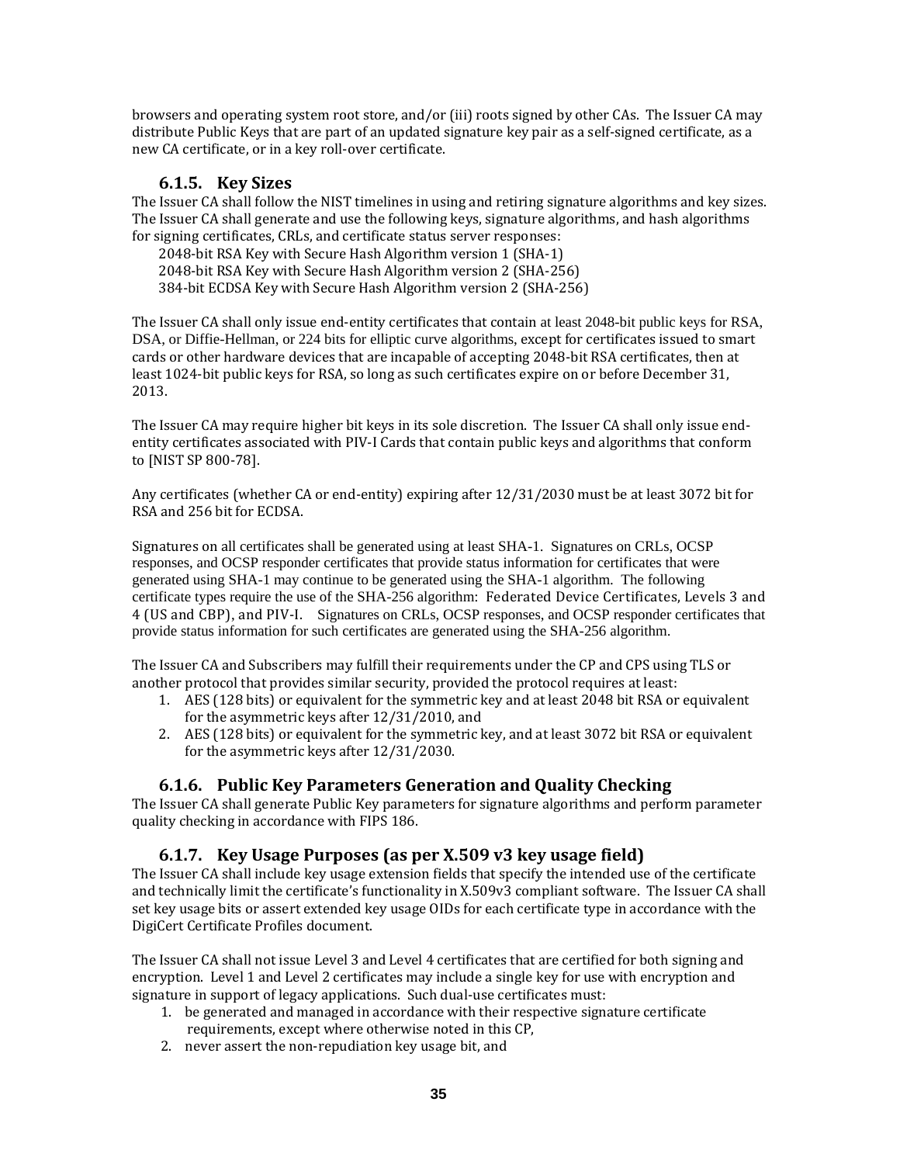browsers and operating system root store, and/or (iii) roots signed by other CAs. The Issuer CA may distribute Public Keys that are part of an updated signature key pair as a self‐signed certificate, as a new CA certificate, or in a key roll‐over certificate.

## **6.1.5. Key Sizes**

The Issuer CA shall follow the NIST timelines in using and retiring signature algorithms and key sizes. The Issuer CA shall generate and use the following keys, signature algorithms, and hash algorithms for signing certificates, CRLs, and certificate status server responses:

2048‐bit RSA Key with Secure Hash Algorithm version 1 (SHA‐1) 2048‐bit RSA Key with Secure Hash Algorithm version 2 (SHA‐256) 384‐bit ECDSA Key with Secure Hash Algorithm version 2 (SHA‐256)

The Issuer CA shall only issue end-entity certificates that contain at least 2048-bit public keys for RSA, DSA, or Diffie-Hellman, or 224 bits for elliptic curve algorithms, except for certificates issued to smart cards or other hardware devices that are incapable of accepting 2048‐bit RSA certificates, then at least 1024‐bit public keys for RSA, so long as such certificates expire on or before December 31, 2013.

The Issuer CA may require higher bit keys in its sole discretion. The Issuer CA shall only issue end‐ entity certificates associated with PIV‐I Cards that contain public keys and algorithms that conform to [NIST SP 800‐78].

Any certificates (whether CA or end‐entity) expiring after 12/31/2030 must be at least 3072 bit for RSA and 256 bit for ECDSA.

Signatures on all certificates shall be generated using at least SHA-1. Signatures on CRLs, OCSP responses, and OCSP responder certificates that provide status information for certificates that were generated using SHA-1 may continue to be generated using the SHA-1 algorithm. The following certificate types require the use of the SHA-256 algorithm: Federated Device Certificates, Levels 3 and 4 (US and CBP), and PIV‐I. Signatures on CRLs, OCSP responses, and OCSP responder certificates that provide status information for such certificates are generated using the SHA-256 algorithm.

The Issuer CA and Subscribers may fulfill their requirements under the CP and CPS using TLS or another protocol that provides similar security, provided the protocol requires at least:

- 1. AES (128 bits) or equivalent for the symmetric key and at least 2048 bit RSA or equivalent for the asymmetric keys after 12/31/2010, and
- 2. AES (128 bits) or equivalent for the symmetric key, and at least 3072 bit RSA or equivalent for the asymmetric keys after 12/31/2030.

# **6.1.6. Public Key Parameters Generation and Quality Checking**

The Issuer CA shall generate Public Key parameters for signature algorithms and perform parameter quality checking in accordance with FIPS 186.

#### **6.1.7. Key Usage Purposes (as per X.509 v3 key usage field)**

The Issuer CA shall include key usage extension fields that specify the intended use of the certificate and technically limit the certificate's functionality in X.509v3 compliant software. The Issuer CA shall set key usage bits or assert extended key usage OIDs for each certificate type in accordance with the DigiCert Certificate Profiles document.

The Issuer CA shall not issue Level 3 and Level 4 certificates that are certified for both signing and encryption. Level 1 and Level 2 certificates may include a single key for use with encryption and signature in support of legacy applications. Such dual-use certificates must:

- 1. be generated and managed in accordance with their respective signature certificate requirements, except where otherwise noted in this CP,
- 2. never assert the non-repudiation key usage bit, and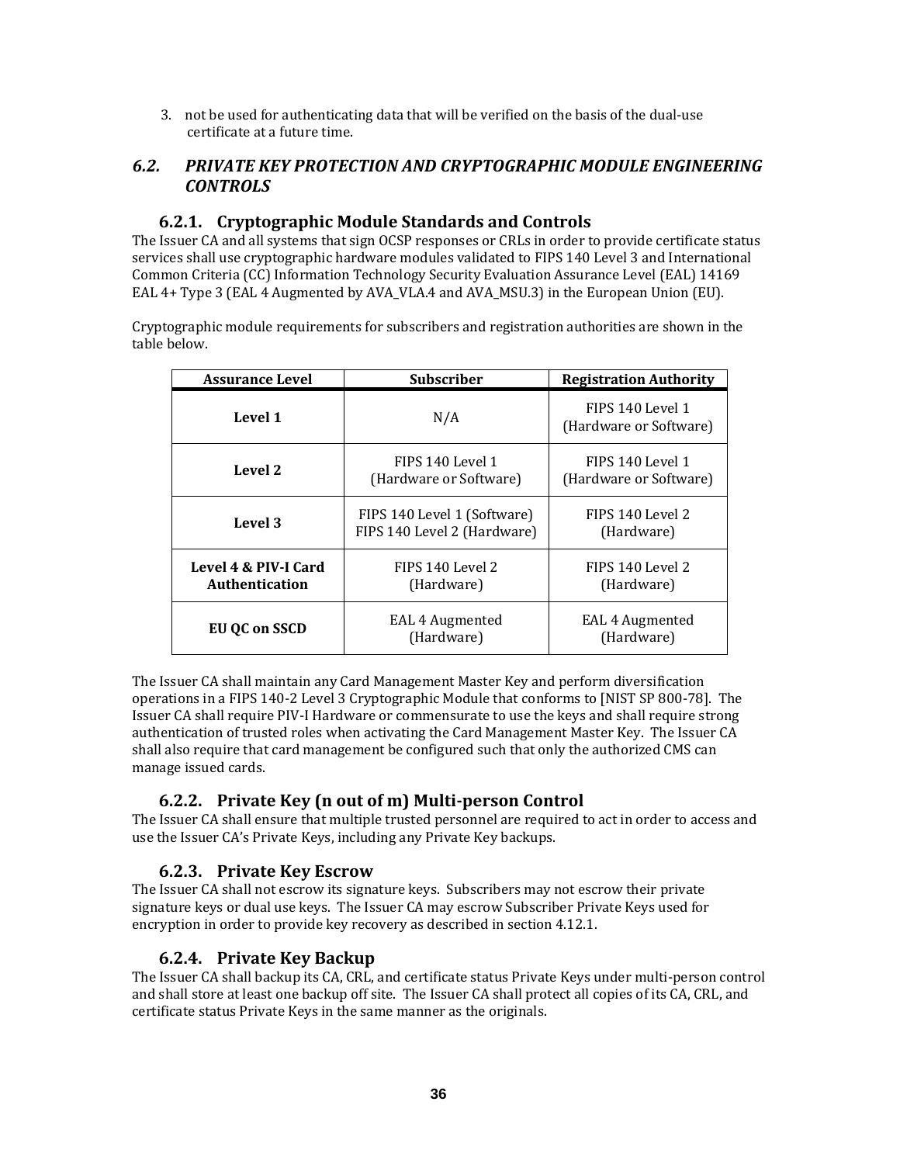3. not be used for authenticating data that will be verified on the basis of the dual‐use certificate at a future time.

# *6.2. PRIVATE KEY PROTECTION AND CRYPTOGRAPHIC MODULE ENGINEERING CONTROLS*

## **6.2.1. Cryptographic Module Standards and Controls**

The Issuer CA and all systems that sign OCSP responses or CRLs in order to provide certificate status services shall use cryptographic hardware modules validated to FIPS 140 Level 3 and International Common Criteria (CC) Information Technology Security Evaluation Assurance Level (EAL) 14169 EAL 4+ Type 3 (EAL 4 Augmented by AVA\_VLA.4 and AVA\_MSU.3) in the European Union (EU).

Cryptographic module requirements for subscribers and registration authorities are shown in the table below.

| <b>Assurance Level</b>                 | <b>Subscriber</b>                                          | <b>Registration Authority</b>              |
|----------------------------------------|------------------------------------------------------------|--------------------------------------------|
| Level 1                                | N/A                                                        | FIPS 140 Level 1<br>(Hardware or Software) |
| Level 2                                | FIPS 140 Level 1<br>(Hardware or Software)                 | FIPS 140 Level 1<br>(Hardware or Software) |
| Level 3                                | FIPS 140 Level 1 (Software)<br>FIPS 140 Level 2 (Hardware) | FIPS 140 Level 2<br>(Hardware)             |
| Level 4 & PIV-I Card<br>Authentication | FIPS 140 Level 2<br>(Hardware)                             | FIPS 140 Level 2<br>(Hardware)             |
| EU OC on SSCD                          | EAL 4 Augmented<br>(Hardware)                              | EAL 4 Augmented<br>(Hardware)              |

The Issuer CA shall maintain any Card Management Master Key and perform diversification operations in a FIPS 140‐2 Level 3 Cryptographic Module that conforms to [NIST SP 800‐78]. The Issuer CA shall require PIV‐I Hardware or commensurate to use the keys and shall require strong authentication of trusted roles when activating the Card Management Master Key. The Issuer CA shall also require that card management be configured such that only the authorized CMS can manage issued cards.

# **6.2.2. Private Key (n out of m) Multiperson Control**

The Issuer CA shall ensure that multiple trusted personnel are required to act in order to access and use the Issuer CA's Private Keys, including any Private Key backups.

# **6.2.3. Private Key Escrow**

The Issuer CA shall not escrow its signature keys. Subscribers may not escrow their private signature keys or dual use keys. The Issuer CA may escrow Subscriber Private Keys used for encryption in order to provide key recovery as described in section 4.12.1.

#### **6.2.4. Private Key Backup**

The Issuer CA shall backup its CA, CRL, and certificate status Private Keys under multi‐person control and shall store at least one backup off site. The Issuer CA shall protect all copies of its CA, CRL, and certificate status Private Keys in the same manner as the originals.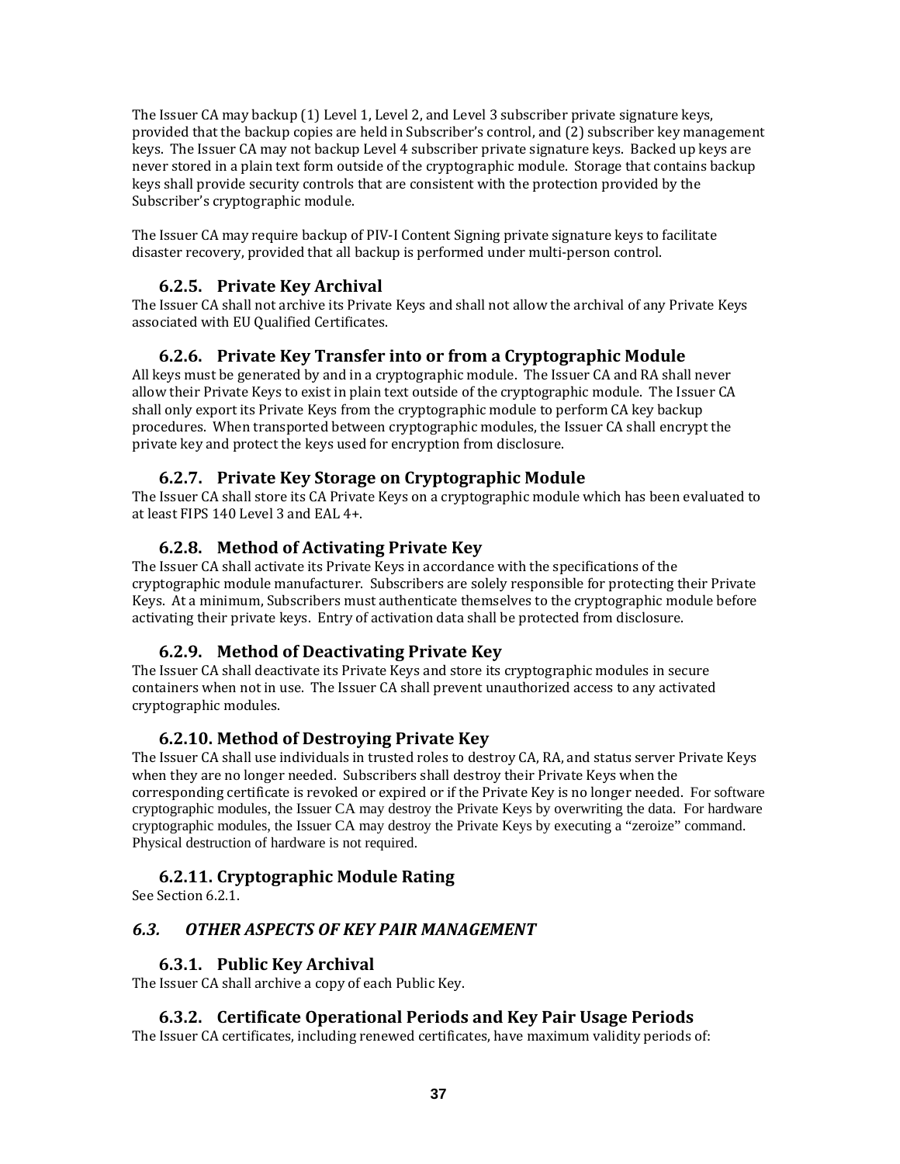The Issuer CA may backup (1) Level 1, Level 2, and Level 3 subscriber private signature keys, provided that the backup copies are held in Subscriber's control, and (2) subscriber key management keys. The Issuer CA may not backup Level 4 subscriber private signature keys. Backed up keys are never stored in a plain text form outside of the cryptographic module. Storage that contains backup keys shall provide security controls that are consistent with the protection provided by the Subscriber's cryptographic module.

The Issuer CA may require backup of PIV-I Content Signing private signature keys to facilitate disaster recovery, provided that all backup is performed under multi‐person control.

#### **6.2.5. Private Key Archival**

The Issuer CA shall not archive its Private Keys and shall not allow the archival of any Private Keys associated with EU Qualified Certificates.

#### **6.2.6. Private Key Transfer into or from a Cryptographic Module**

All keys must be generated by and in a cryptographic module. The Issuer CA and RA shall never allow their Private Keys to exist in plain text outside of the cryptographic module. The Issuer CA shall only export its Private Keys from the cryptographic module to perform CA key backup procedures. When transported between cryptographic modules, the Issuer CA shall encrypt the private key and protect the keys used for encryption from disclosure.

#### **6.2.7. Private Key Storage on Cryptographic Module**

The Issuer CA shall store its CA Private Keys on a cryptographic module which has been evaluated to at least FIPS 140 Level 3 and EAL 4+.

## **6.2.8. Method of Activating Private Key**

The Issuer CA shall activate its Private Keys in accordance with the specifications of the cryptographic module manufacturer. Subscribers are solely responsible for protecting their Private Keys. At a minimum, Subscribers must authenticate themselves to the cryptographic module before activating their private keys. Entry of activation data shall be protected from disclosure.

#### **6.2.9. Method of Deactivating Private Key**

The Issuer CA shall deactivate its Private Keys and store its cryptographic modules in secure containers when not in use. The Issuer CA shall prevent unauthorized access to any activated cryptographic modules.

#### **6.2.10. Method of Destroying Private Key**

The Issuer CA shall use individuals in trusted roles to destroy CA, RA, and status server Private Keys when they are no longer needed. Subscribers shall destroy their Private Keys when the corresponding certificate is revoked or expired or if the Private Key is no longer needed. For software cryptographic modules, the Issuer CA may destroy the Private Keys by overwriting the data. For hardware cryptographic modules, the Issuer CA may destroy the Private Keys by executing a "zeroize" command. Physical destruction of hardware is not required.

#### **6.2.11. Cryptographic Module Rating**

See Section 6.2.1.

#### *6.3. OTHER ASPECTS OF KEY PAIR MANAGEMENT*

#### **6.3.1. Public Key Archival**

The Issuer CA shall archive a copy of each Public Key.

#### **6.3.2. Certificate Operational Periods and Key Pair Usage Periods**

The Issuer CA certificates, including renewed certificates, have maximum validity periods of: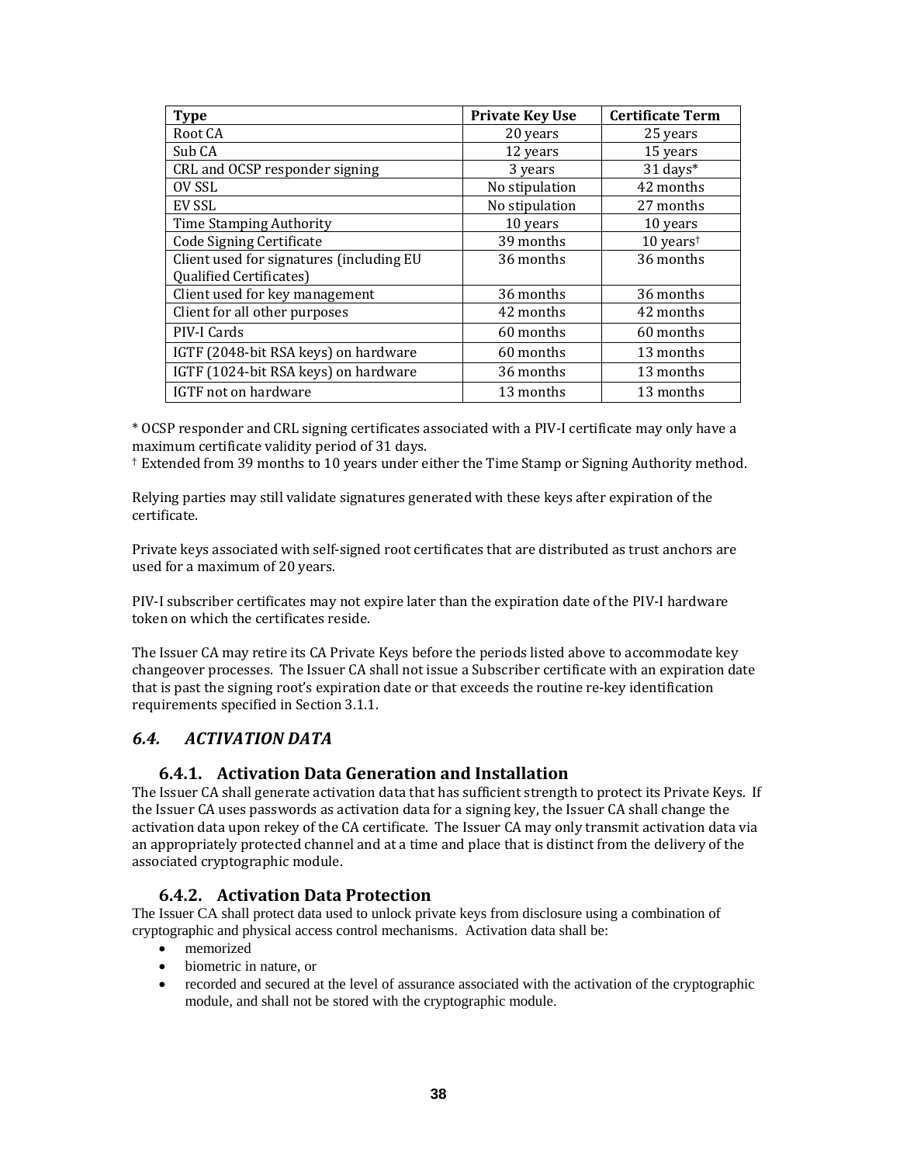| <b>Type</b>                              | <b>Private Key Use</b> | <b>Certificate Term</b> |
|------------------------------------------|------------------------|-------------------------|
| Root CA                                  | 20 years               | 25 years                |
| Sub CA                                   | 12 years               | 15 years                |
| CRL and OCSP responder signing           | 3 years                | 31 days*                |
| OV SSL                                   | No stipulation         | 42 months               |
| EV SSL                                   | No stipulation         | 27 months               |
| <b>Time Stamping Authority</b>           | 10 years               | 10 years                |
| Code Signing Certificate                 | 39 months              | 10 years <sup>t</sup>   |
| Client used for signatures (including EU | 36 months              | 36 months               |
| <b>Qualified Certificates)</b>           |                        |                         |
| Client used for key management           | 36 months              | 36 months               |
| Client for all other purposes            | 42 months              | 42 months               |
| PIV-I Cards                              | 60 months              | 60 months               |
| IGTF (2048-bit RSA keys) on hardware     | 60 months              | 13 months               |
| IGTF (1024-bit RSA keys) on hardware     | 36 months              | 13 months               |
| IGTF not on hardware                     | 13 months              | 13 months               |

\* OCSP responder and CRL signing certificates associated with a PIV‐I certificate may only have a maximum certificate validity period of 31 days.

† Extended from 39 months to 10 years under either the Time Stamp or Signing Authority method.

Relying parties may still validate signatures generated with these keys after expiration of the certificate.

Private keys associated with self‐signed root certificates that are distributed as trust anchors are used for a maximum of 20 years.

PIV‐I subscriber certificates may not expire later than the expiration date of the PIV‐I hardware token on which the certificates reside.

The Issuer CA may retire its CA Private Keys before the periods listed above to accommodate key changeover processes. The Issuer CA shall not issue a Subscriber certificate with an expiration date that is past the signing root's expiration date or that exceeds the routine re‐key identification requirements specified in Section 3.1.1.

# *6.4. ACTIVATION DATA*

#### **6.4.1. Activation Data Generation and Installation**

The Issuer CA shall generate activation data that has sufficient strength to protect its Private Keys. If the Issuer CA uses passwords as activation data for a signing key, the Issuer CA shall change the activation data upon rekey of the CA certificate. The Issuer CA may only transmit activation data via an appropriately protected channel and at a time and place that is distinct from the delivery of the associated cryptographic module.

#### **6.4.2. Activation Data Protection**

The Issuer CA shall protect data used to unlock private keys from disclosure using a combination of cryptographic and physical access control mechanisms. Activation data shall be:

- memorized
- biometric in nature, or
- recorded and secured at the level of assurance associated with the activation of the cryptographic module, and shall not be stored with the cryptographic module.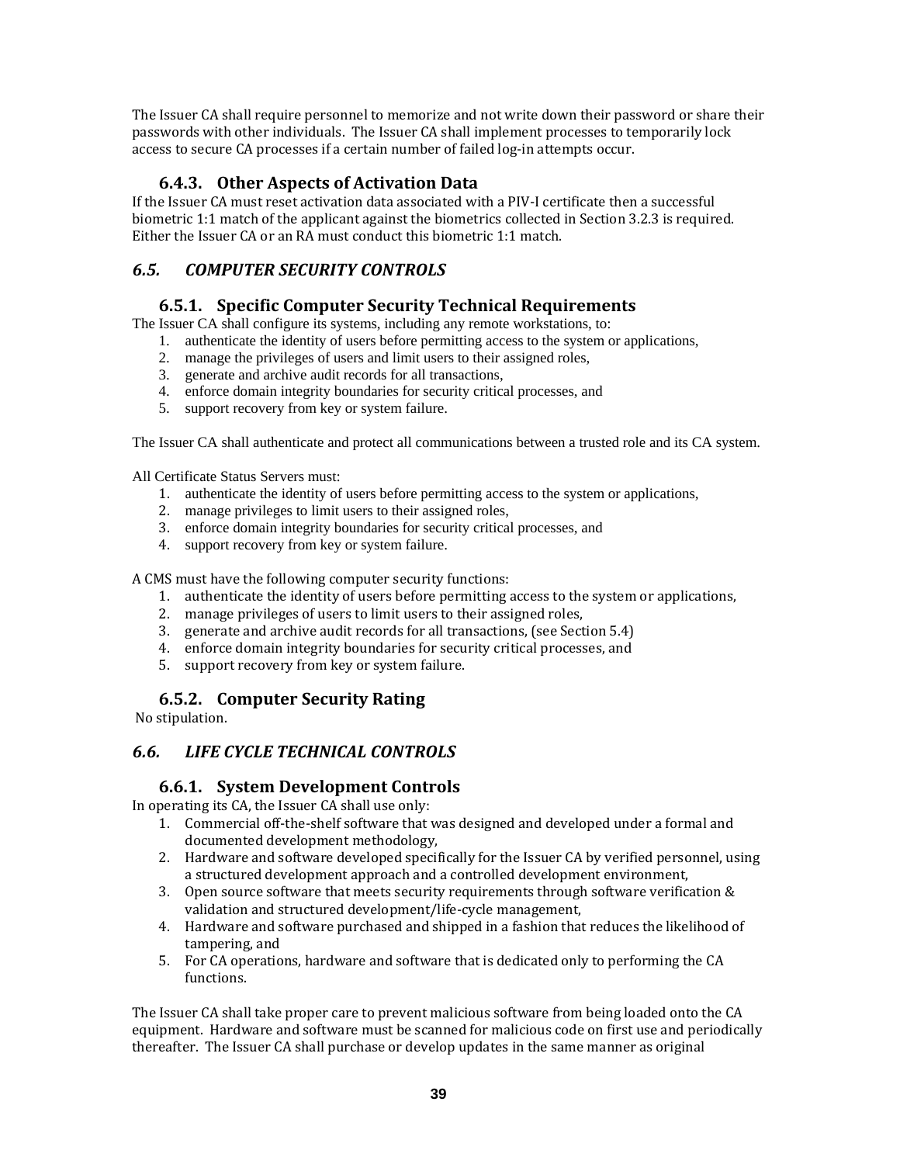The Issuer CA shall require personnel to memorize and not write down their password or share their passwords with other individuals. The Issuer CA shall implement processes to temporarily lock access to secure CA processes if a certain number of failed log-in attempts occur.

# **6.4.3. Other Aspects of Activation Data**

If the Issuer CA must reset activation data associated with a PIV‐I certificate then a successful biometric 1:1 match of the applicant against the biometrics collected in Section 3.2.3 is required. Either the Issuer CA or an RA must conduct this biometric 1:1 match.

# *6.5. COMPUTER SECURITY CONTROLS*

## **6.5.1. Specific Computer Security Technical Requirements**

The Issuer CA shall configure its systems, including any remote workstations, to:

- 1. authenticate the identity of users before permitting access to the system or applications,
- 2. manage the privileges of users and limit users to their assigned roles,
- 3. generate and archive audit records for all transactions,
- 4. enforce domain integrity boundaries for security critical processes, and
- 5. support recovery from key or system failure.

The Issuer CA shall authenticate and protect all communications between a trusted role and its CA system.

All Certificate Status Servers must:

- 1. authenticate the identity of users before permitting access to the system or applications,
- 2. manage privileges to limit users to their assigned roles,
- 3. enforce domain integrity boundaries for security critical processes, and
- 4. support recovery from key or system failure.

A CMS must have the following computer security functions:

- 1. authenticate the identity of users before permitting access to the system or applications,
- 2. manage privileges of users to limit users to their assigned roles,
- 3. generate and archive audit records for all transactions, (see Section 5.4)
- 4. enforce domain integrity boundaries for security critical processes, and
- 5. support recovery from key or system failure.

#### **6.5.2. Computer Security Rating**

No stipulation.

#### *6.6. LIFE CYCLE TECHNICAL CONTROLS*

#### **6.6.1. System Development Controls**

In operating its CA, the Issuer CA shall use only:

- 1. Commercial off-the-shelf software that was designed and developed under a formal and documented development methodology,
- 2. Hardware and software developed specifically for the Issuer CA by verified personnel, using a structured development approach and a controlled development environment,
- 3. Open source software that meets security requirements through software verification & validation and structured development/life‐cycle management,
- 4. Hardware and software purchased and shipped in a fashion that reduces the likelihood of tampering, and
- 5. For CA operations, hardware and software that is dedicated only to performing the CA functions.

The Issuer CA shall take proper care to prevent malicious software from being loaded onto the CA equipment. Hardware and software must be scanned for malicious code on first use and periodically thereafter. The Issuer CA shall purchase or develop updates in the same manner as original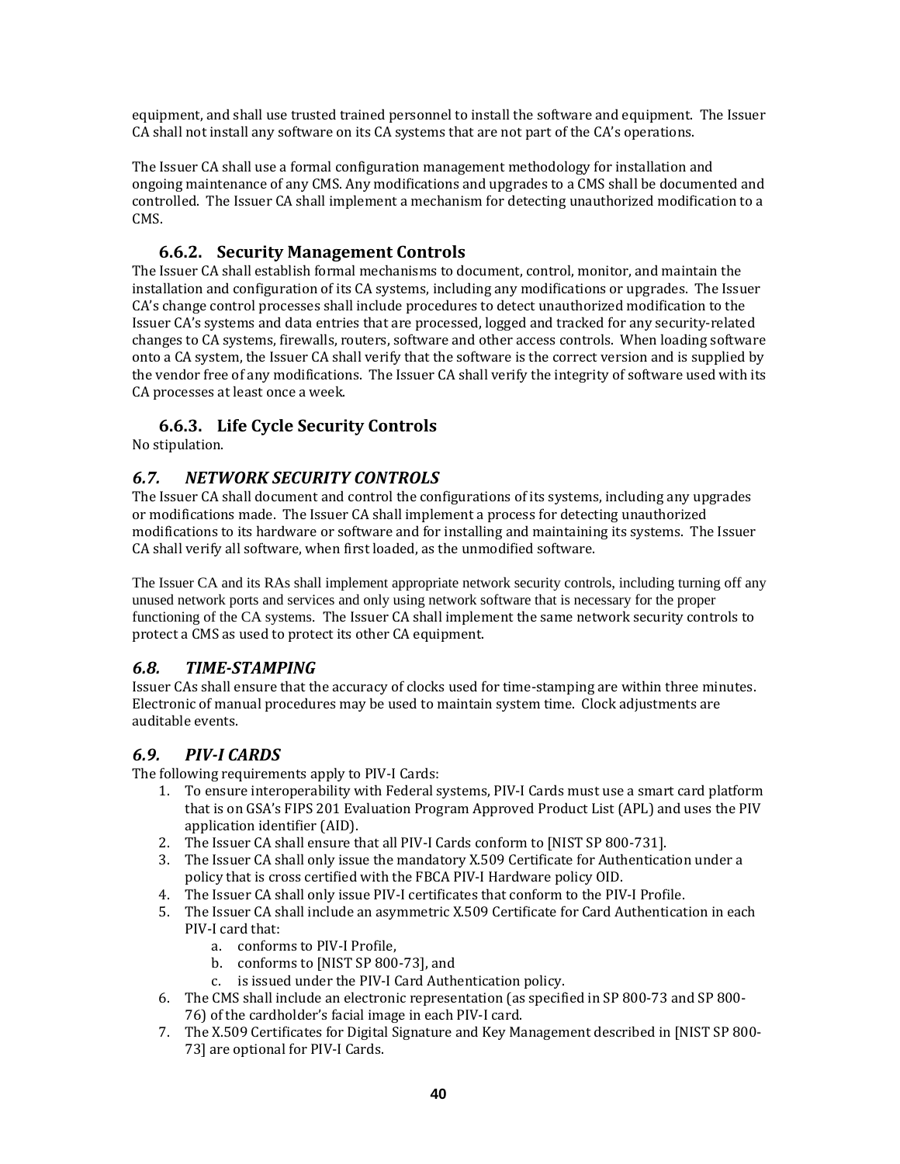equipment, and shall use trusted trained personnel to install the software and equipment. The Issuer CA shall not install any software on its CA systems that are not part of the CA's operations.

The Issuer CA shall use a formal configuration management methodology for installation and ongoing maintenance of any CMS. Any modifications and upgrades to a CMS shall be documented and controlled. The Issuer CA shall implement a mechanism for detecting unauthorized modification to a CMS.

# **6.6.2. Security Management Controls**

The Issuer CA shall establish formal mechanisms to document, control, monitor, and maintain the installation and configuration of its CA systems, including any modifications or upgrades. The Issuer CA's change control processes shall include procedures to detect unauthorized modification to the Issuer CA's systems and data entries that are processed, logged and tracked for any security‐related changes to CA systems, firewalls, routers, software and other access controls. When loading software onto a CA system, the Issuer CA shall verify that the software is the correct version and is supplied by the vendor free of any modifications. The Issuer CA shall verify the integrity of software used with its CA processes at least once a week.

## **6.6.3. Life Cycle Security Controls**

No stipulation.

## *6.7. NETWORK SECURITY CONTROLS*

The Issuer CA shall document and control the configurations of its systems, including any upgrades or modifications made. The Issuer CA shall implement a process for detecting unauthorized modifications to its hardware or software and for installing and maintaining its systems. The Issuer CA shall verify all software, when first loaded, as the unmodified software.

The Issuer CA and its RAs shall implement appropriate network security controls, including turning off any unused network ports and services and only using network software that is necessary for the proper functioning of the CA systems. The Issuer CA shall implement the same network security controls to protect a CMS as used to protect its other CA equipment.

#### *6.8. TIMESTAMPING*

Issuer CAs shall ensure that the accuracy of clocks used for time‐stamping are within three minutes. Electronic of manual procedures may be used to maintain system time. Clock adjustments are auditable events.

#### *6.9. PIVI CARDS*

The following requirements apply to PIV‐I Cards:

- 1. To ensure interoperability with Federal systems, PIV‐I Cards must use a smart card platform that is on GSA's FIPS 201 Evaluation Program Approved Product List (APL) and uses the PIV application identifier (AID).
- 2. The Issuer CA shall ensure that all PIV-I Cards conform to [NIST SP 800-731].
- 3. The Issuer CA shall only issue the mandatory X.509 Certificate for Authentication under a policy that is cross certified with the FBCA PIV‐I Hardware policy OID.
- 4. The Issuer CA shall only issue PIV‐I certificates that conform to the PIV‐I Profile.
- 5. The Issuer CA shall include an asymmetric X.509 Certificate for Card Authentication in each PIV‐I card that:
	- a. conforms to PIV‐I Profile,
	- b. conforms to [NIST SP 800‐73], and
	- c. is issued under the PIV‐I Card Authentication policy.
- 6. The CMS shall include an electronic representation (as specified in SP 800‐73 and SP 800‐ 76) of the cardholder's facial image in each PIV‐I card.
- 7. The X.509 Certificates for Digital Signature and Key Management described in [NIST SP 800‐ 73] are optional for PIV‐I Cards.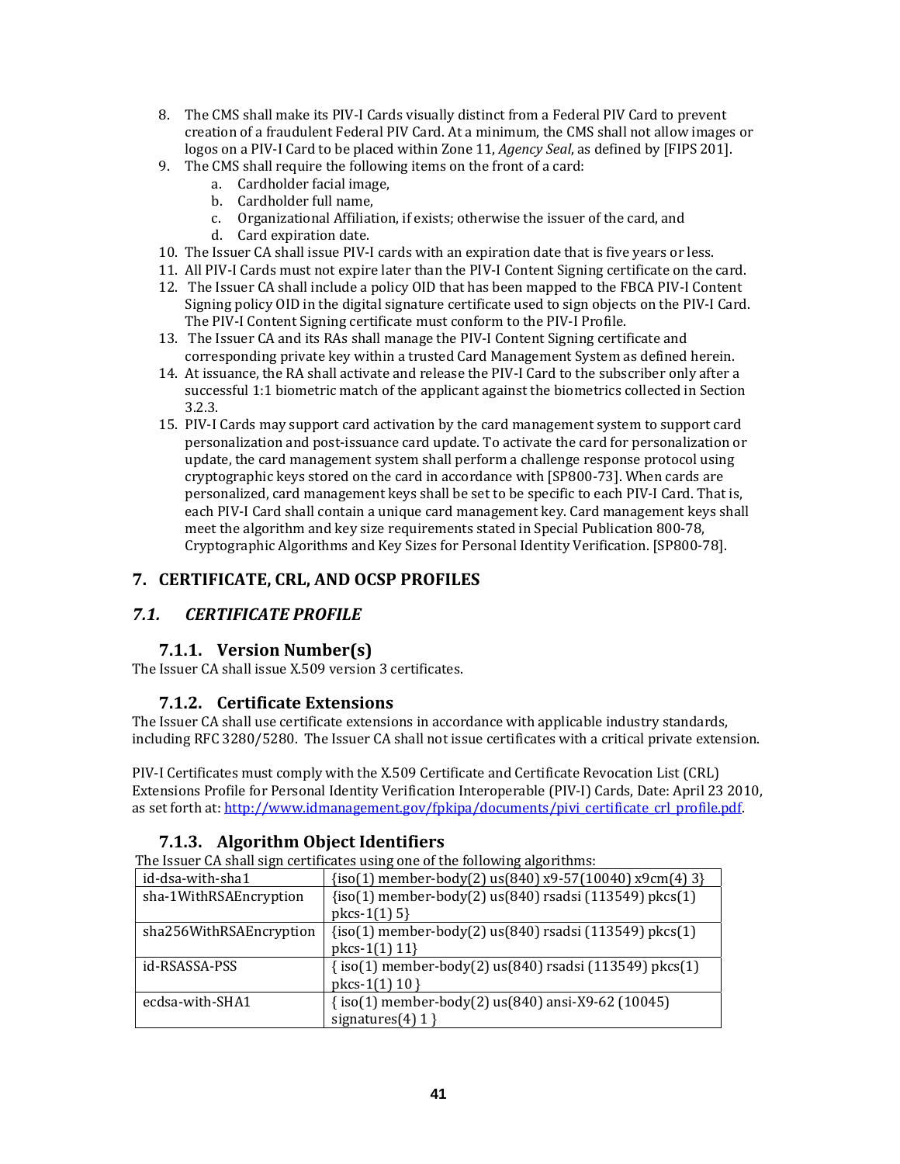- 8. The CMS shall make its PIV-I Cards visually distinct from a Federal PIV Card to prevent creation of a fraudulent Federal PIV Card. At a minimum, the CMS shall not allow images or logos on a PIV‐I Card to be placed within Zone 11, *Agency Seal*, as defined by [FIPS 201].
- 9. The CMS shall require the following items on the front of a card:
	- a. Cardholder facial image,
	- b. Cardholder full name,
	- c. Organizational Affiliation, if exists; otherwise the issuer of the card, and
	- d. Card expiration date.
- 10. The Issuer CA shall issue PIV‐I cards with an expiration date that is five years or less.
- 11. All PIV‐I Cards must not expire later than the PIV‐I Content Signing certificate on the card.
- 12. The Issuer CA shall include a policy OID that has been mapped to the FBCA PIV‐I Content Signing policy OID in the digital signature certificate used to sign objects on the PIV‐I Card. The PIV‐I Content Signing certificate must conform to the PIV‐I Profile.
- 13. The Issuer CA and its RAs shall manage the PIV-I Content Signing certificate and corresponding private key within a trusted Card Management System as defined herein.
- 14. At issuance, the RA shall activate and release the PIV‐I Card to the subscriber only after a successful 1:1 biometric match of the applicant against the biometrics collected in Section 3.2.3.
- 15. PIV‐I Cards may support card activation by the card management system to support card personalization and post‐issuance card update. To activate the card for personalization or update, the card management system shall perform a challenge response protocol using cryptographic keys stored on the card in accordance with [SP800‐73]. When cards are personalized, card management keys shall be set to be specific to each PIV‐I Card. That is, each PIV‐I Card shall contain a unique card management key. Card management keys shall meet the algorithm and key size requirements stated in Special Publication 800‐78, Cryptographic Algorithms and Key Sizes for Personal Identity Verification. [SP800‐78].

# **7. CERTIFICATE, CRL, AND OCSP PROFILES**

# *7.1. CERTIFICATE PROFILE*

# **7.1.1. Version Number(s)**

The Issuer CA shall issue X.509 version 3 certificates.

#### **7.1.2. Certificate Extensions**

The Issuer CA shall use certificate extensions in accordance with applicable industry standards, including RFC 3280/5280. The Issuer CA shall not issue certificates with a critical private extension.

PIV‐I Certificates must comply with the X.509 Certificate and Certificate Revocation List (CRL) Extensions Profile for Personal Identity Verification Interoperable (PIV‐I) Cards, Date: April 23 2010, as set forth at: http://www.idmanagement.gov/fpkipa/documents/pivi\_certificate\_crl\_profile.pdf.

# **7.1.3. Algorithm Object Identifiers**

The Issuer CA shall sign certificates using one of the following algorithms:

| id-dsa-with-sha1        | $\{iso(1)$ member-body(2) us(840) x9-57(10040) x9cm(4) 3}                            |
|-------------------------|--------------------------------------------------------------------------------------|
| sha-1WithRSAEncryption  | {iso(1) member-body(2) us(840) rsadsi (113549) pkcs(1)<br>$pkcs-1(1) 5$              |
| sha256WithRSAEncryption | $\{iso(1)$ member-body(2) us $(840)$ rsadsi (113549) pkcs(1)<br>$pkcs-1(1)$ 11}      |
| id-RSASSA-PSS           | $\{iso(1)$ member-body(2) us $(840)$ rsadsi (113549) pkcs(1)<br>pkcs-1 $(1)$ 10 }    |
| ecdsa-with-SHA1         | $\{iso(1)$ member-body $(2)$ us $(840)$ ansi-X9-62 $(10045)$<br>signatures $(4)$ 1 } |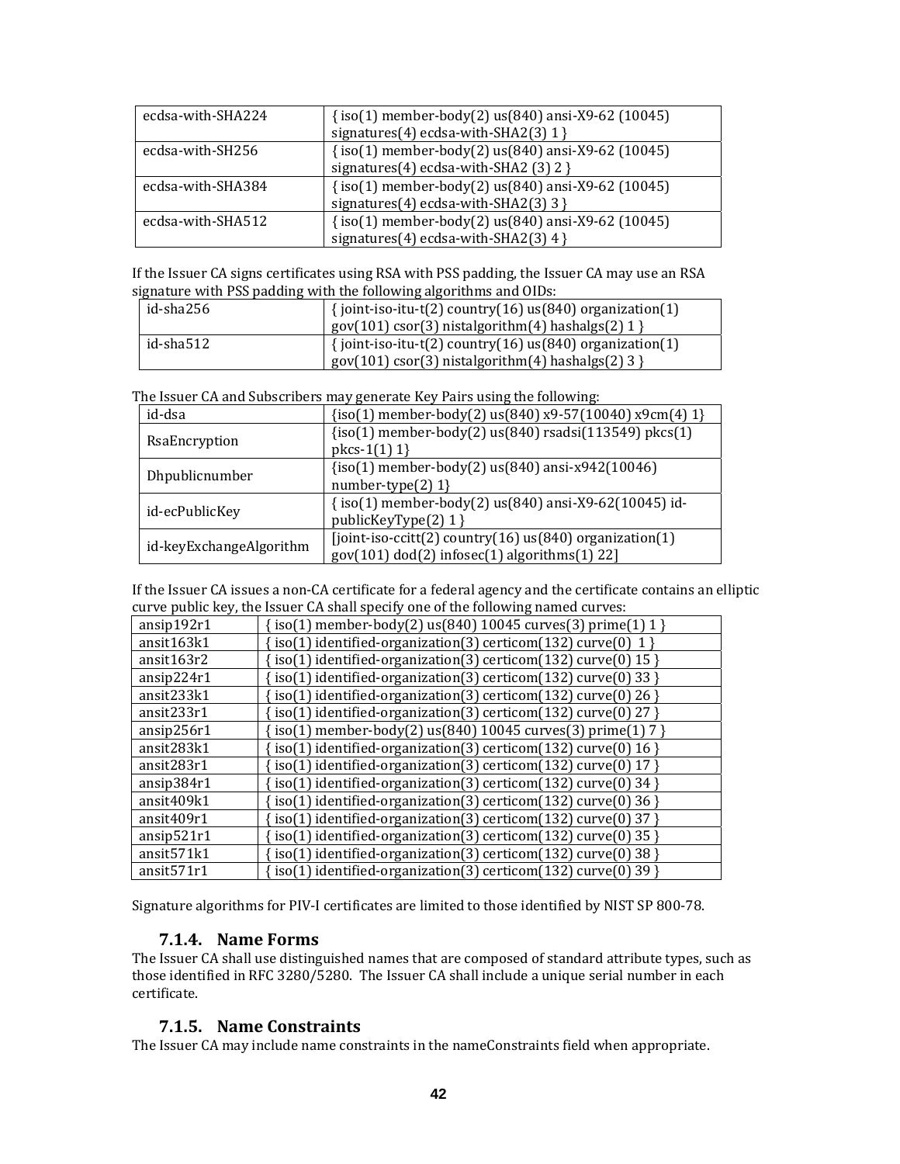| ecdsa-with-SHA224 | $\{iso(1)$ member-body(2) us(840) ansi-X9-62 (10045)<br>signatures(4) ecdsa-with-SHA2(3) 1 } |
|-------------------|----------------------------------------------------------------------------------------------|
| ecdsa-with-SH256  | {iso(1) member-body(2) us(840) ansi-X9-62 (10045)                                            |
|                   | signatures(4) ecdsa-with-SHA2 (3) $2$ }                                                      |
| ecdsa-with-SHA384 | {iso(1) member-body(2) us(840) ansi-X9-62 (10045)                                            |
|                   | signatures(4) ecdsa-with-SHA2(3) 3 }                                                         |
| ecdsa-with-SHA512 | {iso(1) member-body(2) us(840) ansi-X9-62 (10045)                                            |
|                   | signatures(4) ecdsa-with-SHA2(3) $4$ }                                                       |

If the Issuer CA signs certificates using RSA with PSS padding, the Issuer CA may use an RSA signature with PSS padding with the following algorithms and OIDs:

| id-sha256 | $\{$ ioint-iso-itu-t(2) country(16) us(840) organization(1) |
|-----------|-------------------------------------------------------------|
|           | $gov(101)$ csor(3) nistalgorithm(4) hashalgs(2) 1 }         |
| id-sha512 | $\{$ ioint-iso-itu-t(2) country(16) us(840) organization(1) |
|           | $gov(101) cos(3)$ nistalgorithm(4) hashalgs(2) 3 }          |

The Issuer CA and Subscribers may generate Key Pairs using the following:

| id-dsa                  | $\{iso(1)$ member-body(2) us(840) x9-57(10040) x9cm(4) 1}   |
|-------------------------|-------------------------------------------------------------|
| RsaEncryption           | {iso(1) member-body(2) us(840) rsadsi(113549) pkcs(1)       |
|                         | $pkcs-1(1)$ 1}                                              |
|                         | $\{iso(1)$ member-body $(2)$ us $(840)$ ansi-x942 $(10046)$ |
| Dhpublicnumber          | number-type $(2)$ 1}                                        |
|                         | {iso(1) member-body(2) us(840) ansi-X9-62(10045) id-        |
| id-ecPublicKey          | publicKeyType(2) 1 }                                        |
| id-keyExchangeAlgorithm | [joint-iso-ccitt(2) country(16) us(840) organization(1)     |
|                         | $gov(101) dod(2) infosec(1) algorithms(1) 22]$              |

If the Issuer CA issues a non‐CA certificate for a federal agency and the certificate contains an elliptic curve public key, the Issuer CA shall specify one of the following named curves:

| ansip192r1             | $\left( \frac{1}{1} \right)$ member-body(2) us(840) 10045 curves(3) prime(1) 1 }      |
|------------------------|---------------------------------------------------------------------------------------|
| ansit163k1             | iso(1) identified-organization(3) certicom(132) curve(0) $1$ }                        |
| ansit163r2             | iso(1) identified-organization(3) certicom(132) curve(0) $15$ }                       |
| ansip224r1             | (iso(1) identified-organization(3) certicom(132) curve(0) 33 }                        |
| ansit233k1             | $iso(1)$ identified-organization(3) certicom(132) curve(0) 26 }                       |
| ansit233r1             | iso(1) identified-organization(3) certicom(132) curve(0) 27 }                         |
| ansip256r1             | $\sin(1)$ member-body(2) us(840) 10045 curves(3) prime(1) 7 }                         |
| ansit283k1             | iso(1) identified-organization(3) certicom(132) curve(0) 16 }                         |
| ansit283r1             | $iso(1)$ identified-organization(3) certicom(132) curve(0) 17 }                       |
| ansip384r1             | iso(1) identified-organization(3) certicom(132) curve(0) 34 }                         |
| ansit409k1             | iso(1) identified-organization(3) certicom(132) curve(0) 36 }                         |
| ansit409r1             | iso(1) identified-organization(3) certicom(132) curve(0) 37 }                         |
| ansip521r1             | iso(1) identified-organization(3) certicom(132) curve(0) 35 }                         |
| ansit571k1             | iso(1) identified-organization(3) certicom(132) curve(0) 38 }                         |
| ansit <sub>571r1</sub> | $\left( \text{iso}(1) \right)$ identified-organization(3) certicom(132) curve(0) 39 } |

Signature algorithms for PIV‐I certificates are limited to those identified by NIST SP 800‐78.

#### **7.1.4. Name Forms**

The Issuer CA shall use distinguished names that are composed of standard attribute types, such as those identified in RFC 3280/5280. The Issuer CA shall include a unique serial number in each certificate.

#### **7.1.5. Name Constraints**

The Issuer CA may include name constraints in the nameConstraints field when appropriate.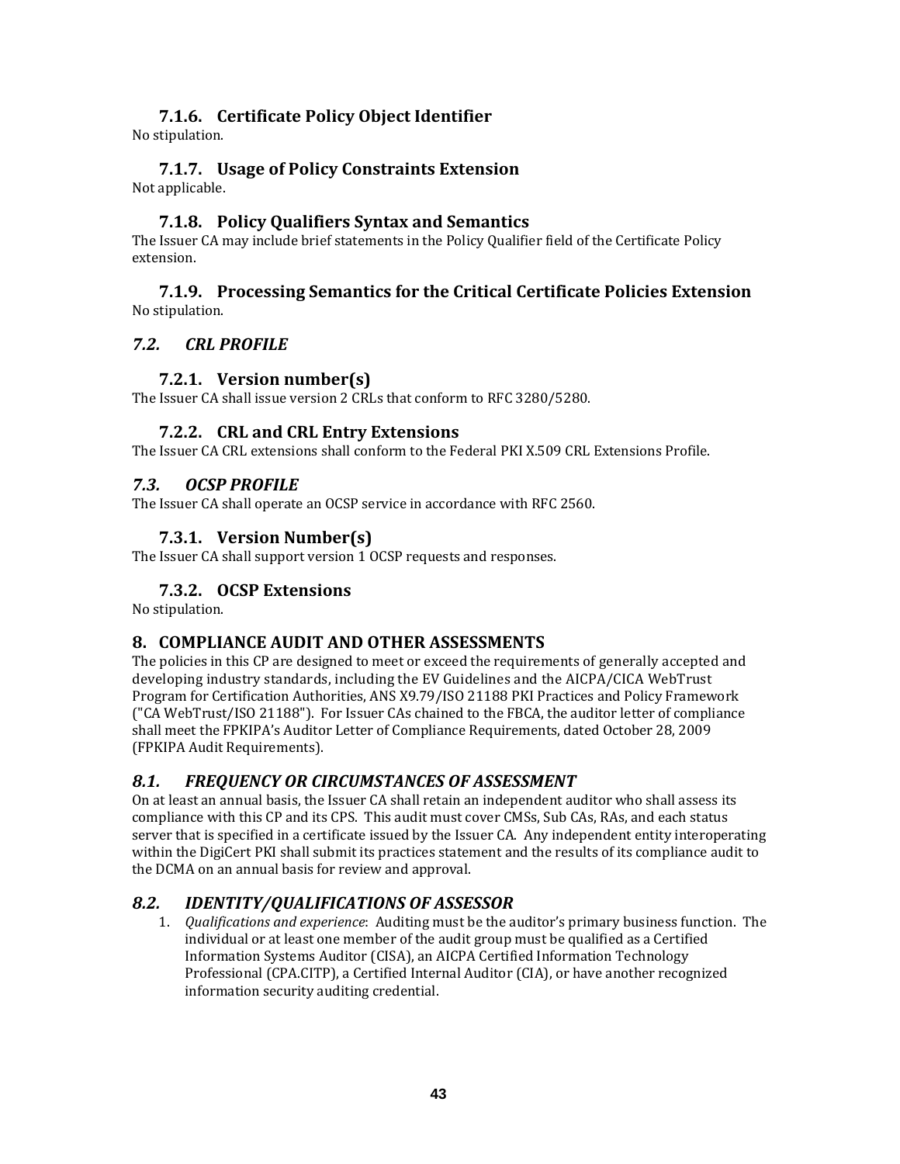# **7.1.6. Certificate Policy Object Identifier**

No stipulation.

#### **7.1.7. Usage of Policy Constraints Extension** Not applicable.

## **7.1.8. Policy Qualifiers Syntax and Semantics**

The Issuer CA may include brief statements in the Policy Qualifier field of the Certificate Policy extension.

#### **7.1.9. Processing Semantics for the Critical Certificate Policies Extension** No stipulation.

#### *7.2. CRL PROFILE*

## **7.2.1. Version number(s)**

The Issuer CA shall issue version 2 CRLs that conform to RFC 3280/5280.

#### **7.2.2. CRL and CRL Entry Extensions**

The Issuer CA CRL extensions shall conform to the Federal PKI X.509 CRL Extensions Profile.

#### *7.3. OCSP PROFILE*

The Issuer CA shall operate an OCSP service in accordance with RFC 2560.

## **7.3.1. Version Number(s)**

The Issuer CA shall support version 1 OCSP requests and responses.

## **7.3.2. OCSP Extensions**

No stipulation.

#### **8. COMPLIANCE AUDIT AND OTHER ASSESSMENTS**

The policies in this CP are designed to meet or exceed the requirements of generally accepted and developing industry standards, including the EV Guidelines and the AICPA/CICA WebTrust Program for Certification Authorities, ANS X9.79/ISO 21188 PKI Practices and Policy Framework ("CA WebTrust/ISO 21188"). For Issuer CAs chained to the FBCA, the auditor letter of compliance shall meet the FPKIPA's Auditor Letter of Compliance Requirements, dated October 28, 2009 (FPKIPA Audit Requirements).

# *8.1. FREQUENCY OR CIRCUMSTANCES OF ASSESSMENT*

On at least an annual basis, the Issuer CA shall retain an independent auditor who shall assess its compliance with this CP and its CPS. This audit must cover CMSs, Sub CAs, RAs, and each status server that is specified in a certificate issued by the Issuer CA. Any independent entity interoperating within the DigiCert PKI shall submit its practices statement and the results of its compliance audit to the DCMA on an annual basis for review and approval.

# *8.2. IDENTITY/QUALIFICATIONS OF ASSESSOR*

1. *Qualifications and experience*: Auditing must be the auditor's primary business function. The individual or at least one member of the audit group must be qualified as a Certified Information Systems Auditor (CISA), an AICPA Certified Information Technology Professional (CPA.CITP), a Certified Internal Auditor (CIA), or have another recognized information security auditing credential.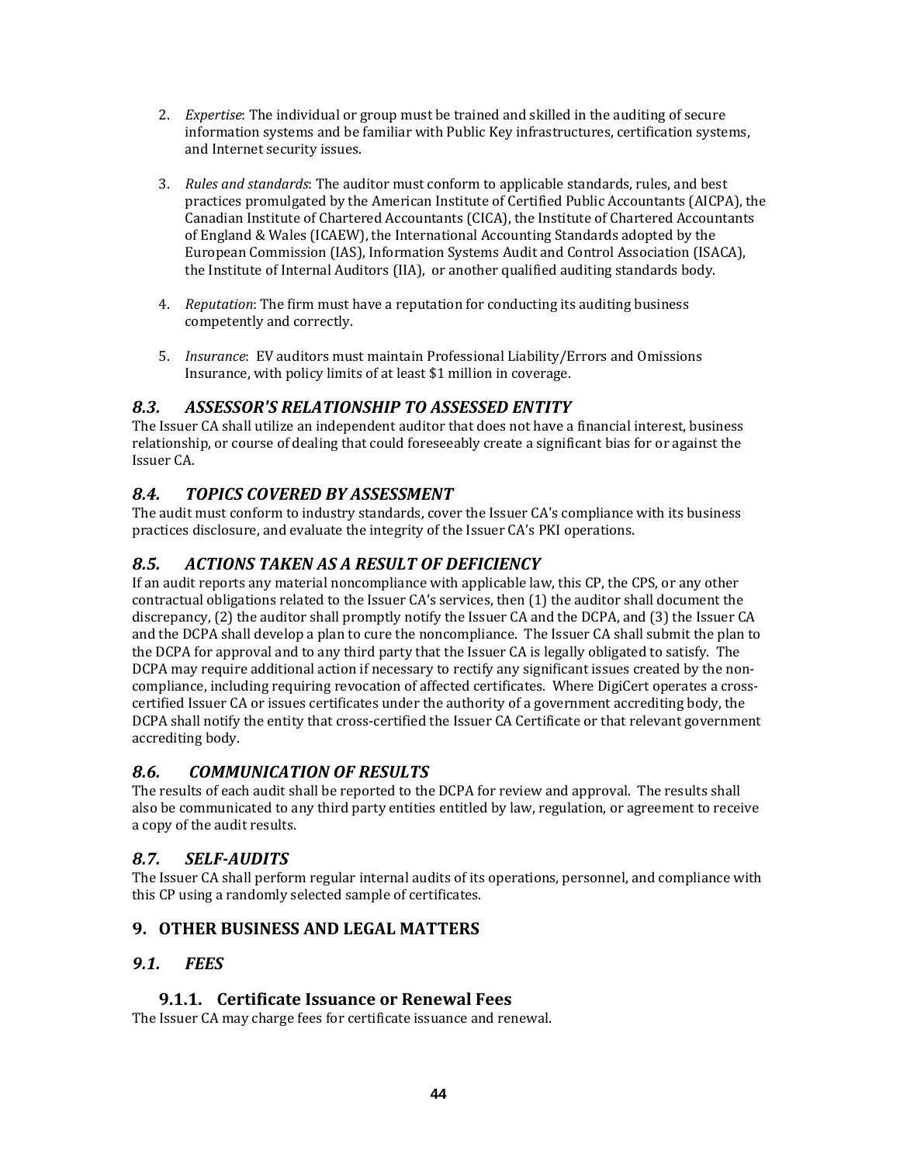- 2. *Expertise*: The individual or group must be trained and skilled in the auditing of secure information systems and be familiar with Public Key infrastructures, certification systems, and Internet security issues.
- 3. *Rules and standards*: The auditor must conform to applicable standards, rules, and best practices promulgated by the American Institute of Certified Public Accountants (AICPA), the Canadian Institute of Chartered Accountants (CICA), the Institute of Chartered Accountants of England & Wales (ICAEW), the International Accounting Standards adopted by the European Commission (IAS), Information Systems Audit and Control Association (ISACA), the Institute of Internal Auditors (IIA), or another qualified auditing standards body.
- 4. *Reputation*: The firm must have a reputation for conducting its auditing business competently and correctly.
- 5. *Insurance*: EV auditors must maintain Professional Liability/Errors and Omissions Insurance, with policy limits of at least \$1 million in coverage.

# *8.3. ASSESSOR'S RELATIONSHIP TO ASSESSED ENTITY*

The Issuer CA shall utilize an independent auditor that does not have a financial interest, business relationship, or course of dealing that could foreseeably create a significant bias for or against the Issuer CA.

# *8.4. TOPICS COVERED BY ASSESSMENT*

The audit must conform to industry standards, cover the Issuer CA's compliance with its business practices disclosure, and evaluate the integrity of the Issuer CA's PKI operations.

# *8.5. ACTIONS TAKEN AS A RESULT OF DEFICIENCY*

If an audit reports any material noncompliance with applicable law, this CP, the CPS, or any other contractual obligations related to the Issuer CA's services, then (1) the auditor shall document the discrepancy, (2) the auditor shall promptly notify the Issuer CA and the DCPA, and (3) the Issuer CA and the DCPA shall develop a plan to cure the noncompliance. The Issuer CA shall submit the plan to the DCPA for approval and to any third party that the Issuer CA is legally obligated to satisfy. The DCPA may require additional action if necessary to rectify any significant issues created by the noncompliance, including requiring revocation of affected certificates. Where DigiCert operates a crosscertified Issuer CA or issues certificates under the authority of a government accrediting body, the DCPA shall notify the entity that cross-certified the Issuer CA Certificate or that relevant government accrediting body.

# *8.6. COMMUNICATION OF RESULTS*

The results of each audit shall be reported to the DCPA for review and approval. The results shall also be communicated to any third party entities entitled by law, regulation, or agreement to receive a copy of the audit results.

# *8.7. SELFAUDITS*

The Issuer CA shall perform regular internal audits of its operations, personnel, and compliance with this CP using a randomly selected sample of certificates.

# **9. OTHER BUSINESS AND LEGAL MATTERS**

# *9.1. FEES*

# **9.1.1. Certificate Issuance or Renewal Fees**

The Issuer CA may charge fees for certificate issuance and renewal.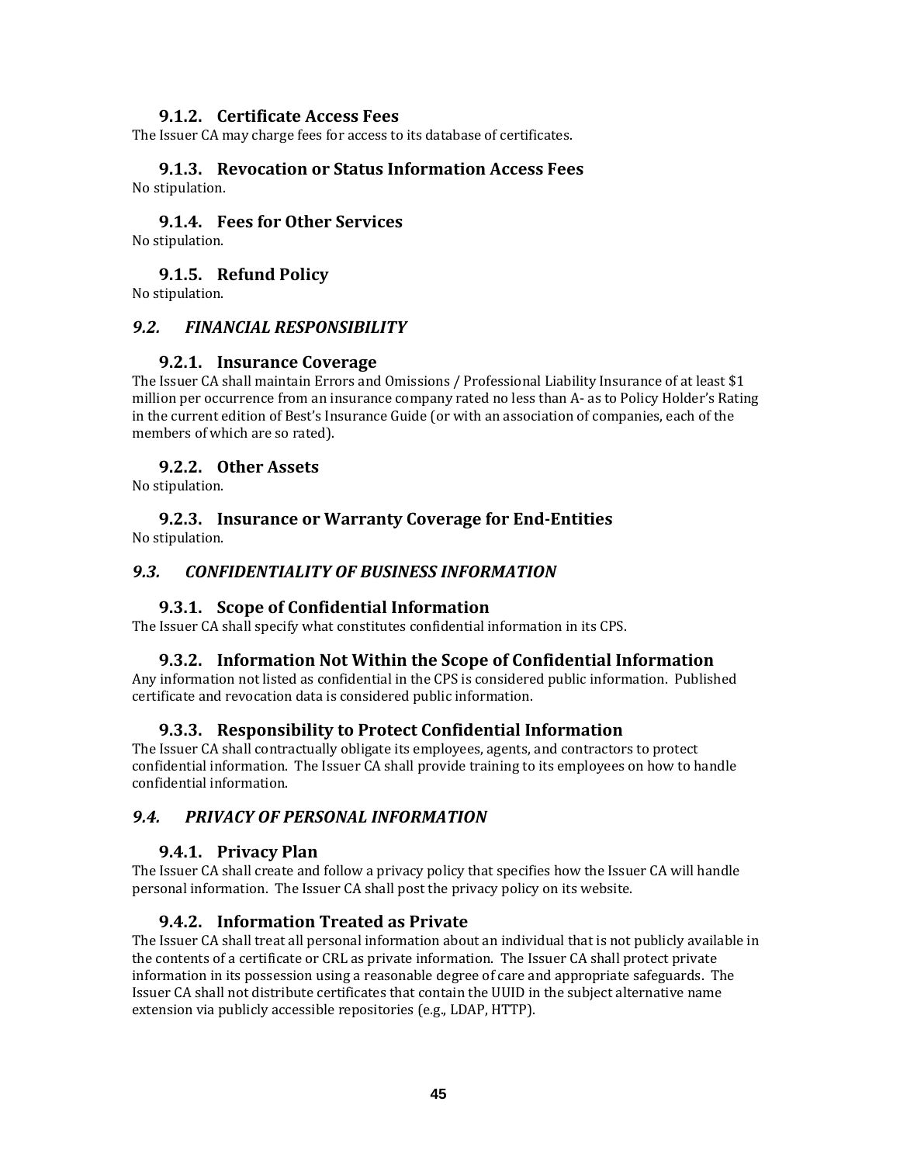#### **9.1.2. Certificate Access Fees**

The Issuer CA may charge fees for access to its database of certificates.

#### **9.1.3. Revocation or Status Information Access Fees** No stipulation.

#### **9.1.4. Fees for Other Services**

No stipulation.

#### **9.1.5. Refund Policy**

No stipulation.

#### *9.2. FINANCIAL RESPONSIBILITY*

#### **9.2.1. Insurance Coverage**

The Issuer CA shall maintain Errors and Omissions / Professional Liability Insurance of at least \$1 million per occurrence from an insurance company rated no less than A‐ as to Policy Holder's Rating in the current edition of Best's Insurance Guide (or with an association of companies, each of the members of which are so rated).

#### **9.2.2. Other Assets**

No stipulation.

#### **9.2.3. Insurance or Warranty Coverage for EndEntities** No stipulation.

#### *9.3. CONFIDENTIALITY OF BUSINESS INFORMATION*

#### **9.3.1. Scope of Confidential Information**

The Issuer CA shall specify what constitutes confidential information in its CPS.

#### **9.3.2. Information Not Within the Scope of Confidential Information**

Any information not listed as confidential in the CPS is considered public information. Published certificate and revocation data is considered public information.

#### **9.3.3. Responsibility to Protect Confidential Information**

The Issuer CA shall contractually obligate its employees, agents, and contractors to protect confidential information. The Issuer CA shall provide training to its employees on how to handle confidential information.

#### *9.4. PRIVACY OF PERSONAL INFORMATION*

#### **9.4.1. Privacy Plan**

The Issuer CA shall create and follow a privacy policy that specifies how the Issuer CA will handle personal information. The Issuer CA shall post the privacy policy on its website.

#### **9.4.2. Information Treated as Private**

The Issuer CA shall treat all personal information about an individual that is not publicly available in the contents of a certificate or CRL as private information. The Issuer CA shall protect private information in its possession using a reasonable degree of care and appropriate safeguards. The Issuer CA shall not distribute certificates that contain the UUID in the subject alternative name extension via publicly accessible repositories (e.g., LDAP, HTTP).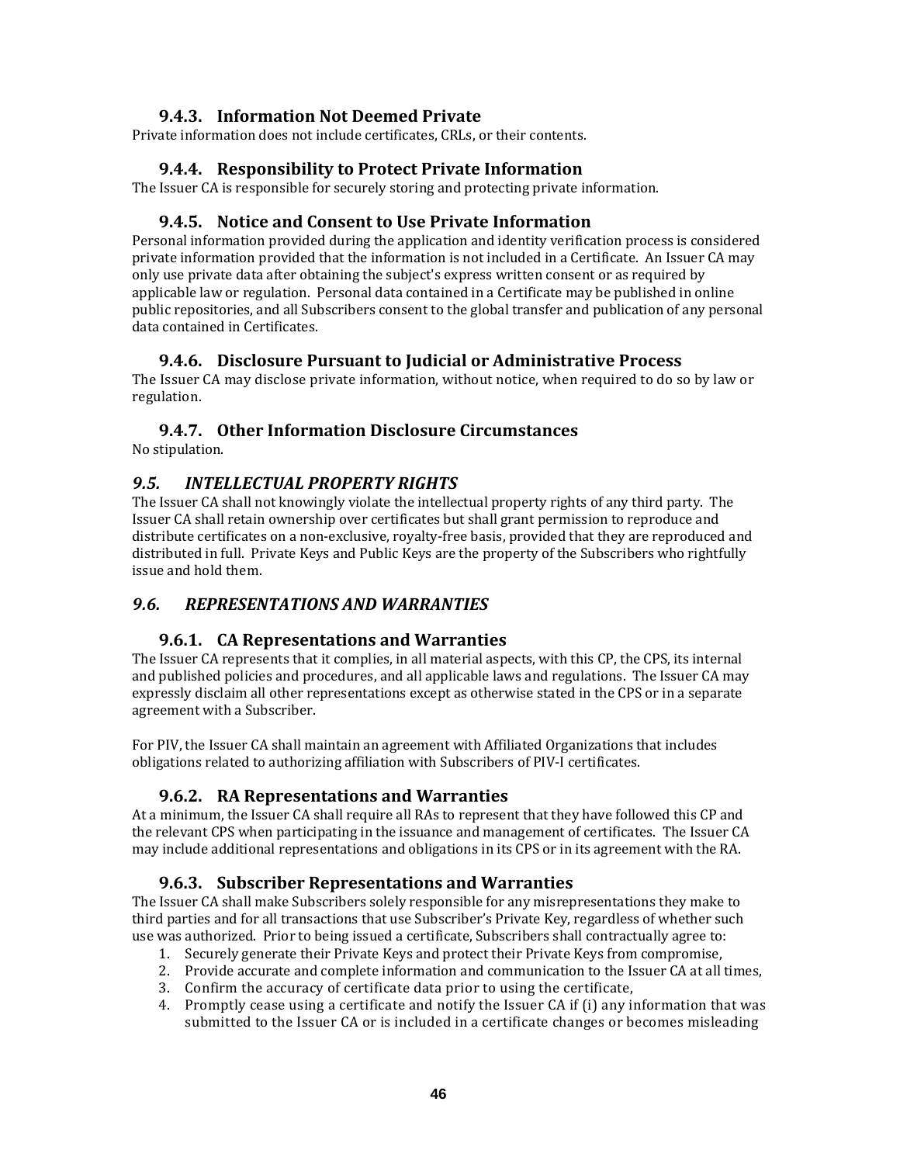## **9.4.3. Information Not Deemed Private**

Private information does not include certificates, CRLs, or their contents.

#### **9.4.4. Responsibility to Protect Private Information**

The Issuer CA is responsible for securely storing and protecting private information.

#### **9.4.5. Notice and Consent to Use Private Information**

Personal information provided during the application and identity verification process is considered private information provided that the information is not included in a Certificate. An Issuer CA may only use private data after obtaining the subject's express written consent or as required by applicable law or regulation. Personal data contained in a Certificate may be published in online public repositories, and all Subscribers consent to the global transfer and publication of any personal data contained in Certificates.

## **9.4.6. Disclosure Pursuant to Judicial or Administrative Process**

The Issuer CA may disclose private information, without notice, when required to do so by law or regulation.

#### **9.4.7. Other Information Disclosure Circumstances**

No stipulation.

## *9.5. INTELLECTUAL PROPERTY RIGHTS*

The Issuer CA shall not knowingly violate the intellectual property rights of any third party. The Issuer CA shall retain ownership over certificates but shall grant permission to reproduce and distribute certificates on a non‐exclusive, royalty‐free basis, provided that they are reproduced and distributed in full. Private Keys and Public Keys are the property of the Subscribers who rightfully issue and hold them.

#### *9.6. REPRESENTATIONS AND WARRANTIES*

#### **9.6.1. CA Representations and Warranties**

The Issuer CA represents that it complies, in all material aspects, with this CP, the CPS, its internal and published policies and procedures, and all applicable laws and regulations. The Issuer CA may expressly disclaim all other representations except as otherwise stated in the CPS or in a separate agreement with a Subscriber.

For PIV, the Issuer CA shall maintain an agreement with Affiliated Organizations that includes obligations related to authorizing affiliation with Subscribers of PIV‐I certificates.

#### **9.6.2. RA Representations and Warranties**

At a minimum, the Issuer CA shall require all RAs to represent that they have followed this CP and the relevant CPS when participating in the issuance and management of certificates. The Issuer CA may include additional representations and obligations in its CPS or in its agreement with the RA.

# **9.6.3. Subscriber Representations and Warranties**

The Issuer CA shall make Subscribers solely responsible for any misrepresentations they make to third parties and for all transactions that use Subscriber's Private Key, regardless of whether such use was authorized. Prior to being issued a certificate, Subscribers shall contractually agree to:

- 1. Securely generate their Private Keys and protect their Private Keys from compromise,
- 2. Provide accurate and complete information and communication to the Issuer CA at all times,
- 3. Confirm the accuracy of certificate data prior to using the certificate,
- 4. Promptly cease using a certificate and notify the Issuer CA if (i) any information that was submitted to the Issuer CA or is included in a certificate changes or becomes misleading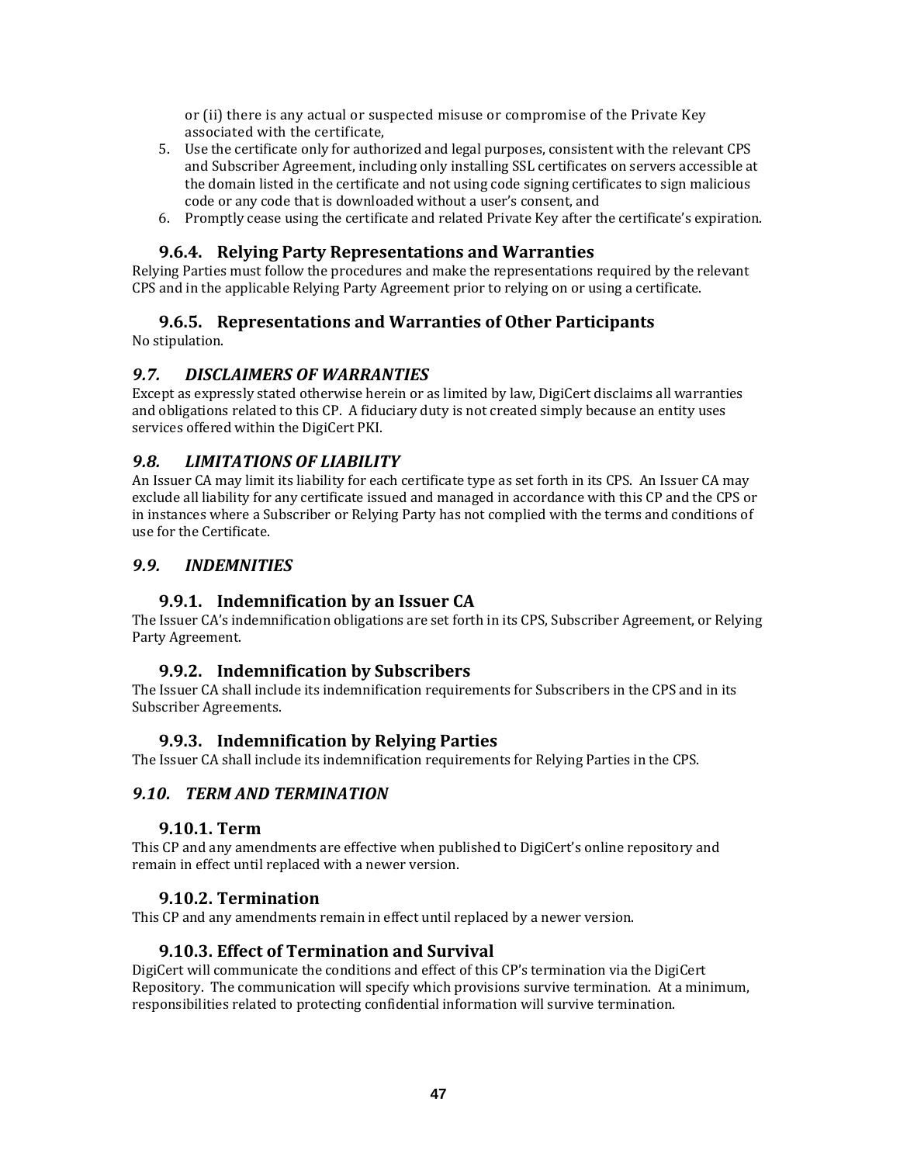or (ii) there is any actual or suspected misuse or compromise of the Private Key associated with the certificate,

- 5. Use the certificate only for authorized and legal purposes, consistent with the relevant CPS and Subscriber Agreement, including only installing SSL certificates on servers accessible at the domain listed in the certificate and not using code signing certificates to sign malicious code or any code that is downloaded without a user's consent, and
- 6. Promptly cease using the certificate and related Private Key after the certificate's expiration.

# **9.6.4. Relying Party Representations and Warranties**

Relying Parties must follow the procedures and make the representations required by the relevant CPS and in the applicable Relying Party Agreement prior to relying on or using a certificate.

## **9.6.5. Representations and Warranties of Other Participants**

No stipulation.

## *9.7. DISCLAIMERS OF WARRANTIES*

Except as expressly stated otherwise herein or as limited by law, DigiCert disclaims all warranties and obligations related to this CP. A fiduciary duty is not created simply because an entity uses services offered within the DigiCert PKI.

## *9.8. LIMITATIONS OF LIABILITY*

An Issuer CA may limit its liability for each certificate type as set forth in its CPS. An Issuer CA may exclude all liability for any certificate issued and managed in accordance with this CP and the CPS or in instances where a Subscriber or Relying Party has not complied with the terms and conditions of use for the Certificate.

#### *9.9. INDEMNITIES*

#### **9.9.1. Indemnification by an Issuer CA**

The Issuer CA's indemnification obligations are set forth in its CPS, Subscriber Agreement, or Relying Party Agreement.

#### **9.9.2. Indemnification by Subscribers**

The Issuer CA shall include its indemnification requirements for Subscribers in the CPS and in its Subscriber Agreements.

#### **9.9.3. Indemnification by Relying Parties**

The Issuer CA shall include its indemnification requirements for Relying Parties in the CPS.

#### *9.10. TERM AND TERMINATION*

#### **9.10.1. Term**

This CP and any amendments are effective when published to DigiCert's online repository and remain in effect until replaced with a newer version.

#### **9.10.2. Termination**

This CP and any amendments remain in effect until replaced by a newer version.

#### **9.10.3. Effect of Termination and Survival**

DigiCert will communicate the conditions and effect of this CP's termination via the DigiCert Repository. The communication will specify which provisions survive termination. At a minimum, responsibilities related to protecting confidential information will survive termination.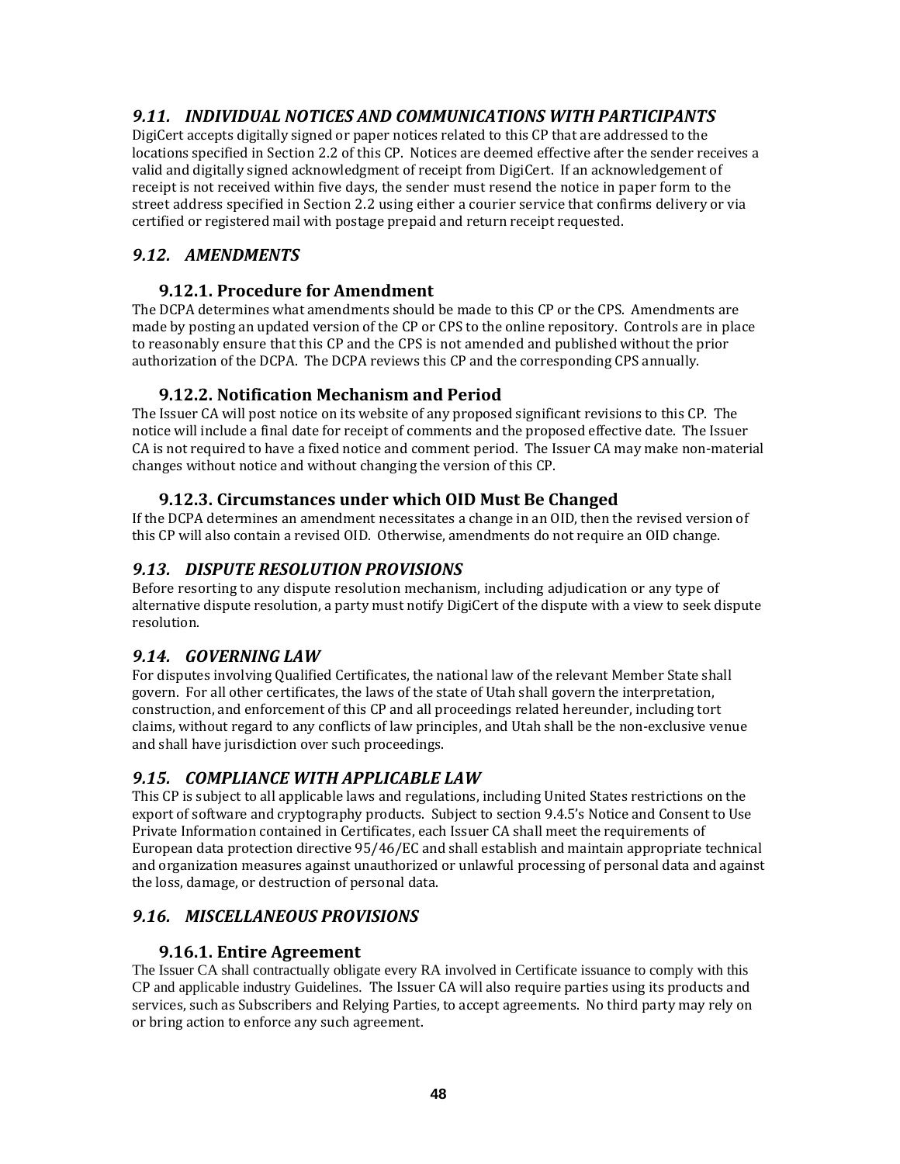# *9.11. INDIVIDUAL NOTICES AND COMMUNICATIONS WITH PARTICIPANTS*

DigiCert accepts digitally signed or paper notices related to this CP that are addressed to the locations specified in Section 2.2 of this CP. Notices are deemed effective after the sender receives a valid and digitally signed acknowledgment of receipt from DigiCert. If an acknowledgement of receipt is not received within five days, the sender must resend the notice in paper form to the street address specified in Section 2.2 using either a courier service that confirms delivery or via certified or registered mail with postage prepaid and return receipt requested.

# *9.12. AMENDMENTS*

## **9.12.1. Procedure for Amendment**

The DCPA determines what amendments should be made to this CP or the CPS. Amendments are made by posting an updated version of the CP or CPS to the online repository. Controls are in place to reasonably ensure that this CP and the CPS is not amended and published without the prior authorization of the DCPA. The DCPA reviews this CP and the corresponding CPS annually.

# **9.12.2. Notification Mechanism and Period**

The Issuer CA will post notice on its website of any proposed significant revisions to this CP. The notice will include a final date for receipt of comments and the proposed effective date. The Issuer CA is not required to have a fixed notice and comment period. The Issuer CA may make non-material changes without notice and without changing the version of this CP.

# **9.12.3. Circumstances under which OID Must Be Changed**

If the DCPA determines an amendment necessitates a change in an OID, then the revised version of this CP will also contain a revised OID. Otherwise, amendments do not require an OID change.

# *9.13. DISPUTE RESOLUTION PROVISIONS*

Before resorting to any dispute resolution mechanism, including adjudication or any type of alternative dispute resolution, a party must notify DigiCert of the dispute with a view to seek dispute resolution.

# *9.14. GOVERNING LAW*

For disputes involving Qualified Certificates, the national law of the relevant Member State shall govern. For all other certificates, the laws of the state of Utah shall govern the interpretation, construction, and enforcement of this CP and all proceedings related hereunder, including tort claims, without regard to any conflicts of law principles, and Utah shall be the non‐exclusive venue and shall have jurisdiction over such proceedings.

# *9.15. COMPLIANCE WITH APPLICABLE LAW*

This CP is subject to all applicable laws and regulations, including United States restrictions on the export of software and cryptography products. Subject to section 9.4.5's Notice and Consent to Use Private Information contained in Certificates, each Issuer CA shall meet the requirements of European data protection directive 95/46/EC and shall establish and maintain appropriate technical and organization measures against unauthorized or unlawful processing of personal data and against the loss, damage, or destruction of personal data.

# *9.16. MISCELLANEOUS PROVISIONS*

# **9.16.1. Entire Agreement**

The Issuer CA shall contractually obligate every RA involved in Certificate issuance to comply with this CP and applicable industry Guidelines. The Issuer CA will also require parties using its products and services, such as Subscribers and Relying Parties, to accept agreements. No third party may rely on or bring action to enforce any such agreement.